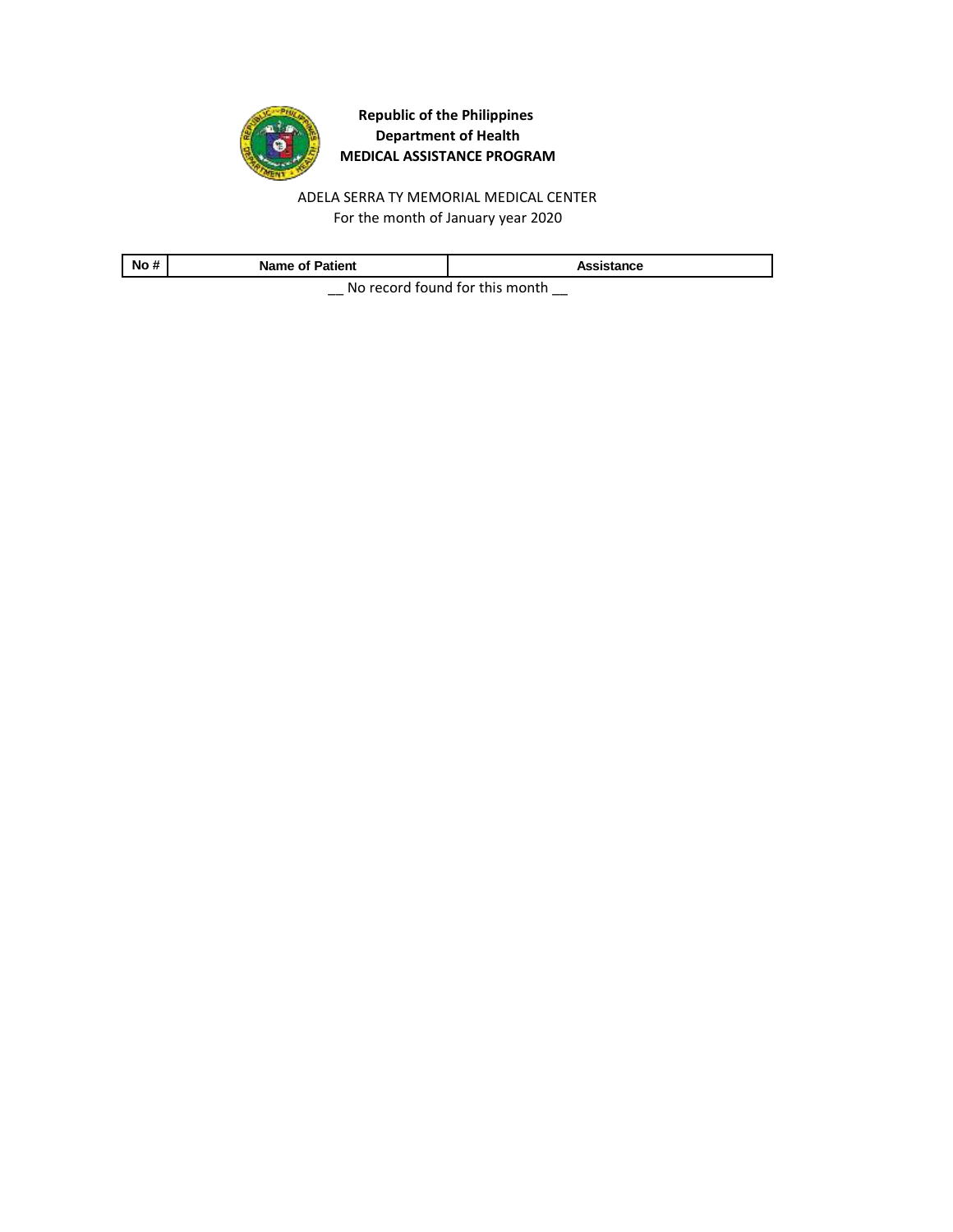

ADELA SERRA TY MEMORIAL MEDICAL CENTER For the month of January year 2020

| No # | <b>Name of Patient</b> | Assistance                                         |
|------|------------------------|----------------------------------------------------|
|      |                        | . March 2014 and Contract Contract Library and the |

\_\_ No record found for this month \_\_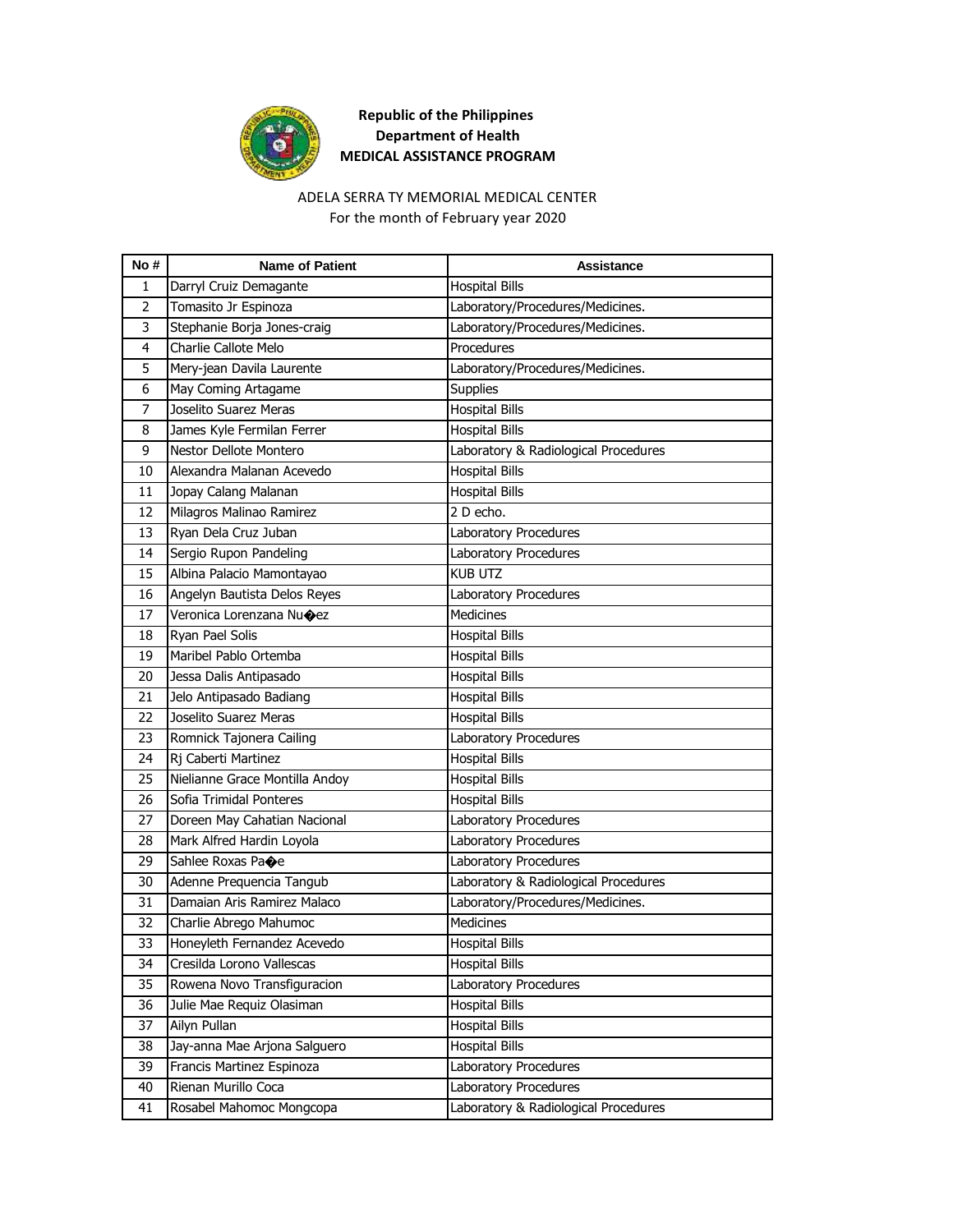

# ADELA SERRA TY MEMORIAL MEDICAL CENTER

For the month of February year 2020

| No# | <b>Name of Patient</b>              | <b>Assistance</b>                    |
|-----|-------------------------------------|--------------------------------------|
| 1   | Darryl Cruiz Demagante              | <b>Hospital Bills</b>                |
| 2   | Tomasito Jr Espinoza                | Laboratory/Procedures/Medicines.     |
| 3   | Stephanie Borja Jones-craig         | Laboratory/Procedures/Medicines.     |
| 4   | Charlie Callote Melo                | Procedures                           |
| 5   | Mery-jean Davila Laurente           | Laboratory/Procedures/Medicines.     |
| 6   | May Coming Artagame                 | Supplies                             |
| 7   | Joselito Suarez Meras               | <b>Hospital Bills</b>                |
| 8   | James Kyle Fermilan Ferrer          | <b>Hospital Bills</b>                |
| 9   | Nestor Dellote Montero              | Laboratory & Radiological Procedures |
| 10  | Alexandra Malanan Acevedo           | <b>Hospital Bills</b>                |
| 11  | Jopay Calang Malanan                | <b>Hospital Bills</b>                |
| 12  | Milagros Malinao Ramirez            | 2 D echo.                            |
| 13  | Ryan Dela Cruz Juban                | Laboratory Procedures                |
| 14  | Sergio Rupon Pandeling              | Laboratory Procedures                |
| 15  | Albina Palacio Mamontayao           | <b>KUB UTZ</b>                       |
| 16  | Angelyn Bautista Delos Reyes        | Laboratory Procedures                |
| 17  | Veronica Lorenzana Nu $\bigcirc$ ez | <b>Medicines</b>                     |
| 18  | Ryan Pael Solis                     | <b>Hospital Bills</b>                |
| 19  | Maribel Pablo Ortemba               | <b>Hospital Bills</b>                |
| 20  | Jessa Dalis Antipasado              | <b>Hospital Bills</b>                |
| 21  | Jelo Antipasado Badiang             | <b>Hospital Bills</b>                |
| 22  | Joselito Suarez Meras               | <b>Hospital Bills</b>                |
| 23  | Romnick Tajonera Cailing            | Laboratory Procedures                |
| 24  | Rj Caberti Martinez                 | <b>Hospital Bills</b>                |
| 25  | Nielianne Grace Montilla Andoy      | <b>Hospital Bills</b>                |
| 26  | Sofia Trimidal Ponteres             | <b>Hospital Bills</b>                |
| 27  | Doreen May Cahatian Nacional        | Laboratory Procedures                |
| 28  | Mark Alfred Hardin Loyola           | Laboratory Procedures                |
| 29  | Sahlee Roxas Pa�e                   | Laboratory Procedures                |
| 30  | Adenne Prequencia Tangub            | Laboratory & Radiological Procedures |
| 31  | Damaian Aris Ramirez Malaco         | Laboratory/Procedures/Medicines.     |
| 32  | Charlie Abrego Mahumoc              | <b>Medicines</b>                     |
| 33  | Honeyleth Fernandez Acevedo         | <b>Hospital Bills</b>                |
| 34  | Cresilda Lorono Vallescas           | <b>Hospital Bills</b>                |
| 35  | Rowena Novo Transfiguracion         | Laboratory Procedures                |
| 36  | Julie Mae Requiz Olasiman           | <b>Hospital Bills</b>                |
| 37  | Ailyn Pullan                        | <b>Hospital Bills</b>                |
| 38  | Jay-anna Mae Arjona Salguero        | <b>Hospital Bills</b>                |
| 39  | Francis Martinez Espinoza           | Laboratory Procedures                |
| 40  | Rienan Murillo Coca                 | Laboratory Procedures                |
| 41  | Rosabel Mahomoc Mongcopa            | Laboratory & Radiological Procedures |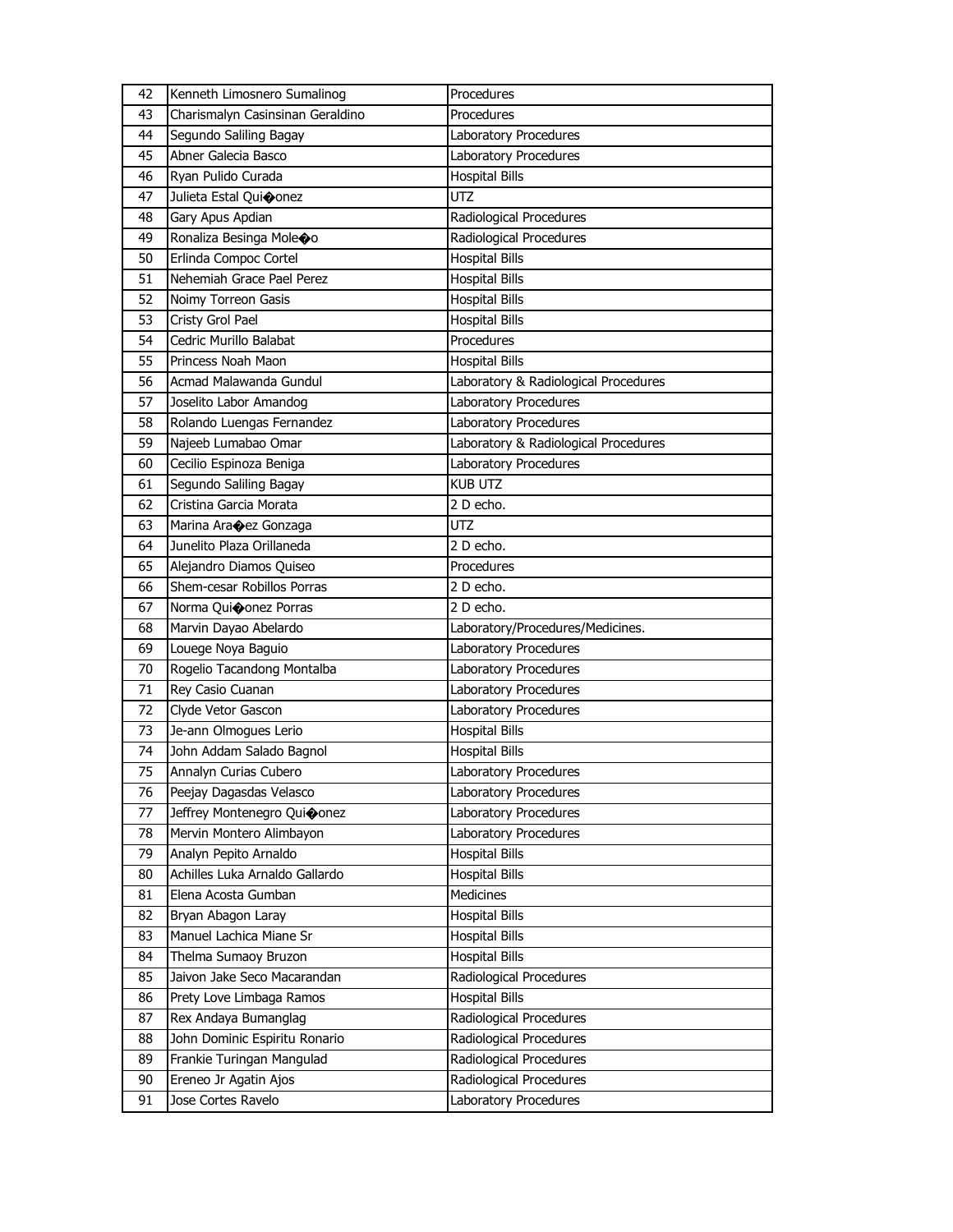| 42 | Kenneth Limosnero Sumalinog      | Procedures                           |
|----|----------------------------------|--------------------------------------|
| 43 | Charismalyn Casinsinan Geraldino | Procedures                           |
| 44 | Segundo Saliling Bagay           | Laboratory Procedures                |
| 45 | Abner Galecia Basco              | Laboratory Procedures                |
| 46 | Ryan Pulido Curada               | <b>Hospital Bills</b>                |
| 47 | Julieta Estal Quioonez           | <b>UTZ</b>                           |
| 48 | Gary Apus Apdian                 | Radiological Procedures              |
| 49 | Ronaliza Besinga Moleoo          | Radiological Procedures              |
| 50 | Erlinda Compoc Cortel            | <b>Hospital Bills</b>                |
| 51 | Nehemiah Grace Pael Perez        | <b>Hospital Bills</b>                |
| 52 | Noimy Torreon Gasis              | <b>Hospital Bills</b>                |
| 53 | Cristy Grol Pael                 | <b>Hospital Bills</b>                |
| 54 | Cedric Murillo Balabat           | Procedures                           |
| 55 | Princess Noah Maon               | <b>Hospital Bills</b>                |
| 56 | Acmad Malawanda Gundul           | Laboratory & Radiological Procedures |
| 57 | Joselito Labor Amandog           | Laboratory Procedures                |
| 58 | Rolando Luengas Fernandez        | Laboratory Procedures                |
| 59 | Najeeb Lumabao Omar              | Laboratory & Radiological Procedures |
| 60 | Cecilio Espinoza Beniga          | Laboratory Procedures                |
| 61 | Segundo Saliling Bagay           | <b>KUB UTZ</b>                       |
| 62 | Cristina Garcia Morata           | 2 D echo.                            |
| 63 | Marina Aracez Gonzaga            | <b>UTZ</b>                           |
| 64 | Junelito Plaza Orillaneda        | 2 D echo.                            |
| 65 | Alejandro Diamos Quiseo          | Procedures                           |
| 66 | Shem-cesar Robillos Porras       | 2 D echo.                            |
| 67 | Norma Quioonez Porras            | 2 D echo.                            |
| 68 | Marvin Dayao Abelardo            | Laboratory/Procedures/Medicines.     |
| 69 | Louege Noya Baguio               | Laboratory Procedures                |
| 70 | Rogelio Tacandong Montalba       | Laboratory Procedures                |
| 71 | Rey Casio Cuanan                 | Laboratory Procedures                |
| 72 | Clyde Vetor Gascon               | Laboratory Procedures                |
| 73 | Je-ann Olmogues Lerio            | <b>Hospital Bills</b>                |
| 74 | John Addam Salado Bagnol         | <b>Hospital Bills</b>                |
| 75 | Annalyn Curias Cubero            | Laboratory Procedures                |
| 76 | Peejay Dagasdas Velasco          | Laboratory Procedures                |
| 77 | Jeffrey Montenegro Quioonez      | Laboratory Procedures                |
| 78 | Mervin Montero Alimbayon         | Laboratory Procedures                |
| 79 | Analyn Pepito Arnaldo            | <b>Hospital Bills</b>                |
| 80 | Achilles Luka Arnaldo Gallardo   | <b>Hospital Bills</b>                |
| 81 | Elena Acosta Gumban              | <b>Medicines</b>                     |
| 82 | Bryan Abagon Laray               | <b>Hospital Bills</b>                |
| 83 | Manuel Lachica Miane Sr          | <b>Hospital Bills</b>                |
| 84 | Thelma Sumaoy Bruzon             | <b>Hospital Bills</b>                |
| 85 | Jaivon Jake Seco Macarandan      | Radiological Procedures              |
| 86 | Prety Love Limbaga Ramos         | <b>Hospital Bills</b>                |
| 87 | Rex Andaya Bumanglag             | Radiological Procedures              |
| 88 | John Dominic Espiritu Ronario    | Radiological Procedures              |
| 89 | Frankie Turingan Mangulad        | Radiological Procedures              |
| 90 | Ereneo Jr Agatin Ajos            | Radiological Procedures              |
| 91 | Jose Cortes Ravelo               | Laboratory Procedures                |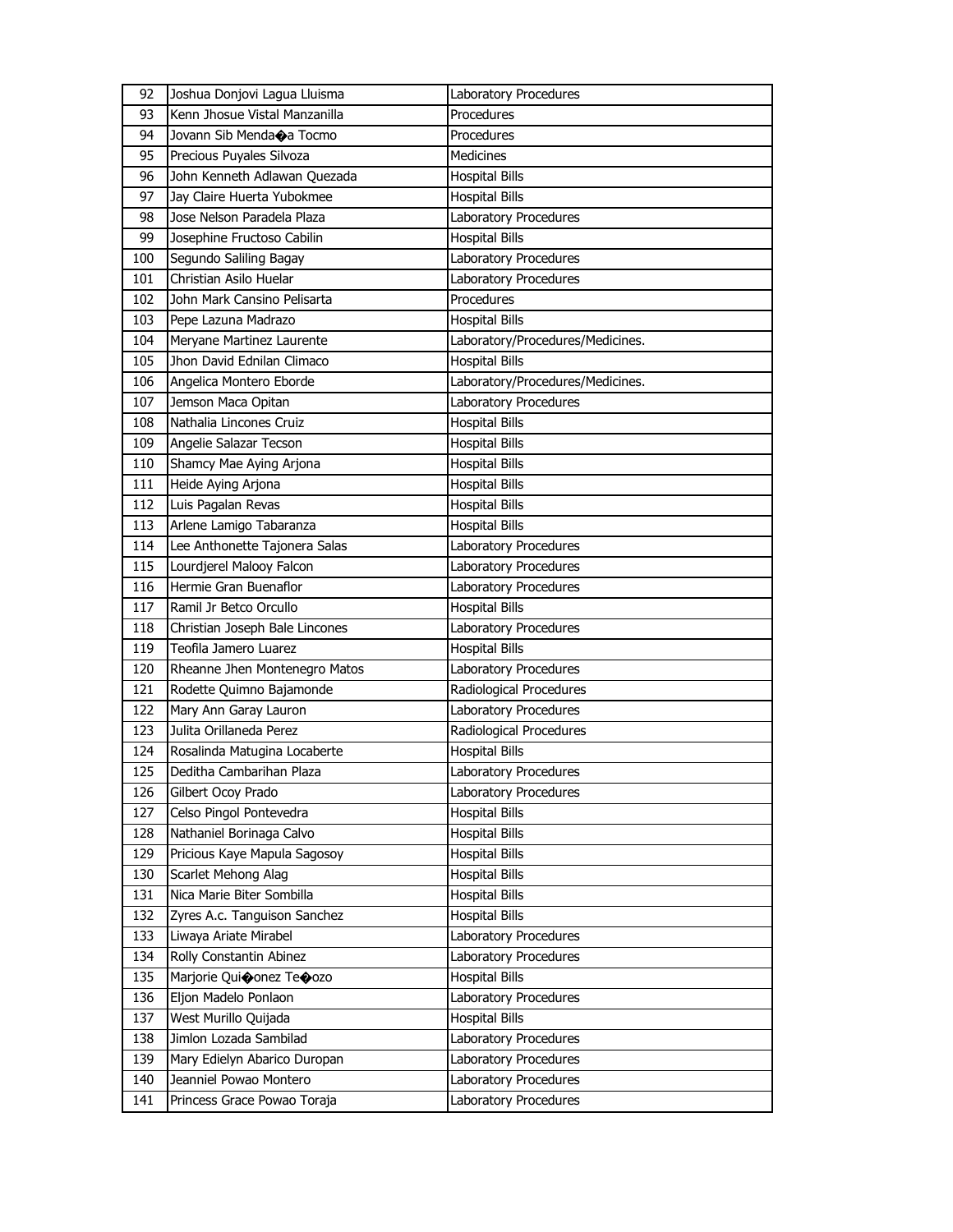| 92  | Joshua Donjovi Lagua Lluisma        | Laboratory Procedures            |
|-----|-------------------------------------|----------------------------------|
| 93  | Kenn Jhosue Vistal Manzanilla       | Procedures                       |
| 94  | Jovann Sib Menda $\bigcirc$ a Tocmo | Procedures                       |
| 95  | Precious Puyales Silvoza            | Medicines                        |
| 96  | John Kenneth Adlawan Quezada        | <b>Hospital Bills</b>            |
| 97  | Jay Claire Huerta Yubokmee          | <b>Hospital Bills</b>            |
| 98  | Jose Nelson Paradela Plaza          | Laboratory Procedures            |
| 99  | Josephine Fructoso Cabilin          | <b>Hospital Bills</b>            |
| 100 | Segundo Saliling Bagay              | Laboratory Procedures            |
| 101 | Christian Asilo Huelar              | Laboratory Procedures            |
| 102 | John Mark Cansino Pelisarta         | Procedures                       |
| 103 | Pepe Lazuna Madrazo                 | <b>Hospital Bills</b>            |
| 104 | Meryane Martinez Laurente           | Laboratory/Procedures/Medicines. |
| 105 | Jhon David Ednilan Climaco          | <b>Hospital Bills</b>            |
| 106 | Angelica Montero Eborde             | Laboratory/Procedures/Medicines. |
| 107 | Jemson Maca Opitan                  | Laboratory Procedures            |
| 108 | Nathalia Lincones Cruiz             | <b>Hospital Bills</b>            |
| 109 | Angelie Salazar Tecson              | <b>Hospital Bills</b>            |
| 110 | Shamcy Mae Aying Arjona             | <b>Hospital Bills</b>            |
| 111 | Heide Aying Arjona                  | <b>Hospital Bills</b>            |
| 112 | Luis Pagalan Revas                  | <b>Hospital Bills</b>            |
| 113 | Arlene Lamigo Tabaranza             | <b>Hospital Bills</b>            |
| 114 | Lee Anthonette Tajonera Salas       | Laboratory Procedures            |
| 115 | Lourdjerel Malooy Falcon            | Laboratory Procedures            |
| 116 | Hermie Gran Buenaflor               | Laboratory Procedures            |
| 117 | Ramil Jr Betco Orcullo              | <b>Hospital Bills</b>            |
| 118 | Christian Joseph Bale Lincones      | Laboratory Procedures            |
| 119 | Teofila Jamero Luarez               | <b>Hospital Bills</b>            |
| 120 | Rheanne Jhen Montenegro Matos       | Laboratory Procedures            |
| 121 | Rodette Quimno Bajamonde            | Radiological Procedures          |
| 122 | Mary Ann Garay Lauron               | Laboratory Procedures            |
| 123 | Julita Orillaneda Perez             | Radiological Procedures          |
| 124 | Rosalinda Matugina Locaberte        | <b>Hospital Bills</b>            |
| 125 | Deditha Cambarihan Plaza            | Laboratory Procedures            |
| 126 | Gilbert Ocoy Prado                  | Laboratory Procedures            |
| 127 | Celso Pingol Pontevedra             | <b>Hospital Bills</b>            |
| 128 | Nathaniel Borinaga Calvo            | <b>Hospital Bills</b>            |
| 129 | Pricious Kaye Mapula Sagosoy        | <b>Hospital Bills</b>            |
| 130 | Scarlet Mehong Alag                 | <b>Hospital Bills</b>            |
| 131 | Nica Marie Biter Sombilla           | <b>Hospital Bills</b>            |
| 132 | Zyres A.c. Tanguison Sanchez        | <b>Hospital Bills</b>            |
| 133 | Liwaya Ariate Mirabel               | Laboratory Procedures            |
| 134 | Rolly Constantin Abinez             | Laboratory Procedures            |
| 135 | Marjorie Quioonez Teoozo            | <b>Hospital Bills</b>            |
| 136 | Eljon Madelo Ponlaon                | Laboratory Procedures            |
| 137 | West Murillo Quijada                | <b>Hospital Bills</b>            |
| 138 | Jimlon Lozada Sambilad              | Laboratory Procedures            |
| 139 | Mary Edielyn Abarico Duropan        | Laboratory Procedures            |
| 140 | Jeanniel Powao Montero              | Laboratory Procedures            |
| 141 | Princess Grace Powao Toraja         | Laboratory Procedures            |
|     |                                     |                                  |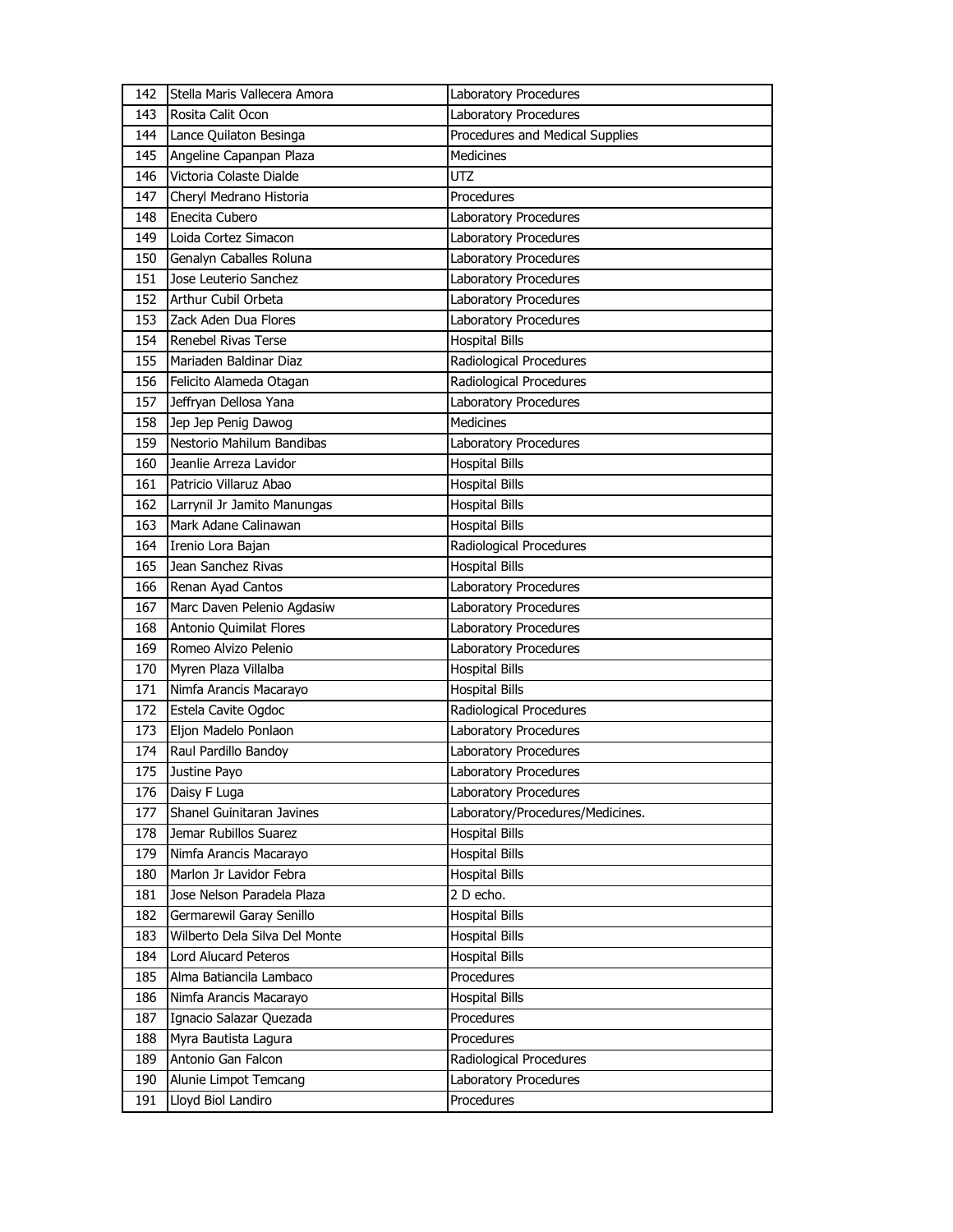| 142 | Stella Maris Vallecera Amora  | Laboratory Procedures            |
|-----|-------------------------------|----------------------------------|
| 143 | Rosita Calit Ocon             | Laboratory Procedures            |
| 144 | Lance Quilaton Besinga        | Procedures and Medical Supplies  |
| 145 | Angeline Capanpan Plaza       | Medicines                        |
| 146 | Victoria Colaste Dialde       | <b>UTZ</b>                       |
| 147 | Cheryl Medrano Historia       | Procedures                       |
| 148 | Enecita Cubero                | Laboratory Procedures            |
| 149 | Loida Cortez Simacon          | Laboratory Procedures            |
| 150 | Genalyn Caballes Roluna       | Laboratory Procedures            |
| 151 | Jose Leuterio Sanchez         | Laboratory Procedures            |
| 152 | Arthur Cubil Orbeta           | Laboratory Procedures            |
| 153 | Zack Aden Dua Flores          | Laboratory Procedures            |
| 154 | Renebel Rivas Terse           | <b>Hospital Bills</b>            |
| 155 | Mariaden Baldinar Diaz        | Radiological Procedures          |
| 156 | Felicito Alameda Otagan       | Radiological Procedures          |
| 157 | Jeffryan Dellosa Yana         | Laboratory Procedures            |
| 158 | Jep Jep Penig Dawog           | <b>Medicines</b>                 |
| 159 | Nestorio Mahilum Bandibas     | Laboratory Procedures            |
| 160 | Jeanlie Arreza Lavidor        | <b>Hospital Bills</b>            |
| 161 | Patricio Villaruz Abao        | <b>Hospital Bills</b>            |
| 162 | Larrynil Jr Jamito Manungas   | <b>Hospital Bills</b>            |
| 163 | Mark Adane Calinawan          | <b>Hospital Bills</b>            |
| 164 | Irenio Lora Bajan             | Radiological Procedures          |
| 165 | Jean Sanchez Rivas            | <b>Hospital Bills</b>            |
| 166 | Renan Ayad Cantos             | Laboratory Procedures            |
| 167 | Marc Daven Pelenio Agdasiw    | Laboratory Procedures            |
|     |                               |                                  |
| 168 | Antonio Quimilat Flores       | Laboratory Procedures            |
| 169 | Romeo Alvizo Pelenio          | Laboratory Procedures            |
| 170 | Myren Plaza Villalba          | <b>Hospital Bills</b>            |
| 171 | Nimfa Arancis Macarayo        | <b>Hospital Bills</b>            |
| 172 | Estela Cavite Ogdoc           | Radiological Procedures          |
| 173 | Eljon Madelo Ponlaon          | Laboratory Procedures            |
| 174 | Raul Pardillo Bandoy          | Laboratory Procedures            |
| 175 | Justine Payo                  | Laboratory Procedures            |
| 176 | Daisy F Luga                  | Laboratory Procedures            |
| 177 | Shanel Guinitaran Javines     | Laboratory/Procedures/Medicines. |
| 178 | Jemar Rubillos Suarez         | <b>Hospital Bills</b>            |
| 179 | Nimfa Arancis Macarayo        | <b>Hospital Bills</b>            |
| 180 | Marlon Jr Lavidor Febra       | <b>Hospital Bills</b>            |
| 181 | Jose Nelson Paradela Plaza    | 2 D echo.                        |
| 182 | Germarewil Garay Senillo      | <b>Hospital Bills</b>            |
| 183 | Wilberto Dela Silva Del Monte | <b>Hospital Bills</b>            |
| 184 | Lord Alucard Peteros          | <b>Hospital Bills</b>            |
| 185 | Alma Batiancila Lambaco       | Procedures                       |
| 186 | Nimfa Arancis Macarayo        | <b>Hospital Bills</b>            |
| 187 | Ignacio Salazar Quezada       | Procedures                       |
| 188 | Myra Bautista Lagura          | Procedures                       |
| 189 | Antonio Gan Falcon            | Radiological Procedures          |
| 190 | Alunie Limpot Temcang         | Laboratory Procedures            |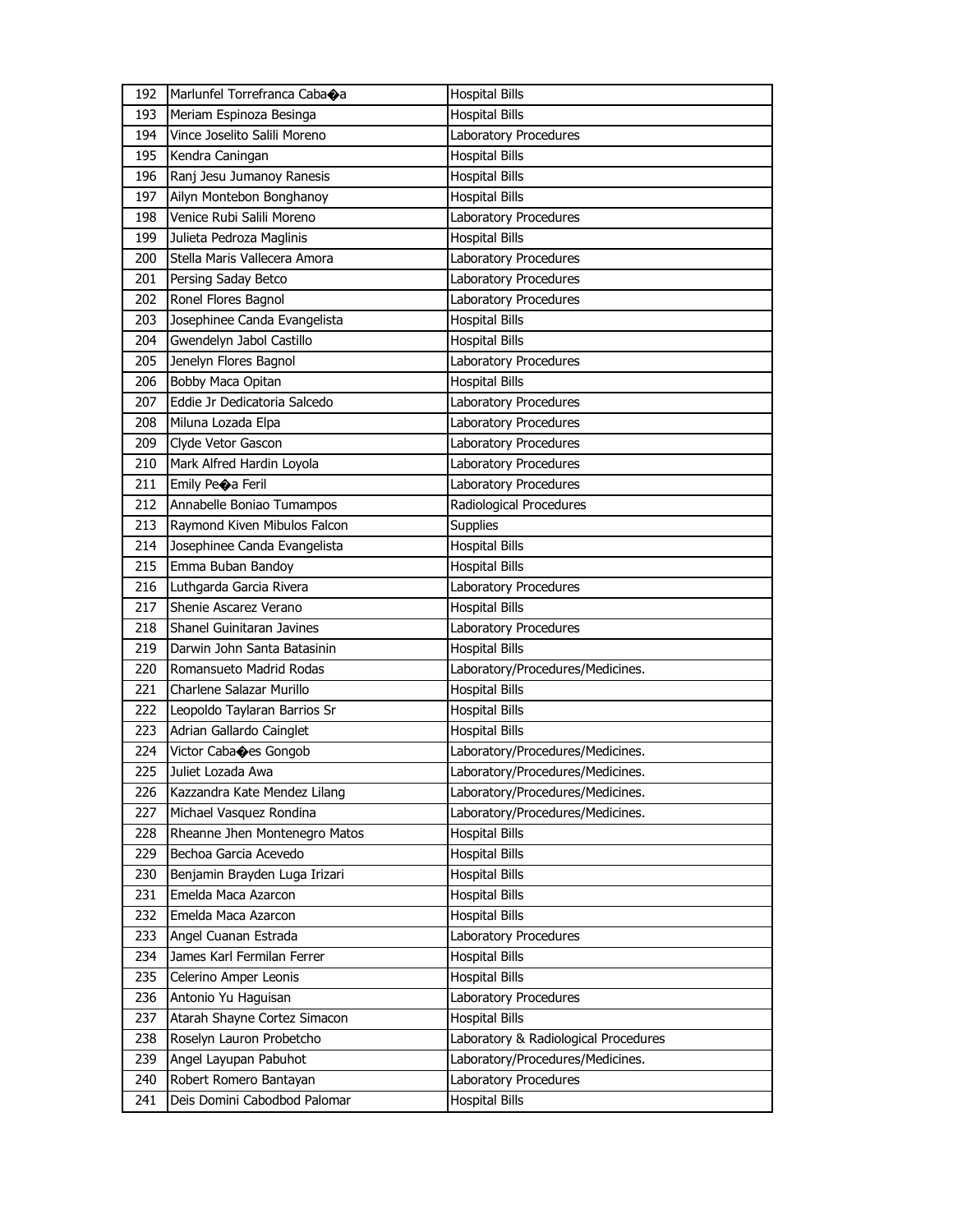| 192 | Marlunfel Torrefranca Cabaoa  | <b>Hospital Bills</b>                |
|-----|-------------------------------|--------------------------------------|
| 193 | Meriam Espinoza Besinga       | <b>Hospital Bills</b>                |
| 194 | Vince Joselito Salili Moreno  | Laboratory Procedures                |
| 195 | Kendra Caningan               | <b>Hospital Bills</b>                |
| 196 | Ranj Jesu Jumanoy Ranesis     | <b>Hospital Bills</b>                |
| 197 | Ailyn Montebon Bonghanoy      | <b>Hospital Bills</b>                |
| 198 | Venice Rubi Salili Moreno     | Laboratory Procedures                |
| 199 | Julieta Pedroza Maglinis      | <b>Hospital Bills</b>                |
| 200 | Stella Maris Vallecera Amora  | Laboratory Procedures                |
| 201 | Persing Saday Betco           | Laboratory Procedures                |
| 202 | Ronel Flores Bagnol           | Laboratory Procedures                |
| 203 | Josephinee Canda Evangelista  | <b>Hospital Bills</b>                |
| 204 | Gwendelyn Jabol Castillo      | <b>Hospital Bills</b>                |
| 205 | Jenelyn Flores Bagnol         | Laboratory Procedures                |
| 206 | Bobby Maca Opitan             | <b>Hospital Bills</b>                |
| 207 | Eddie Jr Dedicatoria Salcedo  | Laboratory Procedures                |
| 208 | Miluna Lozada Elpa            | Laboratory Procedures                |
| 209 | Clyde Vetor Gascon            | Laboratory Procedures                |
| 210 | Mark Alfred Hardin Loyola     | Laboratory Procedures                |
| 211 | Emily Peoa Feril              | Laboratory Procedures                |
| 212 | Annabelle Boniao Tumampos     | Radiological Procedures              |
| 213 | Raymond Kiven Mibulos Falcon  | <b>Supplies</b>                      |
| 214 | Josephinee Canda Evangelista  | <b>Hospital Bills</b>                |
| 215 | Emma Buban Bandoy             | <b>Hospital Bills</b>                |
| 216 | Luthgarda Garcia Rivera       | Laboratory Procedures                |
| 217 | Shenie Ascarez Verano         | <b>Hospital Bills</b>                |
| 218 | Shanel Guinitaran Javines     | Laboratory Procedures                |
| 219 | Darwin John Santa Batasinin   | <b>Hospital Bills</b>                |
| 220 | Romansueto Madrid Rodas       | Laboratory/Procedures/Medicines.     |
| 221 | Charlene Salazar Murillo      | <b>Hospital Bills</b>                |
| 222 | Leopoldo Taylaran Barrios Sr  | <b>Hospital Bills</b>                |
| 223 | Adrian Gallardo Cainglet      | <b>Hospital Bills</b>                |
| 224 | Victor Cabaces Gongob         | Laboratory/Procedures/Medicines.     |
| 225 | Juliet Lozada Awa             | Laboratory/Procedures/Medicines.     |
| 226 | Kazzandra Kate Mendez Lilang  | Laboratory/Procedures/Medicines.     |
| 227 | Michael Vasquez Rondina       | Laboratory/Procedures/Medicines.     |
| 228 | Rheanne Jhen Montenegro Matos | <b>Hospital Bills</b>                |
| 229 | Bechoa Garcia Acevedo         | <b>Hospital Bills</b>                |
| 230 | Benjamin Brayden Luga Irizari | <b>Hospital Bills</b>                |
| 231 | Emelda Maca Azarcon           | <b>Hospital Bills</b>                |
| 232 | Emelda Maca Azarcon           | <b>Hospital Bills</b>                |
| 233 | Angel Cuanan Estrada          | Laboratory Procedures                |
| 234 | James Karl Fermilan Ferrer    | <b>Hospital Bills</b>                |
| 235 | Celerino Amper Leonis         | <b>Hospital Bills</b>                |
| 236 | Antonio Yu Haguisan           | Laboratory Procedures                |
| 237 | Atarah Shayne Cortez Simacon  | <b>Hospital Bills</b>                |
| 238 | Roselyn Lauron Probetcho      | Laboratory & Radiological Procedures |
| 239 | Angel Layupan Pabuhot         | Laboratory/Procedures/Medicines.     |
| 240 |                               |                                      |
|     | Robert Romero Bantayan        | Laboratory Procedures                |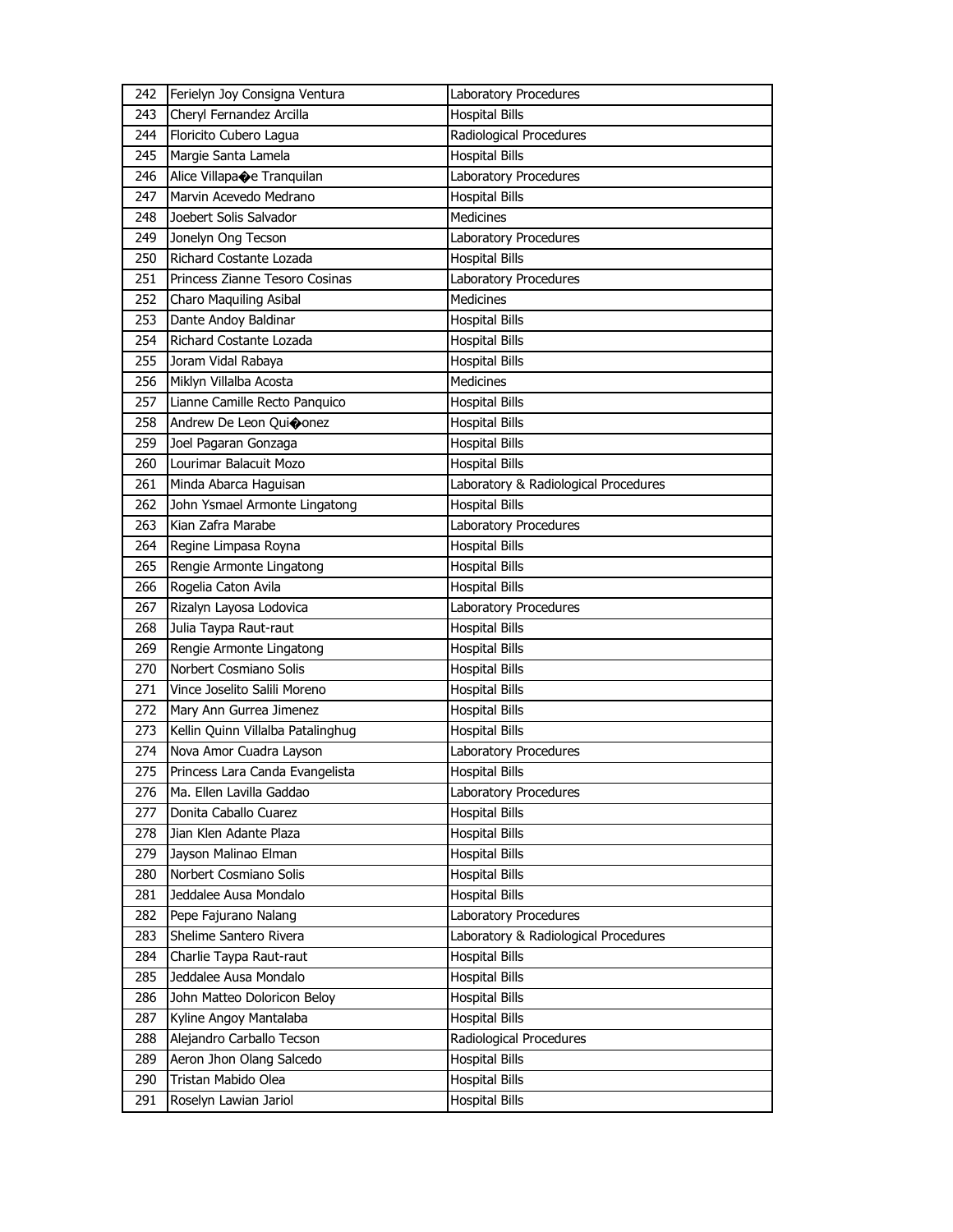| 242 | Ferielyn Joy Consigna Ventura         | Laboratory Procedures                |
|-----|---------------------------------------|--------------------------------------|
| 243 | Cheryl Fernandez Arcilla              | <b>Hospital Bills</b>                |
| 244 | Floricito Cubero Lagua                | Radiological Procedures              |
| 245 | Margie Santa Lamela                   | <b>Hospital Bills</b>                |
| 246 | Alice Villapa $\bigcirc$ e Tranquilan | Laboratory Procedures                |
| 247 | Marvin Acevedo Medrano                | <b>Hospital Bills</b>                |
| 248 | Joebert Solis Salvador                | <b>Medicines</b>                     |
| 249 | Jonelyn Ong Tecson                    | Laboratory Procedures                |
| 250 | Richard Costante Lozada               | <b>Hospital Bills</b>                |
| 251 | Princess Zianne Tesoro Cosinas        | Laboratory Procedures                |
| 252 | Charo Maquiling Asibal                | <b>Medicines</b>                     |
| 253 | Dante Andoy Baldinar                  | <b>Hospital Bills</b>                |
| 254 | Richard Costante Lozada               | <b>Hospital Bills</b>                |
| 255 | Joram Vidal Rabaya                    | <b>Hospital Bills</b>                |
| 256 | Miklyn Villalba Acosta                | Medicines                            |
| 257 | Lianne Camille Recto Panquico         | <b>Hospital Bills</b>                |
| 258 | Andrew De Leon Quiconez               | <b>Hospital Bills</b>                |
| 259 | Joel Pagaran Gonzaga                  | <b>Hospital Bills</b>                |
| 260 | Lourimar Balacuit Mozo                | <b>Hospital Bills</b>                |
| 261 | Minda Abarca Haguisan                 | Laboratory & Radiological Procedures |
| 262 | John Ysmael Armonte Lingatong         | <b>Hospital Bills</b>                |
| 263 | Kian Zafra Marabe                     | Laboratory Procedures                |
| 264 | Regine Limpasa Royna                  | <b>Hospital Bills</b>                |
| 265 | Rengie Armonte Lingatong              | <b>Hospital Bills</b>                |
| 266 | Rogelia Caton Avila                   | <b>Hospital Bills</b>                |
| 267 | Rizalyn Layosa Lodovica               | Laboratory Procedures                |
| 268 | Julia Taypa Raut-raut                 | <b>Hospital Bills</b>                |
| 269 | Rengie Armonte Lingatong              | <b>Hospital Bills</b>                |
| 270 | Norbert Cosmiano Solis                | <b>Hospital Bills</b>                |
| 271 | Vince Joselito Salili Moreno          | <b>Hospital Bills</b>                |
| 272 | Mary Ann Gurrea Jimenez               | <b>Hospital Bills</b>                |
| 273 | Kellin Quinn Villalba Patalinghug     | <b>Hospital Bills</b>                |
| 274 | Nova Amor Cuadra Layson               | Laboratory Procedures                |
| 275 | Princess Lara Canda Evangelista       | <b>Hospital Bills</b>                |
| 276 | Ma. Ellen Lavilla Gaddao              | Laboratory Procedures                |
| 277 | Donita Caballo Cuarez                 | <b>Hospital Bills</b>                |
| 278 | Jian Klen Adante Plaza                | <b>Hospital Bills</b>                |
| 279 | Jayson Malinao Elman                  | <b>Hospital Bills</b>                |
| 280 | Norbert Cosmiano Solis                | <b>Hospital Bills</b>                |
| 281 | Jeddalee Ausa Mondalo                 | <b>Hospital Bills</b>                |
| 282 | Pepe Fajurano Nalang                  | Laboratory Procedures                |
| 283 | Shelime Santero Rivera                | Laboratory & Radiological Procedures |
| 284 | Charlie Taypa Raut-raut               | <b>Hospital Bills</b>                |
| 285 | Jeddalee Ausa Mondalo                 | <b>Hospital Bills</b>                |
| 286 | John Matteo Doloricon Beloy           | <b>Hospital Bills</b>                |
| 287 | Kyline Angoy Mantalaba                | <b>Hospital Bills</b>                |
| 288 | Alejandro Carballo Tecson             | Radiological Procedures              |
| 289 | Aeron Jhon Olang Salcedo              | <b>Hospital Bills</b>                |
| 290 | Tristan Mabido Olea                   | <b>Hospital Bills</b>                |
| 291 | Roselyn Lawian Jariol                 | <b>Hospital Bills</b>                |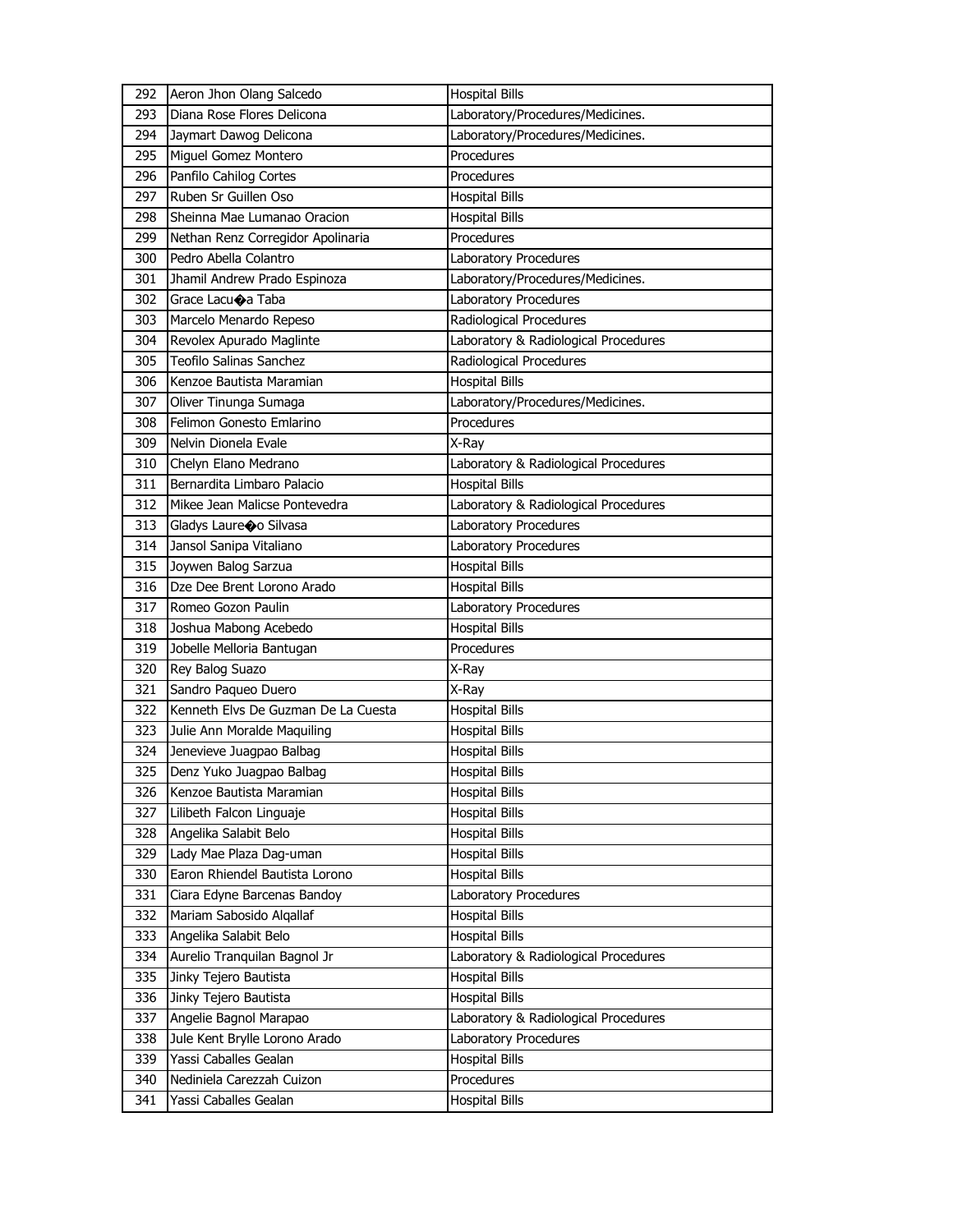| 292 | Aeron Jhon Olang Salcedo            | <b>Hospital Bills</b>                |
|-----|-------------------------------------|--------------------------------------|
| 293 | Diana Rose Flores Delicona          | Laboratory/Procedures/Medicines.     |
| 294 | Jaymart Dawog Delicona              | Laboratory/Procedures/Medicines.     |
| 295 | Miguel Gomez Montero                | Procedures                           |
| 296 | Panfilo Cahilog Cortes              | Procedures                           |
| 297 | Ruben Sr Guillen Oso                | <b>Hospital Bills</b>                |
| 298 | Sheinna Mae Lumanao Oracion         | <b>Hospital Bills</b>                |
| 299 | Nethan Renz Corregidor Apolinaria   | Procedures                           |
| 300 | Pedro Abella Colantro               | Laboratory Procedures                |
| 301 | Jhamil Andrew Prado Espinoza        | Laboratory/Procedures/Medicines.     |
| 302 | Grace Lacu $\bigcirc$ a Taba        | Laboratory Procedures                |
| 303 | Marcelo Menardo Repeso              | Radiological Procedures              |
| 304 | Revolex Apurado Maglinte            | Laboratory & Radiological Procedures |
| 305 | <b>Teofilo Salinas Sanchez</b>      | Radiological Procedures              |
| 306 | Kenzoe Bautista Maramian            | <b>Hospital Bills</b>                |
| 307 | Oliver Tinunga Sumaga               | Laboratory/Procedures/Medicines.     |
| 308 | Felimon Gonesto Emlarino            | Procedures                           |
| 309 | Nelvin Dionela Evale                | X-Ray                                |
| 310 | Chelyn Elano Medrano                | Laboratory & Radiological Procedures |
| 311 | Bernardita Limbaro Palacio          | <b>Hospital Bills</b>                |
| 312 | Mikee Jean Malicse Pontevedra       | Laboratory & Radiological Procedures |
| 313 | Gladys Laureoo Silvasa              | Laboratory Procedures                |
| 314 | Jansol Sanipa Vitaliano             | Laboratory Procedures                |
| 315 | Joywen Balog Sarzua                 | <b>Hospital Bills</b>                |
| 316 | Dze Dee Brent Lorono Arado          | <b>Hospital Bills</b>                |
| 317 | Romeo Gozon Paulin                  | Laboratory Procedures                |
|     |                                     |                                      |
| 318 | Joshua Mabong Acebedo               | <b>Hospital Bills</b>                |
| 319 | Jobelle Melloria Bantugan           | Procedures                           |
| 320 | Rey Balog Suazo                     | X-Ray                                |
| 321 | Sandro Paqueo Duero                 | X-Ray                                |
| 322 | Kenneth Elvs De Guzman De La Cuesta | <b>Hospital Bills</b>                |
| 323 | Julie Ann Moralde Maquiling         | <b>Hospital Bills</b>                |
| 324 | Jenevieve Juagpao Balbag            | <b>Hospital Bills</b>                |
| 325 | Denz Yuko Juagpao Balbag            | <b>Hospital Bills</b>                |
| 326 | Kenzoe Bautista Maramian            | <b>Hospital Bills</b>                |
| 327 | Lilibeth Falcon Linguaje            | <b>Hospital Bills</b>                |
| 328 | Angelika Salabit Belo               | <b>Hospital Bills</b>                |
| 329 | Lady Mae Plaza Dag-uman             | <b>Hospital Bills</b>                |
| 330 | Earon Rhiendel Bautista Lorono      | <b>Hospital Bills</b>                |
| 331 | Ciara Edyne Barcenas Bandoy         | Laboratory Procedures                |
| 332 | Mariam Sabosido Algallaf            | <b>Hospital Bills</b>                |
| 333 | Angelika Salabit Belo               | <b>Hospital Bills</b>                |
| 334 | Aurelio Tranquilan Bagnol Jr        | Laboratory & Radiological Procedures |
| 335 | Jinky Tejero Bautista               | <b>Hospital Bills</b>                |
| 336 | Jinky Tejero Bautista               | <b>Hospital Bills</b>                |
| 337 | Angelie Bagnol Marapao              | Laboratory & Radiological Procedures |
| 338 | Jule Kent Brylle Lorono Arado       | Laboratory Procedures                |
| 339 | Yassi Caballes Gealan               | <b>Hospital Bills</b>                |
| 340 | Nediniela Carezzah Cuizon           | Procedures                           |
| 341 | Yassi Caballes Gealan               | <b>Hospital Bills</b>                |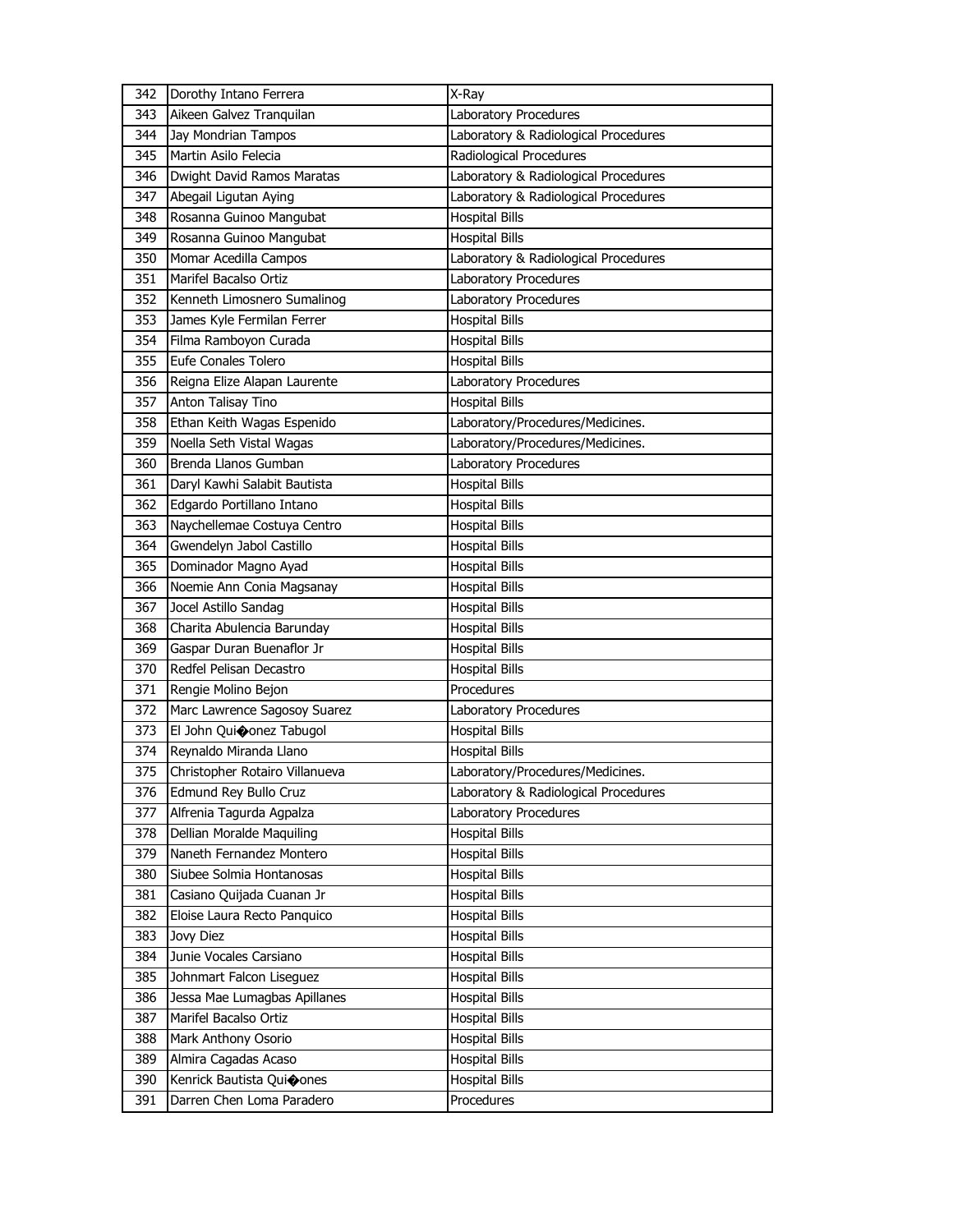| 342 | Dorothy Intano Ferrera         | X-Ray                                |
|-----|--------------------------------|--------------------------------------|
| 343 | Aikeen Galvez Tranquilan       | Laboratory Procedures                |
| 344 | Jay Mondrian Tampos            | Laboratory & Radiological Procedures |
| 345 | Martin Asilo Felecia           | Radiological Procedures              |
| 346 | Dwight David Ramos Maratas     | Laboratory & Radiological Procedures |
| 347 | Abegail Ligutan Aying          | Laboratory & Radiological Procedures |
| 348 | Rosanna Guinoo Mangubat        | <b>Hospital Bills</b>                |
| 349 | Rosanna Guinoo Mangubat        | <b>Hospital Bills</b>                |
| 350 | Momar Acedilla Campos          | Laboratory & Radiological Procedures |
| 351 | Marifel Bacalso Ortiz          | Laboratory Procedures                |
| 352 | Kenneth Limosnero Sumalinog    | Laboratory Procedures                |
| 353 | James Kyle Fermilan Ferrer     | <b>Hospital Bills</b>                |
| 354 | Filma Ramboyon Curada          | <b>Hospital Bills</b>                |
| 355 | Eufe Conales Tolero            | <b>Hospital Bills</b>                |
| 356 | Reigna Elize Alapan Laurente   | Laboratory Procedures                |
| 357 | Anton Talisay Tino             | <b>Hospital Bills</b>                |
| 358 | Ethan Keith Wagas Espenido     | Laboratory/Procedures/Medicines.     |
| 359 | Noella Seth Vistal Wagas       | Laboratory/Procedures/Medicines.     |
| 360 | Brenda Llanos Gumban           | Laboratory Procedures                |
| 361 | Daryl Kawhi Salabit Bautista   | <b>Hospital Bills</b>                |
| 362 | Edgardo Portillano Intano      | Hospital Bills                       |
| 363 | Naychellemae Costuya Centro    | <b>Hospital Bills</b>                |
| 364 | Gwendelyn Jabol Castillo       | <b>Hospital Bills</b>                |
| 365 | Dominador Magno Ayad           | <b>Hospital Bills</b>                |
| 366 | Noemie Ann Conia Magsanay      | <b>Hospital Bills</b>                |
|     | Jocel Astillo Sandag           |                                      |
| 367 |                                | Hospital Bills                       |
| 368 | Charita Abulencia Barunday     | Hospital Bills                       |
| 369 | Gaspar Duran Buenaflor Jr      | Hospital Bills                       |
| 370 | Redfel Pelisan Decastro        | <b>Hospital Bills</b>                |
| 371 | Rengie Molino Bejon            | Procedures                           |
| 372 | Marc Lawrence Sagosoy Suarez   | Laboratory Procedures                |
| 373 | El John Quioonez Tabugol       | <b>Hospital Bills</b>                |
| 374 | Reynaldo Miranda Llano         | <b>Hospital Bills</b>                |
| 375 | Christopher Rotairo Villanueva | Laboratory/Procedures/Medicines.     |
| 376 | Edmund Rey Bullo Cruz          | Laboratory & Radiological Procedures |
| 377 | Alfrenia Tagurda Agpalza       | Laboratory Procedures                |
| 378 | Dellian Moralde Maquiling      | <b>Hospital Bills</b>                |
| 379 | Naneth Fernandez Montero       | <b>Hospital Bills</b>                |
| 380 | Siubee Solmia Hontanosas       | <b>Hospital Bills</b>                |
| 381 | Casiano Quijada Cuanan Jr      | <b>Hospital Bills</b>                |
| 382 | Eloise Laura Recto Panquico    | <b>Hospital Bills</b>                |
| 383 | Jovy Diez                      | <b>Hospital Bills</b>                |
| 384 | Junie Vocales Carsiano         | <b>Hospital Bills</b>                |
| 385 | Johnmart Falcon Liseguez       | <b>Hospital Bills</b>                |
| 386 | Jessa Mae Lumagbas Apillanes   | <b>Hospital Bills</b>                |
| 387 | Marifel Bacalso Ortiz          | <b>Hospital Bills</b>                |
| 388 | Mark Anthony Osorio            | <b>Hospital Bills</b>                |
| 389 | Almira Cagadas Acaso           | <b>Hospital Bills</b>                |
| 390 | Kenrick Bautista Quioones      | <b>Hospital Bills</b>                |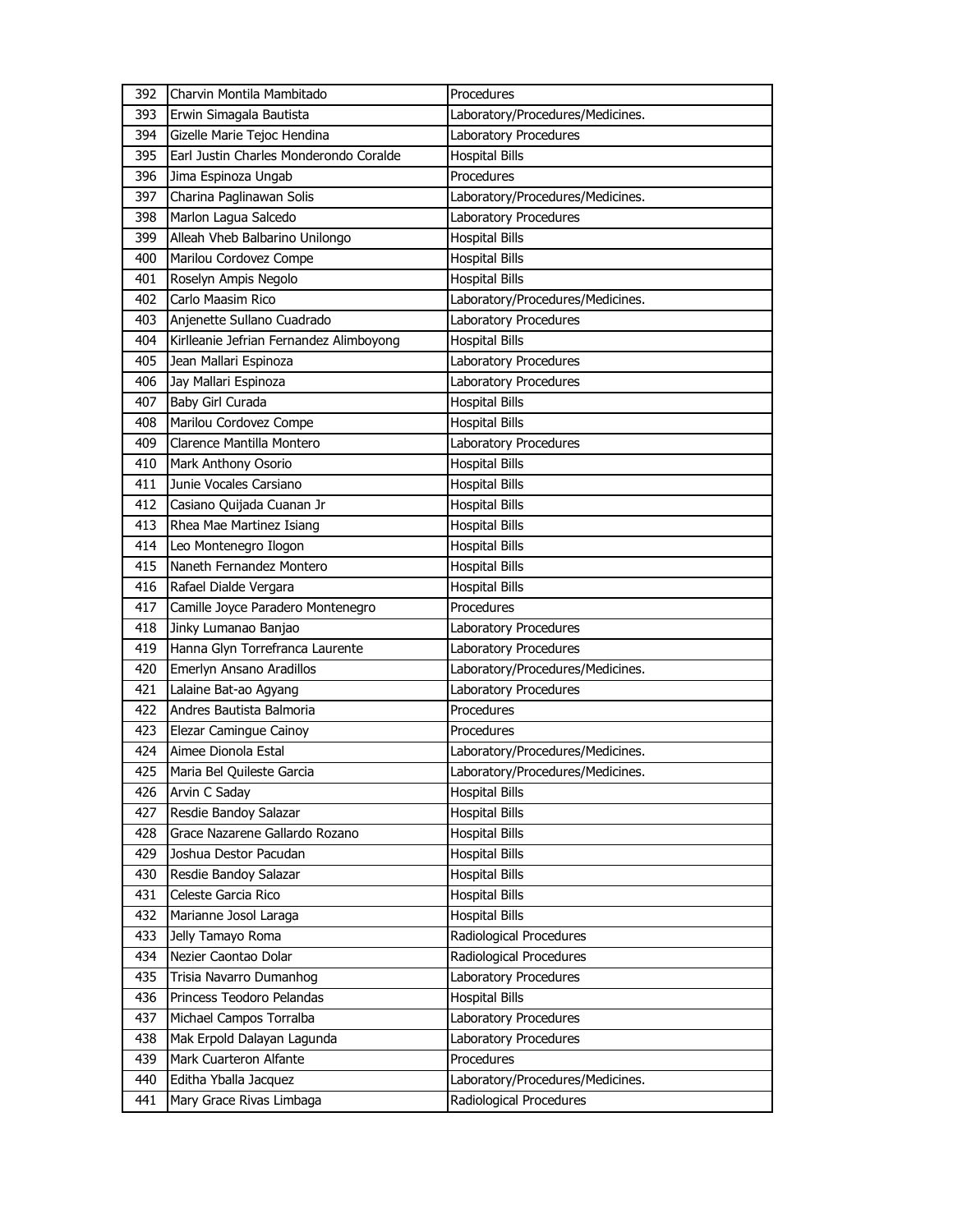| 392 | Charvin Montila Mambitado               | Procedures                       |
|-----|-----------------------------------------|----------------------------------|
| 393 | Erwin Simagala Bautista                 | Laboratory/Procedures/Medicines. |
| 394 | Gizelle Marie Tejoc Hendina             | Laboratory Procedures            |
| 395 | Earl Justin Charles Monderondo Coralde  | <b>Hospital Bills</b>            |
| 396 | Jima Espinoza Ungab                     | Procedures                       |
| 397 | Charina Paglinawan Solis                | Laboratory/Procedures/Medicines. |
| 398 | Marlon Lagua Salcedo                    | Laboratory Procedures            |
| 399 | Alleah Vheb Balbarino Unilongo          | <b>Hospital Bills</b>            |
| 400 | Marilou Cordovez Compe                  | <b>Hospital Bills</b>            |
| 401 | Roselyn Ampis Negolo                    | <b>Hospital Bills</b>            |
| 402 | Carlo Maasim Rico                       | Laboratory/Procedures/Medicines. |
| 403 | Anjenette Sullano Cuadrado              | Laboratory Procedures            |
| 404 | Kirlleanie Jefrian Fernandez Alimboyong | <b>Hospital Bills</b>            |
| 405 | Jean Mallari Espinoza                   | Laboratory Procedures            |
| 406 | Jay Mallari Espinoza                    | Laboratory Procedures            |
| 407 | Baby Girl Curada                        | <b>Hospital Bills</b>            |
| 408 | Marilou Cordovez Compe                  | <b>Hospital Bills</b>            |
| 409 | Clarence Mantilla Montero               | Laboratory Procedures            |
| 410 | Mark Anthony Osorio                     | <b>Hospital Bills</b>            |
| 411 | Junie Vocales Carsiano                  | <b>Hospital Bills</b>            |
| 412 | Casiano Quijada Cuanan Jr               | <b>Hospital Bills</b>            |
| 413 | Rhea Mae Martinez Isiang                | <b>Hospital Bills</b>            |
| 414 | Leo Montenegro Ilogon                   | <b>Hospital Bills</b>            |
| 415 | Naneth Fernandez Montero                | <b>Hospital Bills</b>            |
| 416 | Rafael Dialde Vergara                   | <b>Hospital Bills</b>            |
| 417 | Camille Joyce Paradero Montenegro       | Procedures                       |
|     |                                         |                                  |
| 418 | Jinky Lumanao Banjao                    | Laboratory Procedures            |
| 419 | Hanna Glyn Torrefranca Laurente         | Laboratory Procedures            |
| 420 | Emerlyn Ansano Aradillos                | Laboratory/Procedures/Medicines. |
| 421 | Lalaine Bat-ao Agyang                   | <b>Laboratory Procedures</b>     |
| 422 | Andres Bautista Balmoria                | Procedures                       |
| 423 | Elezar Camingue Cainoy                  | Procedures                       |
| 424 | Aimee Dionola Estal                     | Laboratory/Procedures/Medicines. |
| 425 | Maria Bel Quileste Garcia               | Laboratory/Procedures/Medicines. |
| 426 | Arvin C Saday                           | <b>Hospital Bills</b>            |
| 427 | Resdie Bandoy Salazar                   | <b>Hospital Bills</b>            |
| 428 | Grace Nazarene Gallardo Rozano          | <b>Hospital Bills</b>            |
| 429 | Joshua Destor Pacudan                   | <b>Hospital Bills</b>            |
| 430 | Resdie Bandoy Salazar                   | <b>Hospital Bills</b>            |
| 431 | Celeste Garcia Rico                     | <b>Hospital Bills</b>            |
| 432 | Marianne Josol Laraga                   | <b>Hospital Bills</b>            |
| 433 | Jelly Tamayo Roma                       | Radiological Procedures          |
| 434 | Nezier Caontao Dolar                    | Radiological Procedures          |
| 435 | Trisia Navarro Dumanhog                 | Laboratory Procedures            |
| 436 | Princess Teodoro Pelandas               | <b>Hospital Bills</b>            |
| 437 | Michael Campos Torralba                 | Laboratory Procedures            |
| 438 | Mak Erpold Dalayan Lagunda              | Laboratory Procedures            |
| 439 | Mark Cuarteron Alfante                  | Procedures                       |
| 440 | Editha Yballa Jacquez                   | Laboratory/Procedures/Medicines. |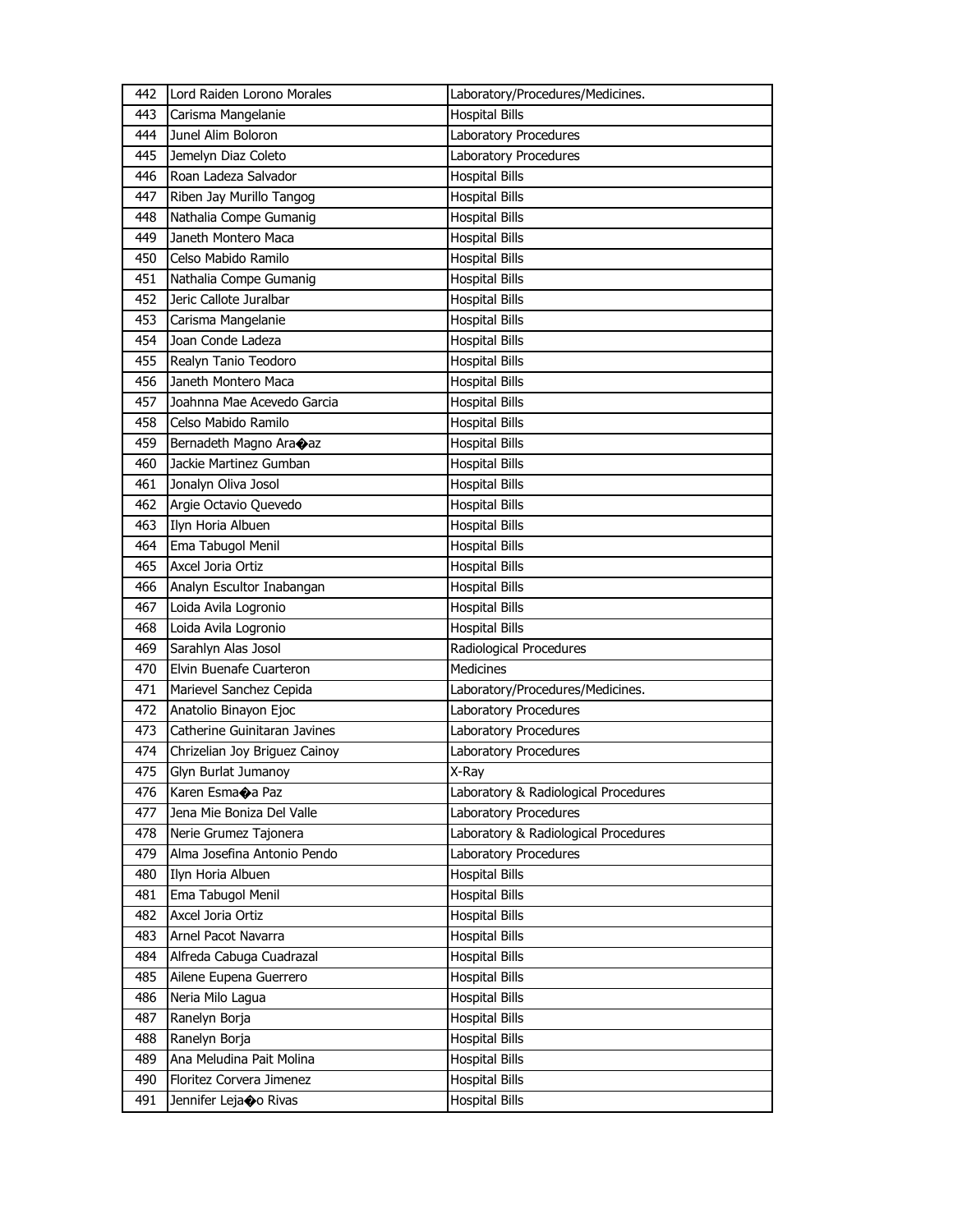| 442 | Lord Raiden Lorono Morales                        | Laboratory/Procedures/Medicines.     |
|-----|---------------------------------------------------|--------------------------------------|
| 443 | Carisma Mangelanie                                | <b>Hospital Bills</b>                |
| 444 | Junel Alim Boloron                                | Laboratory Procedures                |
| 445 | Jemelyn Diaz Coleto                               | Laboratory Procedures                |
| 446 | Roan Ladeza Salvador                              | <b>Hospital Bills</b>                |
| 447 | Riben Jay Murillo Tangog                          | <b>Hospital Bills</b>                |
| 448 | Nathalia Compe Gumanig                            | <b>Hospital Bills</b>                |
| 449 | Janeth Montero Maca                               | Hospital Bills                       |
| 450 | Celso Mabido Ramilo                               | <b>Hospital Bills</b>                |
| 451 | Nathalia Compe Gumanig                            | <b>Hospital Bills</b>                |
| 452 | Jeric Callote Juralbar                            | <b>Hospital Bills</b>                |
| 453 | Carisma Mangelanie                                | <b>Hospital Bills</b>                |
| 454 | Joan Conde Ladeza                                 | <b>Hospital Bills</b>                |
| 455 | Realyn Tanio Teodoro                              | <b>Hospital Bills</b>                |
| 456 | Janeth Montero Maca                               | <b>Hospital Bills</b>                |
| 457 | Joahnna Mae Acevedo Garcia                        | <b>Hospital Bills</b>                |
| 458 | Celso Mabido Ramilo                               | <b>Hospital Bills</b>                |
| 459 | Bernadeth Magno Ara $\bullet$ az                  | <b>Hospital Bills</b>                |
| 460 | Jackie Martinez Gumban                            | <b>Hospital Bills</b>                |
| 461 | Jonalyn Oliva Josol                               | <b>Hospital Bills</b>                |
| 462 | Argie Octavio Quevedo                             | <b>Hospital Bills</b>                |
| 463 | Ilyn Horia Albuen                                 | <b>Hospital Bills</b>                |
| 464 | Ema Tabugol Menil                                 | <b>Hospital Bills</b>                |
| 465 | Axcel Joria Ortiz                                 | <b>Hospital Bills</b>                |
| 466 | Analyn Escultor Inabangan                         | <b>Hospital Bills</b>                |
| 467 | Loida Avila Logronio                              | <b>Hospital Bills</b>                |
|     |                                                   |                                      |
| 468 | Loida Avila Logronio                              | <b>Hospital Bills</b>                |
| 469 | Sarahlyn Alas Josol                               | Radiological Procedures              |
| 470 | Elvin Buenafe Cuarteron                           | <b>Medicines</b>                     |
| 471 | Marievel Sanchez Cepida                           | Laboratory/Procedures/Medicines.     |
| 472 | Anatolio Binayon Ejoc                             | Laboratory Procedures                |
| 473 | Catherine Guinitaran Javines                      | Laboratory Procedures                |
| 474 | Chrizelian Joy Briguez Cainoy                     | Laboratory Procedures                |
| 475 | Glyn Burlat Jumanoy                               | X-Ray                                |
| 476 | Karen Esmaoa Paz                                  | Laboratory & Radiological Procedures |
| 477 | Jena Mie Boniza Del Valle                         | Laboratory Procedures                |
| 478 | Nerie Grumez Tajonera                             | Laboratory & Radiological Procedures |
| 479 | Alma Josefina Antonio Pendo                       | Laboratory Procedures                |
| 480 | Ilyn Horia Albuen                                 | <b>Hospital Bills</b>                |
| 481 | Ema Tabugol Menil                                 | <b>Hospital Bills</b>                |
| 482 | Axcel Joria Ortiz                                 | <b>Hospital Bills</b>                |
| 483 | Arnel Pacot Navarra                               | <b>Hospital Bills</b>                |
| 484 | Alfreda Cabuga Cuadrazal                          | <b>Hospital Bills</b>                |
| 485 | Ailene Eupena Guerrero                            | <b>Hospital Bills</b>                |
| 486 | Neria Milo Lagua                                  | <b>Hospital Bills</b>                |
| 487 | Ranelyn Borja                                     | <b>Hospital Bills</b>                |
| 488 | Ranelyn Borja                                     | <b>Hospital Bills</b>                |
| 489 | Ana Meludina Pait Molina                          | <b>Hospital Bills</b>                |
| 490 | Floritez Corvera Jimenez<br>Jennifer Leja�o Rivas | <b>Hospital Bills</b>                |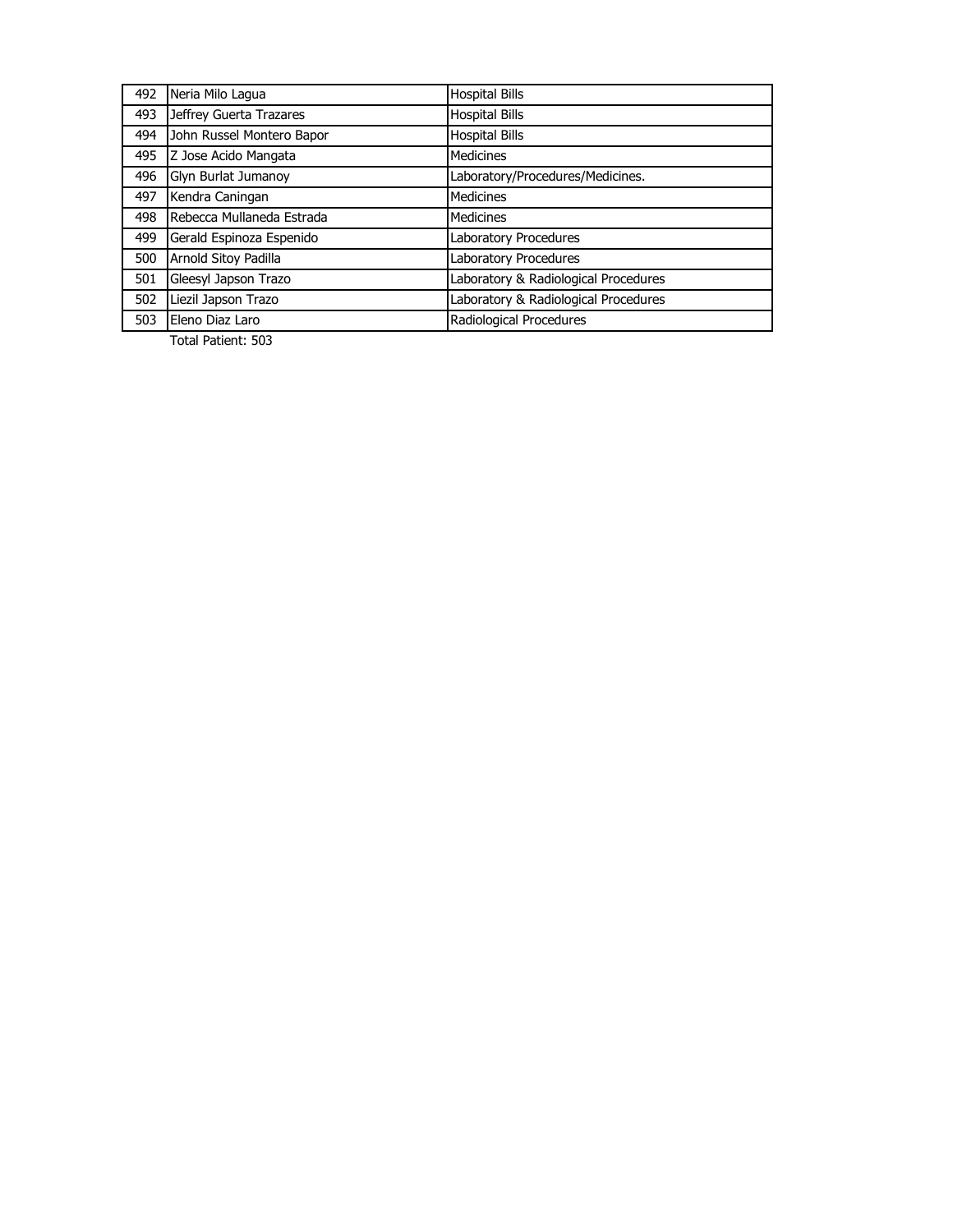| 492 | Neria Milo Lagua          | <b>Hospital Bills</b>                |
|-----|---------------------------|--------------------------------------|
| 493 | Jeffrey Guerta Trazares   | <b>Hospital Bills</b>                |
| 494 | John Russel Montero Bapor | <b>Hospital Bills</b>                |
| 495 | Z Jose Acido Mangata      | Medicines                            |
| 496 | Glyn Burlat Jumanoy       | Laboratory/Procedures/Medicines.     |
| 497 | Kendra Caningan           | Medicines                            |
| 498 | Rebecca Mullaneda Estrada | Medicines                            |
| 499 | Gerald Espinoza Espenido  | Laboratory Procedures                |
| 500 | Arnold Sitoy Padilla      | Laboratory Procedures                |
| 501 | Gleesyl Japson Trazo      | Laboratory & Radiological Procedures |
| 502 | Liezil Japson Trazo       | Laboratory & Radiological Procedures |
| 503 | Eleno Diaz Laro           | Radiological Procedures              |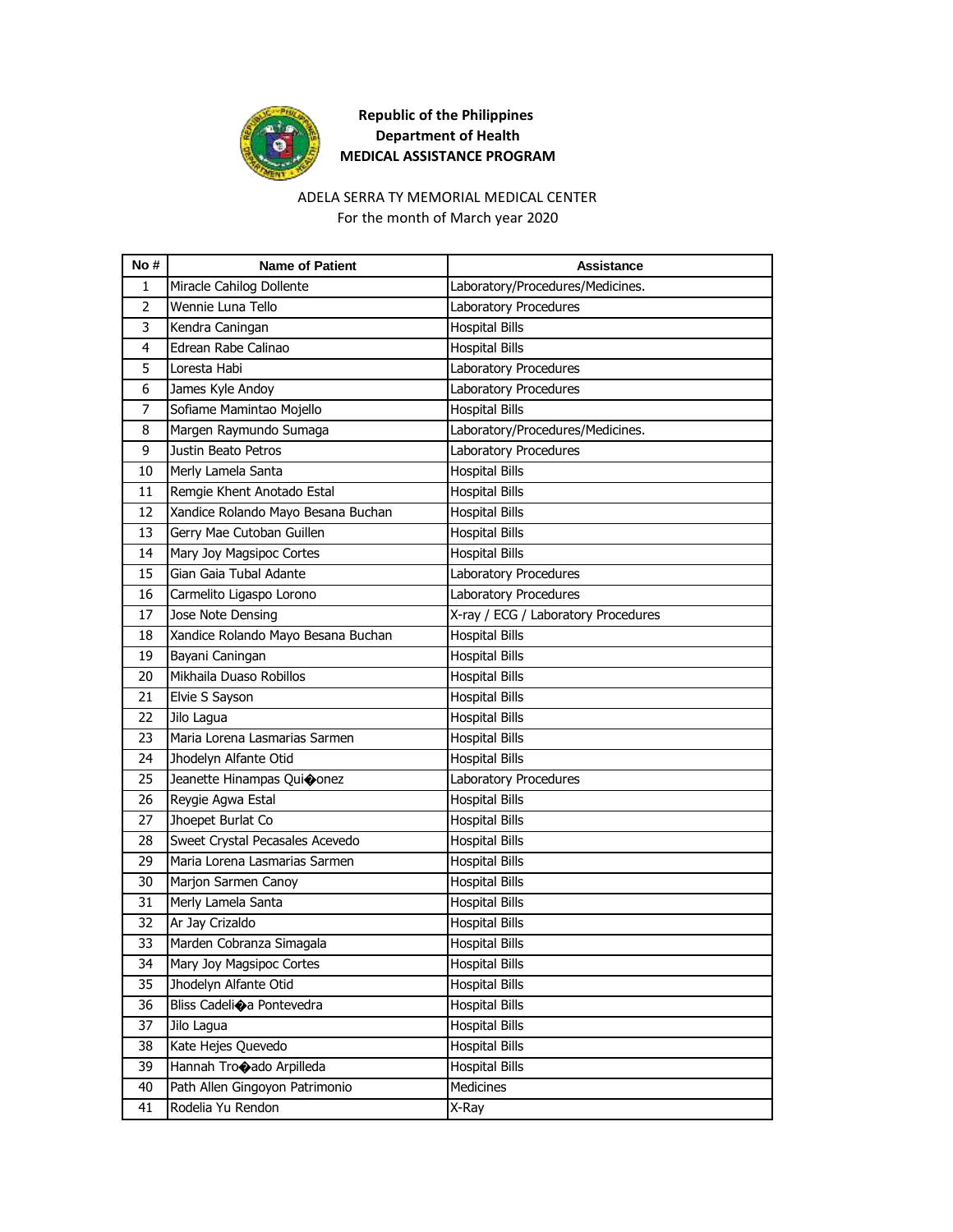

#### ADELA SERRA TY MEMORIAL MEDICAL CENTER For the month of March year 2020

| No#            | <b>Name of Patient</b>             | <b>Assistance</b>                   |
|----------------|------------------------------------|-------------------------------------|
| 1              | Miracle Cahilog Dollente           | Laboratory/Procedures/Medicines.    |
| $\overline{2}$ | Wennie Luna Tello                  | Laboratory Procedures               |
| 3              | Kendra Caningan                    | <b>Hospital Bills</b>               |
| 4              | Edrean Rabe Calinao                | <b>Hospital Bills</b>               |
| 5              | Loresta Habi                       | Laboratory Procedures               |
| 6              | James Kyle Andoy                   | Laboratory Procedures               |
| 7              | Sofiame Mamintao Mojello           | <b>Hospital Bills</b>               |
| 8              | Margen Raymundo Sumaga             | Laboratory/Procedures/Medicines.    |
| 9              | Justin Beato Petros                | Laboratory Procedures               |
| 10             | Merly Lamela Santa                 | <b>Hospital Bills</b>               |
| 11             | Remgie Khent Anotado Estal         | <b>Hospital Bills</b>               |
| 12             | Xandice Rolando Mayo Besana Buchan | <b>Hospital Bills</b>               |
| 13             | Gerry Mae Cutoban Guillen          | <b>Hospital Bills</b>               |
| 14             | Mary Joy Magsipoc Cortes           | <b>Hospital Bills</b>               |
| 15             | Gian Gaia Tubal Adante             | Laboratory Procedures               |
| 16             | Carmelito Ligaspo Lorono           | Laboratory Procedures               |
| 17             | Jose Note Densing                  | X-ray / ECG / Laboratory Procedures |
| 18             | Xandice Rolando Mayo Besana Buchan | <b>Hospital Bills</b>               |
| 19             | Bayani Caningan                    | <b>Hospital Bills</b>               |
| 20             | Mikhaila Duaso Robillos            | <b>Hospital Bills</b>               |
| 21             | Elvie S Sayson                     | <b>Hospital Bills</b>               |
| 22             | Jilo Lagua                         | <b>Hospital Bills</b>               |
| 23             | Maria Lorena Lasmarias Sarmen      | <b>Hospital Bills</b>               |
| 24             | Jhodelyn Alfante Otid              | <b>Hospital Bills</b>               |
| 25             | Jeanette Hinampas Quioonez         | Laboratory Procedures               |
| 26             | Reygie Agwa Estal                  | <b>Hospital Bills</b>               |
| 27             | Jhoepet Burlat Co                  | <b>Hospital Bills</b>               |
| 28             | Sweet Crystal Pecasales Acevedo    | Hospital Bills                      |
| 29             | Maria Lorena Lasmarias Sarmen      | <b>Hospital Bills</b>               |
| 30             | Marjon Sarmen Canoy                | <b>Hospital Bills</b>               |
| 31             | Merly Lamela Santa                 | <b>Hospital Bills</b>               |
| 32             | Ar Jay Crizaldo                    | <b>Hospital Bills</b>               |
| 33             | Marden Cobranza Simagala           | Hospital Bills                      |
| 34             | Mary Joy Magsipoc Cortes           | <b>Hospital Bills</b>               |
| 35             | Jhodelyn Alfante Otid              | <b>Hospital Bills</b>               |
| 36             | Bliss Cadelioa Pontevedra          | <b>Hospital Bills</b>               |
| 37             | Jilo Lagua                         | <b>Hospital Bills</b>               |
| 38             | Kate Hejes Quevedo                 | <b>Hospital Bills</b>               |
| 39             | Hannah Trooado Arpilleda           | <b>Hospital Bills</b>               |
| 40             | Path Allen Gingoyon Patrimonio     | Medicines                           |
| 41             | Rodelia Yu Rendon                  | X-Ray                               |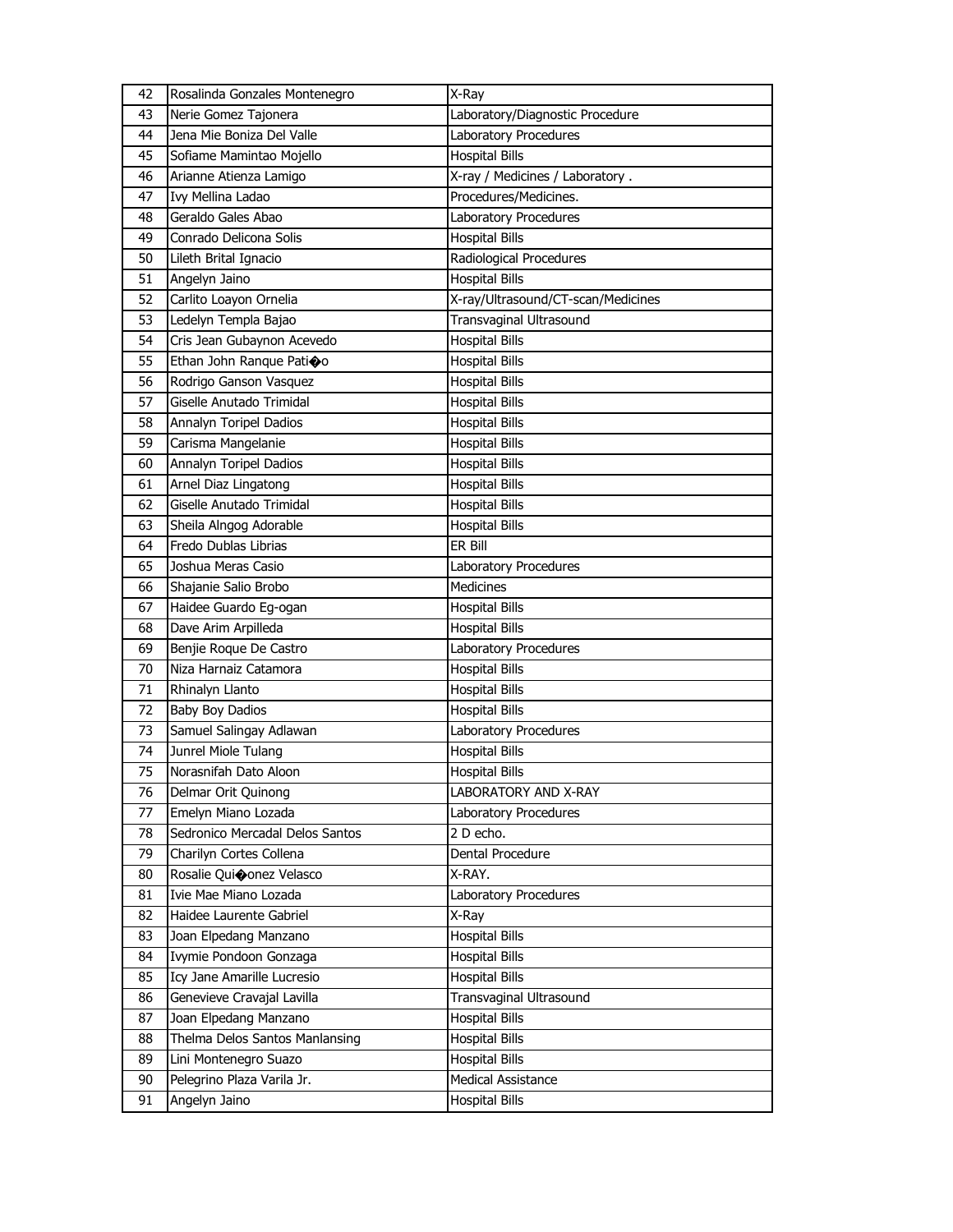| 42 | Rosalinda Gonzales Montenegro   | $\overline{X}$ -Ray                |
|----|---------------------------------|------------------------------------|
| 43 | Nerie Gomez Tajonera            | Laboratory/Diagnostic Procedure    |
| 44 | Jena Mie Boniza Del Valle       | Laboratory Procedures              |
| 45 | Sofiame Mamintao Mojello        | <b>Hospital Bills</b>              |
| 46 | Arianne Atienza Lamigo          | X-ray / Medicines / Laboratory .   |
| 47 | Ivy Mellina Ladao               | Procedures/Medicines.              |
| 48 | Geraldo Gales Abao              | Laboratory Procedures              |
| 49 | Conrado Delicona Solis          | <b>Hospital Bills</b>              |
| 50 | Lileth Brital Ignacio           | Radiological Procedures            |
| 51 | Angelyn Jaino                   | <b>Hospital Bills</b>              |
| 52 | Carlito Loayon Ornelia          | X-ray/Ultrasound/CT-scan/Medicines |
| 53 | Ledelyn Templa Bajao            | Transvaginal Ultrasound            |
| 54 | Cris Jean Gubaynon Acevedo      | <b>Hospital Bills</b>              |
| 55 | Ethan John Ranque Patioo        | <b>Hospital Bills</b>              |
| 56 | Rodrigo Ganson Vasquez          | <b>Hospital Bills</b>              |
| 57 | Giselle Anutado Trimidal        | <b>Hospital Bills</b>              |
| 58 | Annalyn Toripel Dadios          | <b>Hospital Bills</b>              |
| 59 | Carisma Mangelanie              | <b>Hospital Bills</b>              |
| 60 | Annalyn Toripel Dadios          | <b>Hospital Bills</b>              |
| 61 | Arnel Diaz Lingatong            | <b>Hospital Bills</b>              |
| 62 | Giselle Anutado Trimidal        | <b>Hospital Bills</b>              |
| 63 | Sheila Alngog Adorable          | <b>Hospital Bills</b>              |
| 64 | Fredo Dublas Librias            | ER Bill                            |
| 65 | Joshua Meras Casio              | Laboratory Procedures              |
| 66 | Shajanie Salio Brobo            | <b>Medicines</b>                   |
| 67 | Haidee Guardo Eg-ogan           | <b>Hospital Bills</b>              |
| 68 | Dave Arim Arpilleda             | <b>Hospital Bills</b>              |
| 69 | Benjie Roque De Castro          | Laboratory Procedures              |
| 70 | Niza Harnaiz Catamora           | <b>Hospital Bills</b>              |
| 71 | Rhinalyn Llanto                 | <b>Hospital Bills</b>              |
| 72 | <b>Baby Boy Dadios</b>          | <b>Hospital Bills</b>              |
| 73 | Samuel Salingay Adlawan         | Laboratory Procedures              |
| 74 | Junrel Miole Tulang             | <b>Hospital Bills</b>              |
| 75 | Norasnifah Dato Aloon           | <b>Hospital Bills</b>              |
| 76 | Delmar Orit Quinong             | LABORATORY AND X-RAY               |
| 77 | Emelyn Miano Lozada             | Laboratory Procedures              |
| 78 | Sedronico Mercadal Delos Santos | 2 D echo.                          |
| 79 | Charilyn Cortes Collena         | Dental Procedure                   |
| 80 | Rosalie Quiconez Velasco        | X-RAY.                             |
| 81 | Ivie Mae Miano Lozada           | Laboratory Procedures              |
| 82 | Haidee Laurente Gabriel         | X-Ray                              |
| 83 | Joan Elpedang Manzano           | <b>Hospital Bills</b>              |
| 84 | Ivymie Pondoon Gonzaga          | <b>Hospital Bills</b>              |
| 85 | Icy Jane Amarille Lucresio      | <b>Hospital Bills</b>              |
| 86 | Genevieve Cravajal Lavilla      | Transvaginal Ultrasound            |
| 87 | Joan Elpedang Manzano           | <b>Hospital Bills</b>              |
| 88 | Thelma Delos Santos Manlansing  | <b>Hospital Bills</b>              |
| 89 | Lini Montenegro Suazo           | <b>Hospital Bills</b>              |
| 90 | Pelegrino Plaza Varila Jr.      | Medical Assistance                 |
| 91 | Angelyn Jaino                   | <b>Hospital Bills</b>              |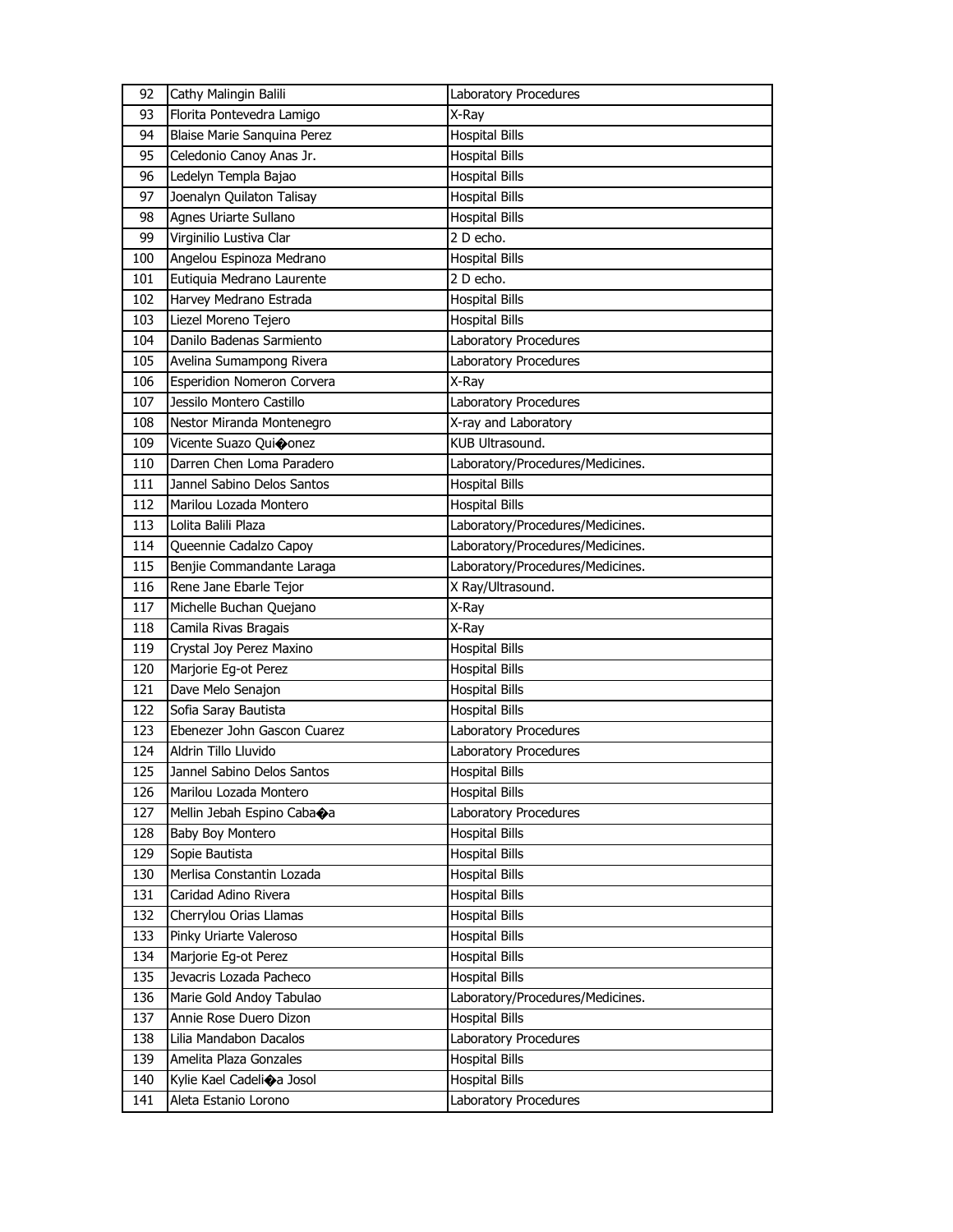|     | Cathy Malingin Balili       | Laboratory Procedures            |
|-----|-----------------------------|----------------------------------|
| 93  | Florita Pontevedra Lamigo   | X-Ray                            |
| 94  | Blaise Marie Sanquina Perez | <b>Hospital Bills</b>            |
| 95  | Celedonio Canoy Anas Jr.    | <b>Hospital Bills</b>            |
| 96  | Ledelyn Templa Bajao        | <b>Hospital Bills</b>            |
| 97  | Joenalyn Quilaton Talisay   | <b>Hospital Bills</b>            |
| 98  | Agnes Uriarte Sullano       | <b>Hospital Bills</b>            |
| 99  | Virginilio Lustiva Clar     | 2 D echo.                        |
| 100 | Angelou Espinoza Medrano    | <b>Hospital Bills</b>            |
| 101 | Eutiquia Medrano Laurente   | 2 D echo.                        |
| 102 | Harvey Medrano Estrada      | <b>Hospital Bills</b>            |
| 103 | Liezel Moreno Tejero        | <b>Hospital Bills</b>            |
| 104 | Danilo Badenas Sarmiento    | Laboratory Procedures            |
| 105 | Avelina Sumampong Rivera    | Laboratory Procedures            |
| 106 | Esperidion Nomeron Corvera  | X-Ray                            |
| 107 | Jessilo Montero Castillo    | Laboratory Procedures            |
| 108 | Nestor Miranda Montenegro   | X-ray and Laboratory             |
| 109 | Vicente Suazo Quioonez      | KUB Ultrasound.                  |
| 110 | Darren Chen Loma Paradero   | Laboratory/Procedures/Medicines. |
| 111 | Jannel Sabino Delos Santos  | <b>Hospital Bills</b>            |
| 112 | Marilou Lozada Montero      | <b>Hospital Bills</b>            |
| 113 | Lolita Balili Plaza         | Laboratory/Procedures/Medicines. |
| 114 | Queennie Cadalzo Capoy      | Laboratory/Procedures/Medicines. |
| 115 | Benjie Commandante Laraga   | Laboratory/Procedures/Medicines. |
| 116 | Rene Jane Ebarle Tejor      | X Ray/Ultrasound.                |
| 117 | Michelle Buchan Quejano     | X-Ray                            |
| 118 | Camila Rivas Bragais        | X-Ray                            |
| 119 | Crystal Joy Perez Maxino    | <b>Hospital Bills</b>            |
| 120 | Marjorie Eg-ot Perez        | <b>Hospital Bills</b>            |
| 121 | Dave Melo Senajon           | <b>Hospital Bills</b>            |
| 122 | Sofia Saray Bautista        | <b>Hospital Bills</b>            |
| 123 | Ebenezer John Gascon Cuarez | Laboratory Procedures            |
| 124 |                             |                                  |
|     | Aldrin Tillo Lluvido        | Laboratory Procedures            |
| 125 | Jannel Sabino Delos Santos  | <b>Hospital Bills</b>            |
| 126 | Marilou Lozada Montero      | <b>Hospital Bills</b>            |
| 127 | Mellin Jebah Espino Caba�a  | Laboratory Procedures            |
| 128 | Baby Boy Montero            | <b>Hospital Bills</b>            |
| 129 | Sopie Bautista              | <b>Hospital Bills</b>            |
| 130 | Merlisa Constantin Lozada   | <b>Hospital Bills</b>            |
| 131 | Caridad Adino Rivera        | <b>Hospital Bills</b>            |
| 132 | Cherrylou Orias Llamas      | <b>Hospital Bills</b>            |
| 133 | Pinky Uriarte Valeroso      | Hospital Bills                   |
| 134 | Marjorie Eg-ot Perez        | <b>Hospital Bills</b>            |
| 135 | Jevacris Lozada Pacheco     | <b>Hospital Bills</b>            |
| 136 | Marie Gold Andoy Tabulao    | Laboratory/Procedures/Medicines. |
| 137 | Annie Rose Duero Dizon      | <b>Hospital Bills</b>            |
| 138 | Lilia Mandabon Dacalos      | Laboratory Procedures            |
| 139 | Amelita Plaza Gonzales      | <b>Hospital Bills</b>            |
| 140 | Kylie Kael Cadelioa Josol   | <b>Hospital Bills</b>            |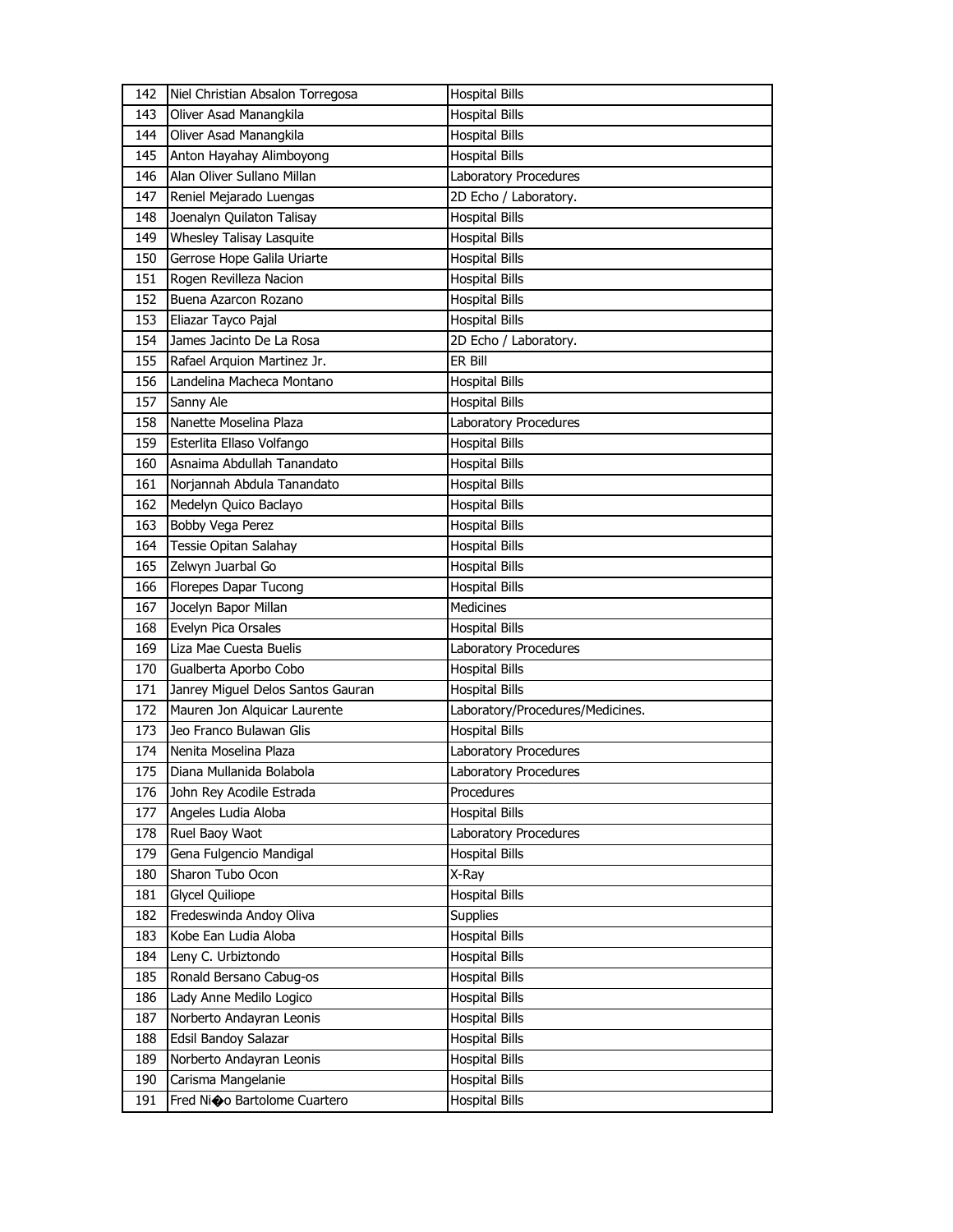| 142 | Niel Christian Absalon Torregosa  | <b>Hospital Bills</b>            |
|-----|-----------------------------------|----------------------------------|
| 143 | Oliver Asad Manangkila            | <b>Hospital Bills</b>            |
| 144 | Oliver Asad Manangkila            | <b>Hospital Bills</b>            |
| 145 | Anton Hayahay Alimboyong          | <b>Hospital Bills</b>            |
| 146 | Alan Oliver Sullano Millan        | Laboratory Procedures            |
| 147 | Reniel Mejarado Luengas           | 2D Echo / Laboratory.            |
| 148 | Joenalyn Quilaton Talisay         | <b>Hospital Bills</b>            |
| 149 | Whesley Talisay Lasquite          | <b>Hospital Bills</b>            |
| 150 | Gerrose Hope Galila Uriarte       | <b>Hospital Bills</b>            |
| 151 | Rogen Revilleza Nacion            | <b>Hospital Bills</b>            |
| 152 | Buena Azarcon Rozano              | <b>Hospital Bills</b>            |
| 153 | Eliazar Tayco Pajal               | <b>Hospital Bills</b>            |
| 154 | James Jacinto De La Rosa          | 2D Echo / Laboratory.            |
| 155 | Rafael Arquion Martinez Jr.       | ER Bill                          |
| 156 | Landelina Macheca Montano         | <b>Hospital Bills</b>            |
| 157 | Sanny Ale                         | <b>Hospital Bills</b>            |
| 158 | Nanette Moselina Plaza            | Laboratory Procedures            |
| 159 | Esterlita Ellaso Volfango         | <b>Hospital Bills</b>            |
| 160 | Asnaima Abdullah Tanandato        | <b>Hospital Bills</b>            |
| 161 | Norjannah Abdula Tanandato        | <b>Hospital Bills</b>            |
| 162 | Medelyn Quico Baclayo             | <b>Hospital Bills</b>            |
| 163 | Bobby Vega Perez                  | <b>Hospital Bills</b>            |
| 164 | Tessie Opitan Salahay             | <b>Hospital Bills</b>            |
| 165 | Zelwyn Juarbal Go                 | <b>Hospital Bills</b>            |
| 166 | Florepes Dapar Tucong             | <b>Hospital Bills</b>            |
|     | Jocelyn Bapor Millan              |                                  |
| 167 |                                   | <b>Medicines</b>                 |
| 168 | Evelyn Pica Orsales               | <b>Hospital Bills</b>            |
| 169 | Liza Mae Cuesta Buelis            | Laboratory Procedures            |
| 170 | Gualberta Aporbo Cobo             | <b>Hospital Bills</b>            |
| 171 | Janrey Miguel Delos Santos Gauran | <b>Hospital Bills</b>            |
| 172 | Mauren Jon Alquicar Laurente      | Laboratory/Procedures/Medicines. |
| 173 | Jeo Franco Bulawan Glis           | <b>Hospital Bills</b>            |
| 174 | Nenita Moselina Plaza             | Laboratory Procedures            |
| 175 | Diana Mullanida Bolabola          | Laboratory Procedures            |
| 176 | John Rey Acodile Estrada          | Procedures                       |
| 177 | Angeles Ludia Aloba               | <b>Hospital Bills</b>            |
| 178 | Ruel Baoy Waot                    | Laboratory Procedures            |
| 179 | Gena Fulgencio Mandigal           | <b>Hospital Bills</b>            |
| 180 | Sharon Tubo Ocon                  | X-Ray                            |
| 181 | <b>Glycel Quiliope</b>            | <b>Hospital Bills</b>            |
| 182 | Fredeswinda Andoy Oliva           | <b>Supplies</b>                  |
| 183 | Kobe Ean Ludia Aloba              | <b>Hospital Bills</b>            |
| 184 | Leny C. Urbiztondo                | <b>Hospital Bills</b>            |
| 185 | Ronald Bersano Cabug-os           | <b>Hospital Bills</b>            |
| 186 | Lady Anne Medilo Logico           | <b>Hospital Bills</b>            |
| 187 | Norberto Andayran Leonis          | <b>Hospital Bills</b>            |
| 188 | Edsil Bandoy Salazar              | <b>Hospital Bills</b>            |
| 189 | Norberto Andayran Leonis          | <b>Hospital Bills</b>            |
| 190 | Carisma Mangelanie                | <b>Hospital Bills</b>            |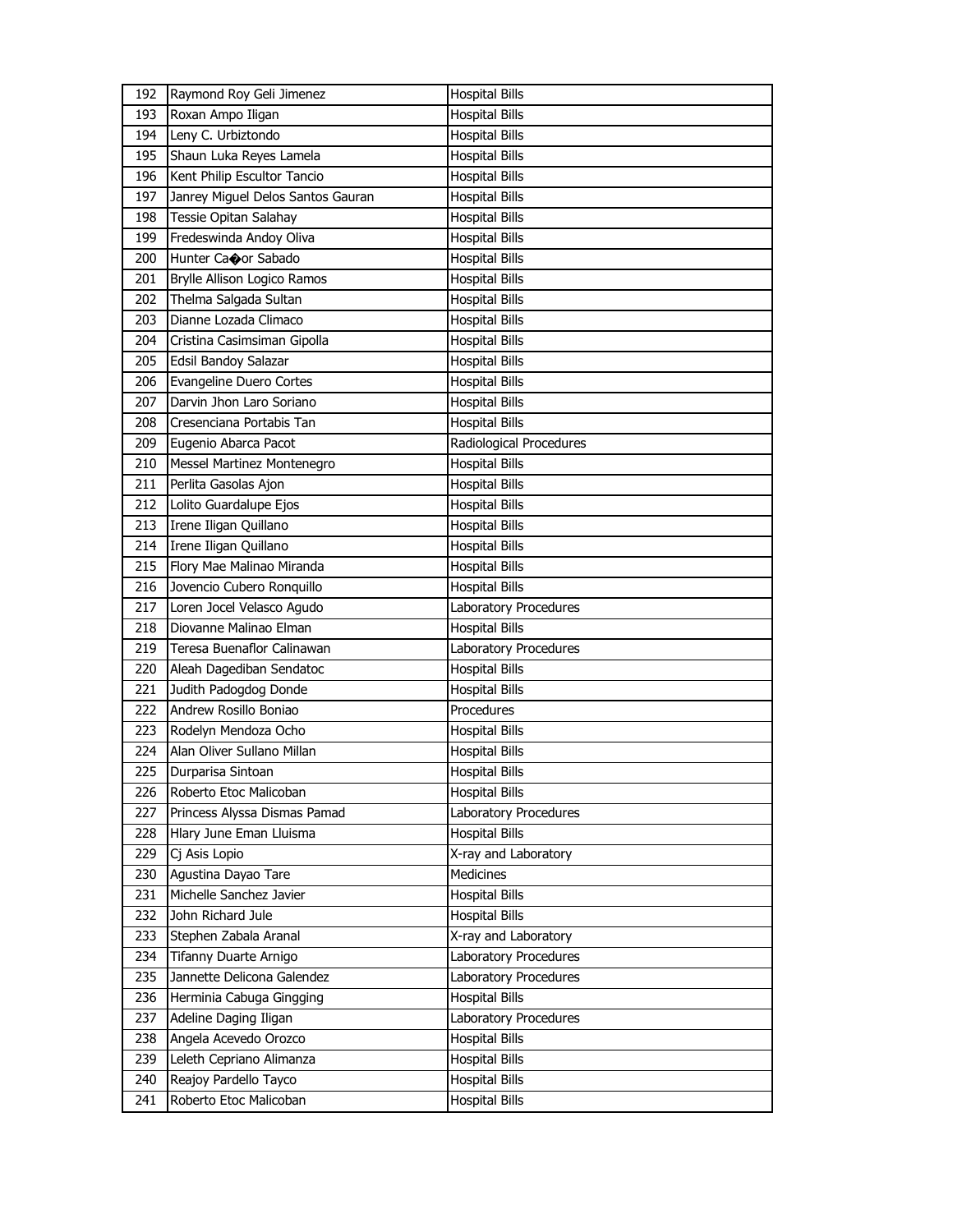| 192 | Raymond Roy Geli Jimenez           | <b>Hospital Bills</b>   |
|-----|------------------------------------|-------------------------|
| 193 | Roxan Ampo Iligan                  | <b>Hospital Bills</b>   |
| 194 | Leny C. Urbiztondo                 | <b>Hospital Bills</b>   |
| 195 | Shaun Luka Reyes Lamela            | <b>Hospital Bills</b>   |
| 196 | Kent Philip Escultor Tancio        | <b>Hospital Bills</b>   |
| 197 | Janrey Miguel Delos Santos Gauran  | <b>Hospital Bills</b>   |
| 198 | Tessie Opitan Salahay              | <b>Hospital Bills</b>   |
| 199 | Fredeswinda Andoy Oliva            | <b>Hospital Bills</b>   |
| 200 | Hunter Caoor Sabado                | <b>Hospital Bills</b>   |
| 201 | <b>Brylle Allison Logico Ramos</b> | <b>Hospital Bills</b>   |
| 202 | Thelma Salgada Sultan              | <b>Hospital Bills</b>   |
| 203 | Dianne Lozada Climaco              | <b>Hospital Bills</b>   |
| 204 | Cristina Casimsiman Gipolla        | <b>Hospital Bills</b>   |
| 205 | Edsil Bandoy Salazar               | <b>Hospital Bills</b>   |
| 206 | Evangeline Duero Cortes            | <b>Hospital Bills</b>   |
| 207 | Darvin Jhon Laro Soriano           | <b>Hospital Bills</b>   |
| 208 | Cresenciana Portabis Tan           | <b>Hospital Bills</b>   |
| 209 | Eugenio Abarca Pacot               | Radiological Procedures |
| 210 | Messel Martinez Montenegro         | <b>Hospital Bills</b>   |
| 211 | Perlita Gasolas Ajon               | <b>Hospital Bills</b>   |
| 212 | Lolito Guardalupe Ejos             | <b>Hospital Bills</b>   |
| 213 | Irene Iligan Quillano              | <b>Hospital Bills</b>   |
| 214 | Irene Iligan Quillano              | <b>Hospital Bills</b>   |
| 215 | Flory Mae Malinao Miranda          | <b>Hospital Bills</b>   |
| 216 | Jovencio Cubero Ronquillo          | <b>Hospital Bills</b>   |
|     |                                    |                         |
| 217 | Loren Jocel Velasco Agudo          | Laboratory Procedures   |
| 218 | Diovanne Malinao Elman             | <b>Hospital Bills</b>   |
| 219 | Teresa Buenaflor Calinawan         | Laboratory Procedures   |
| 220 | Aleah Dagediban Sendatoc           | <b>Hospital Bills</b>   |
| 221 | Judith Padogdog Donde              | <b>Hospital Bills</b>   |
| 222 | Andrew Rosillo Boniao              | Procedures              |
| 223 | Rodelyn Mendoza Ocho               | <b>Hospital Bills</b>   |
| 224 | Alan Oliver Sullano Millan         | <b>Hospital Bills</b>   |
| 225 | Durparisa Sintoan                  | <b>Hospital Bills</b>   |
| 226 | Roberto Etoc Malicoban             | <b>Hospital Bills</b>   |
| 227 | Princess Alyssa Dismas Pamad       | Laboratory Procedures   |
| 228 | Hlary June Eman Lluisma            | <b>Hospital Bills</b>   |
| 229 | Cj Asis Lopio                      | X-ray and Laboratory    |
| 230 | Agustina Dayao Tare                | Medicines               |
| 231 | Michelle Sanchez Javier            | <b>Hospital Bills</b>   |
| 232 | John Richard Jule                  | <b>Hospital Bills</b>   |
| 233 | Stephen Zabala Aranal              | X-ray and Laboratory    |
| 234 | <b>Tifanny Duarte Arnigo</b>       | Laboratory Procedures   |
| 235 | Jannette Delicona Galendez         | Laboratory Procedures   |
| 236 | Herminia Cabuga Gingging           | <b>Hospital Bills</b>   |
| 237 | Adeline Daging Iligan              | Laboratory Procedures   |
| 238 | Angela Acevedo Orozco              | <b>Hospital Bills</b>   |
| 239 | Leleth Cepriano Alimanza           | <b>Hospital Bills</b>   |
| 240 | Reajoy Pardello Tayco              | <b>Hospital Bills</b>   |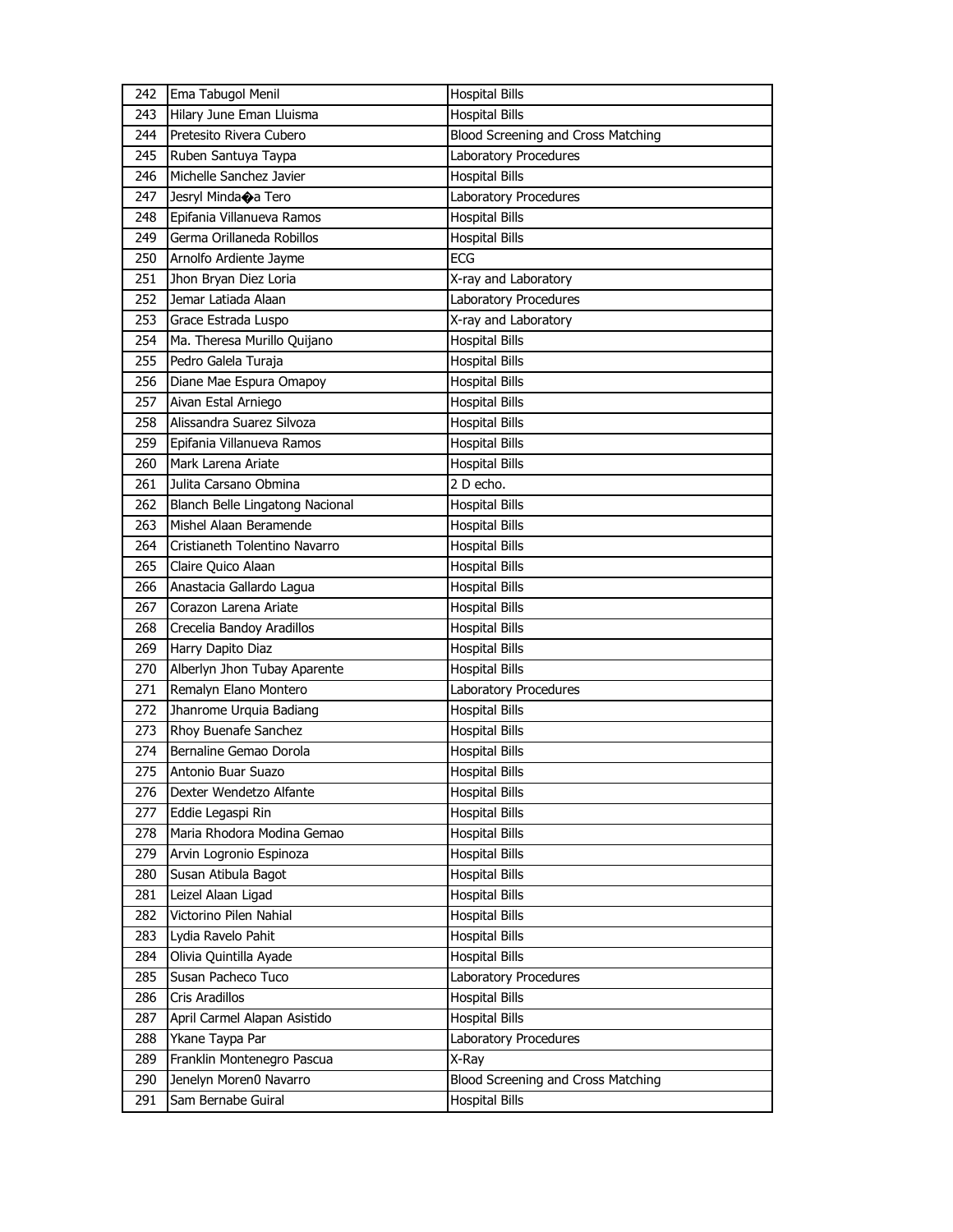| 242 | Ema Tabugol Menil               | <b>Hospital Bills</b>                     |
|-----|---------------------------------|-------------------------------------------|
| 243 | Hilary June Eman Lluisma        | <b>Hospital Bills</b>                     |
| 244 | Pretesito Rivera Cubero         | <b>Blood Screening and Cross Matching</b> |
| 245 | Ruben Santuya Taypa             | Laboratory Procedures                     |
| 246 | Michelle Sanchez Javier         | <b>Hospital Bills</b>                     |
| 247 | Jesryl Mindaoa Tero             | Laboratory Procedures                     |
| 248 | Epifania Villanueva Ramos       | <b>Hospital Bills</b>                     |
| 249 | Germa Orillaneda Robillos       | <b>Hospital Bills</b>                     |
| 250 | Arnolfo Ardiente Jayme          | ECG                                       |
| 251 | Jhon Bryan Diez Loria           | X-ray and Laboratory                      |
| 252 | Jemar Latiada Alaan             | Laboratory Procedures                     |
| 253 | Grace Estrada Luspo             | X-ray and Laboratory                      |
| 254 | Ma. Theresa Murillo Quijano     | <b>Hospital Bills</b>                     |
| 255 | Pedro Galela Turaja             | <b>Hospital Bills</b>                     |
| 256 | Diane Mae Espura Omapoy         | <b>Hospital Bills</b>                     |
| 257 | Aivan Estal Arniego             | Hospital Bills                            |
| 258 | Alissandra Suarez Silvoza       | <b>Hospital Bills</b>                     |
| 259 | Epifania Villanueva Ramos       | Hospital Bills                            |
| 260 | Mark Larena Ariate              | <b>Hospital Bills</b>                     |
| 261 | Julita Carsano Obmina           | 2 D echo.                                 |
| 262 | Blanch Belle Lingatong Nacional | <b>Hospital Bills</b>                     |
| 263 | Mishel Alaan Beramende          | Hospital Bills                            |
| 264 | Cristianeth Tolentino Navarro   | Hospital Bills                            |
| 265 | Claire Quico Alaan              | <b>Hospital Bills</b>                     |
| 266 | Anastacia Gallardo Lagua        | <b>Hospital Bills</b>                     |
|     | Corazon Larena Ariate           | Hospital Bills                            |
| 267 |                                 |                                           |
| 268 | Crecelia Bandoy Aradillos       | Hospital Bills                            |
| 269 | Harry Dapito Diaz               | Hospital Bills                            |
| 270 | Alberlyn Jhon Tubay Aparente    | <b>Hospital Bills</b>                     |
| 271 | Remalyn Elano Montero           | Laboratory Procedures                     |
| 272 | Jhanrome Urquia Badiang         | <b>Hospital Bills</b>                     |
| 273 | Rhoy Buenafe Sanchez            | <b>Hospital Bills</b>                     |
| 274 | Bernaline Gemao Dorola          | <b>Hospital Bills</b>                     |
| 275 | Antonio Buar Suazo              | <b>Hospital Bills</b>                     |
| 276 | Dexter Wendetzo Alfante         | <b>Hospital Bills</b>                     |
| 277 | Eddie Legaspi Rin               | <b>Hospital Bills</b>                     |
| 278 | Maria Rhodora Modina Gemao      | <b>Hospital Bills</b>                     |
| 279 | Arvin Logronio Espinoza         | <b>Hospital Bills</b>                     |
| 280 | Susan Atibula Bagot             | <b>Hospital Bills</b>                     |
| 281 | Leizel Alaan Ligad              | <b>Hospital Bills</b>                     |
| 282 | Victorino Pilen Nahial          | <b>Hospital Bills</b>                     |
| 283 | Lydia Ravelo Pahit              | <b>Hospital Bills</b>                     |
| 284 | Olivia Quintilla Ayade          | <b>Hospital Bills</b>                     |
| 285 | Susan Pacheco Tuco              | Laboratory Procedures                     |
| 286 | Cris Aradillos                  | <b>Hospital Bills</b>                     |
| 287 | April Carmel Alapan Asistido    | <b>Hospital Bills</b>                     |
| 288 | Ykane Taypa Par                 | Laboratory Procedures                     |
| 289 | Franklin Montenegro Pascua      | X-Ray                                     |
| 290 | Jenelyn Moren0 Navarro          | <b>Blood Screening and Cross Matching</b> |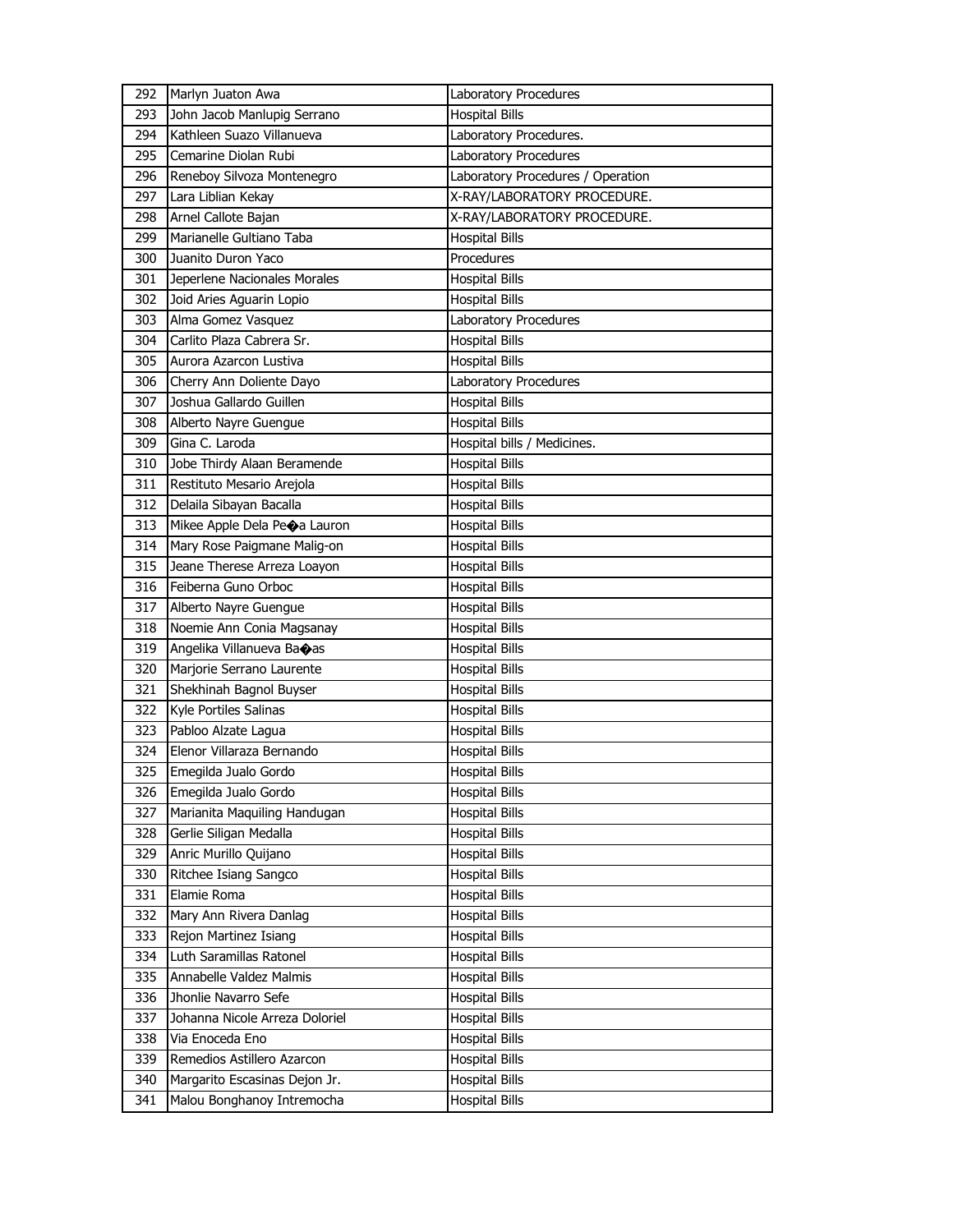| 292 | Marlyn Juaton Awa              | Laboratory Procedures             |
|-----|--------------------------------|-----------------------------------|
| 293 | John Jacob Manlupig Serrano    | <b>Hospital Bills</b>             |
| 294 | Kathleen Suazo Villanueva      | Laboratory Procedures.            |
| 295 | Cemarine Diolan Rubi           | Laboratory Procedures             |
| 296 | Reneboy Silvoza Montenegro     | Laboratory Procedures / Operation |
| 297 | Lara Liblian Kekay             | X-RAY/LABORATORY PROCEDURE.       |
| 298 | Arnel Callote Bajan            | X-RAY/LABORATORY PROCEDURE.       |
| 299 | Marianelle Gultiano Taba       | <b>Hospital Bills</b>             |
| 300 | Juanito Duron Yaco             | Procedures                        |
| 301 | Jeperlene Nacionales Morales   | <b>Hospital Bills</b>             |
| 302 | Joid Aries Aguarin Lopio       | <b>Hospital Bills</b>             |
| 303 | Alma Gomez Vasquez             | Laboratory Procedures             |
| 304 | Carlito Plaza Cabrera Sr.      | <b>Hospital Bills</b>             |
| 305 | Aurora Azarcon Lustiva         | <b>Hospital Bills</b>             |
| 306 | Cherry Ann Doliente Dayo       | Laboratory Procedures             |
| 307 | Joshua Gallardo Guillen        | <b>Hospital Bills</b>             |
| 308 | Alberto Nayre Guengue          | <b>Hospital Bills</b>             |
| 309 | Gina C. Laroda                 | Hospital bills / Medicines.       |
| 310 | Jobe Thirdy Alaan Beramende    | <b>Hospital Bills</b>             |
| 311 | Restituto Mesario Arejola      | <b>Hospital Bills</b>             |
| 312 | Delaila Sibayan Bacalla        | <b>Hospital Bills</b>             |
| 313 | Mikee Apple Dela Peoa Lauron   | <b>Hospital Bills</b>             |
| 314 | Mary Rose Paigmane Malig-on    | <b>Hospital Bills</b>             |
| 315 | Jeane Therese Arreza Loayon    | <b>Hospital Bills</b>             |
| 316 | Feiberna Guno Orboc            | <b>Hospital Bills</b>             |
| 317 | Alberto Nayre Guengue          | <b>Hospital Bills</b>             |
| 318 | Noemie Ann Conia Magsanay      | <b>Hospital Bills</b>             |
| 319 | Angelika Villanueva Baoas      | <b>Hospital Bills</b>             |
| 320 | Marjorie Serrano Laurente      | <b>Hospital Bills</b>             |
| 321 | Shekhinah Bagnol Buyser        | <b>Hospital Bills</b>             |
| 322 | Kyle Portiles Salinas          | <b>Hospital Bills</b>             |
| 323 | Pabloo Alzate Lagua            | <b>Hospital Bills</b>             |
| 324 | Elenor Villaraza Bernando      | <b>Hospital Bills</b>             |
| 325 | Emegilda Jualo Gordo           | <b>Hospital Bills</b>             |
| 326 | Emegilda Jualo Gordo           | <b>Hospital Bills</b>             |
| 327 | Marianita Maquiling Handugan   | <b>Hospital Bills</b>             |
| 328 | Gerlie Siligan Medalla         | <b>Hospital Bills</b>             |
| 329 | Anric Murillo Quijano          | <b>Hospital Bills</b>             |
| 330 | Ritchee Isiang Sangco          | <b>Hospital Bills</b>             |
| 331 | Elamie Roma                    | <b>Hospital Bills</b>             |
| 332 | Mary Ann Rivera Danlag         | <b>Hospital Bills</b>             |
| 333 | Rejon Martinez Isiang          | Hospital Bills                    |
| 334 | Luth Saramillas Ratonel        | <b>Hospital Bills</b>             |
| 335 | Annabelle Valdez Malmis        | <b>Hospital Bills</b>             |
| 336 | Jhonlie Navarro Sefe           | <b>Hospital Bills</b>             |
| 337 | Johanna Nicole Arreza Doloriel | <b>Hospital Bills</b>             |
| 338 | Via Enoceda Eno                | Hospital Bills                    |
| 339 | Remedios Astillero Azarcon     | <b>Hospital Bills</b>             |
| 340 | Margarito Escasinas Dejon Jr.  | <b>Hospital Bills</b>             |
| 341 | Malou Bonghanoy Intremocha     | <b>Hospital Bills</b>             |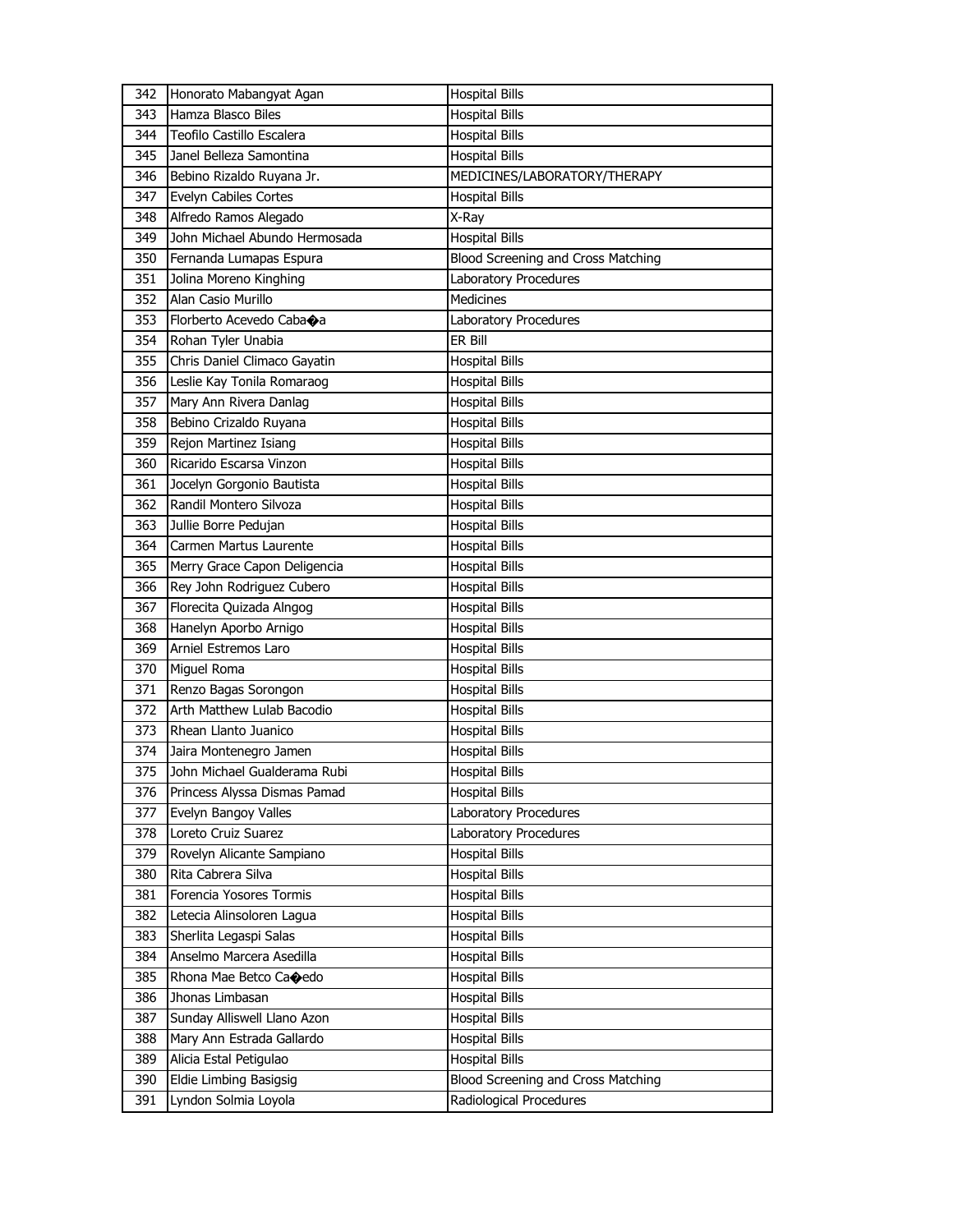| 342 | Honorato Mabangyat Agan               | <b>Hospital Bills</b>              |
|-----|---------------------------------------|------------------------------------|
| 343 | Hamza Blasco Biles                    | <b>Hospital Bills</b>              |
| 344 | Teofilo Castillo Escalera             | <b>Hospital Bills</b>              |
| 345 | Janel Belleza Samontina               | <b>Hospital Bills</b>              |
| 346 | Bebino Rizaldo Ruyana Jr.             | MEDICINES/LABORATORY/THERAPY       |
| 347 | Evelyn Cabiles Cortes                 | <b>Hospital Bills</b>              |
| 348 | Alfredo Ramos Alegado                 | X-Ray                              |
| 349 | John Michael Abundo Hermosada         | <b>Hospital Bills</b>              |
| 350 | Fernanda Lumapas Espura               | Blood Screening and Cross Matching |
| 351 | Jolina Moreno Kinghing                | Laboratory Procedures              |
| 352 | Alan Casio Murillo                    | <b>Medicines</b>                   |
| 353 | Florberto Acevedo Caba $\spadesuit$ a | Laboratory Procedures              |
| 354 | Rohan Tyler Unabia                    | ER Bill                            |
| 355 | Chris Daniel Climaco Gayatin          | <b>Hospital Bills</b>              |
| 356 | Leslie Kay Tonila Romaraog            | <b>Hospital Bills</b>              |
| 357 | Mary Ann Rivera Danlag                | <b>Hospital Bills</b>              |
| 358 | Bebino Crizaldo Ruyana                | <b>Hospital Bills</b>              |
| 359 | Rejon Martinez Isiang                 | <b>Hospital Bills</b>              |
| 360 | Ricarido Escarsa Vinzon               | <b>Hospital Bills</b>              |
| 361 | Jocelyn Gorgonio Bautista             | <b>Hospital Bills</b>              |
| 362 | Randil Montero Silvoza                | <b>Hospital Bills</b>              |
| 363 | Jullie Borre Pedujan                  | <b>Hospital Bills</b>              |
| 364 | Carmen Martus Laurente                | <b>Hospital Bills</b>              |
| 365 | Merry Grace Capon Deligencia          | <b>Hospital Bills</b>              |
| 366 | Rey John Rodriguez Cubero             | <b>Hospital Bills</b>              |
| 367 | Florecita Quizada Alngog              | Hospital Bills                     |
| 368 | Hanelyn Aporbo Arnigo                 | <b>Hospital Bills</b>              |
|     |                                       |                                    |
| 369 | Arniel Estremos Laro                  | <b>Hospital Bills</b>              |
| 370 | Miguel Roma                           | <b>Hospital Bills</b>              |
| 371 | Renzo Bagas Sorongon                  | <b>Hospital Bills</b>              |
| 372 | Arth Matthew Lulab Bacodio            | <b>Hospital Bills</b>              |
| 373 | Rhean Llanto Juanico                  | Hospital Bills                     |
| 374 | Jaira Montenegro Jamen                | <b>Hospital Bills</b>              |
| 375 | John Michael Gualderama Rubi          | <b>Hospital Bills</b>              |
| 376 | Princess Alyssa Dismas Pamad          | <b>Hospital Bills</b>              |
| 377 | Evelyn Bangoy Valles                  | Laboratory Procedures              |
| 378 | Loreto Cruiz Suarez                   | Laboratory Procedures              |
| 379 | Rovelyn Alicante Sampiano             | <b>Hospital Bills</b>              |
| 380 | Rita Cabrera Silva                    | <b>Hospital Bills</b>              |
| 381 | Forencia Yosores Tormis               | <b>Hospital Bills</b>              |
| 382 | Letecia Alinsoloren Lagua             | <b>Hospital Bills</b>              |
| 383 | Sherlita Legaspi Salas                | Hospital Bills                     |
| 384 | Anselmo Marcera Asedilla              | <b>Hospital Bills</b>              |
| 385 | Rhona Mae Betco Caoedo                | <b>Hospital Bills</b>              |
| 386 | Jhonas Limbasan                       | <b>Hospital Bills</b>              |
| 387 | Sunday Alliswell Llano Azon           | <b>Hospital Bills</b>              |
| 388 | Mary Ann Estrada Gallardo             | Hospital Bills                     |
| 389 | Alicia Estal Petigulao                | <b>Hospital Bills</b>              |
| 390 | Eldie Limbing Basigsig                | Blood Screening and Cross Matching |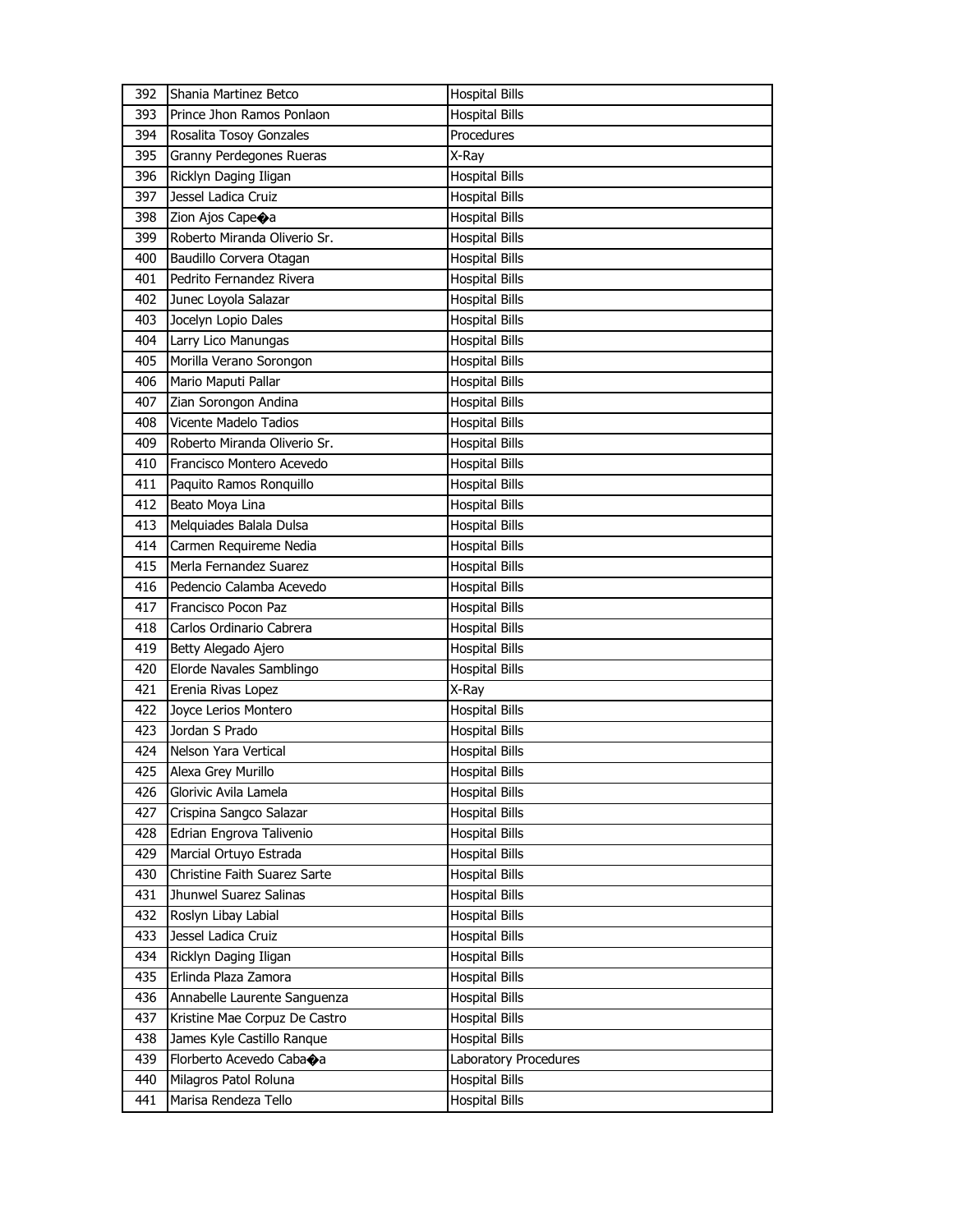| 392 | Shania Martinez Betco         | <b>Hospital Bills</b> |
|-----|-------------------------------|-----------------------|
| 393 | Prince Jhon Ramos Ponlaon     | <b>Hospital Bills</b> |
| 394 | Rosalita Tosoy Gonzales       | Procedures            |
| 395 | Granny Perdegones Rueras      | X-Ray                 |
| 396 | Ricklyn Daging Iligan         | <b>Hospital Bills</b> |
| 397 | Jessel Ladica Cruiz           | <b>Hospital Bills</b> |
| 398 | Zion Ajos Cape�a              | <b>Hospital Bills</b> |
| 399 | Roberto Miranda Oliverio Sr.  | <b>Hospital Bills</b> |
| 400 | Baudillo Corvera Otagan       | <b>Hospital Bills</b> |
| 401 | Pedrito Fernandez Rivera      | <b>Hospital Bills</b> |
| 402 | Junec Loyola Salazar          | <b>Hospital Bills</b> |
| 403 | Jocelyn Lopio Dales           | <b>Hospital Bills</b> |
| 404 | Larry Lico Manungas           | <b>Hospital Bills</b> |
| 405 | Morilla Verano Sorongon       | <b>Hospital Bills</b> |
| 406 | Mario Maputi Pallar           | <b>Hospital Bills</b> |
| 407 | Zian Sorongon Andina          | <b>Hospital Bills</b> |
| 408 | Vicente Madelo Tadios         | <b>Hospital Bills</b> |
| 409 | Roberto Miranda Oliverio Sr.  | Hospital Bills        |
| 410 | Francisco Montero Acevedo     | <b>Hospital Bills</b> |
| 411 | Paquito Ramos Ronquillo       | <b>Hospital Bills</b> |
| 412 | Beato Moya Lina               | <b>Hospital Bills</b> |
| 413 | Melquiades Balala Dulsa       | <b>Hospital Bills</b> |
| 414 | Carmen Requireme Nedia        | <b>Hospital Bills</b> |
| 415 | Merla Fernandez Suarez        | <b>Hospital Bills</b> |
| 416 | Pedencio Calamba Acevedo      | <b>Hospital Bills</b> |
|     |                               |                       |
| 417 | Francisco Pocon Paz           | <b>Hospital Bills</b> |
| 418 | Carlos Ordinario Cabrera      | <b>Hospital Bills</b> |
| 419 | Betty Alegado Ajero           | <b>Hospital Bills</b> |
| 420 | Elorde Navales Samblingo      | <b>Hospital Bills</b> |
| 421 | Erenia Rivas Lopez            | X-Ray                 |
| 422 | Joyce Lerios Montero          | <b>Hospital Bills</b> |
| 423 | Jordan S Prado                | <b>Hospital Bills</b> |
| 424 | Nelson Yara Vertical          | <b>Hospital Bills</b> |
| 425 | Alexa Grey Murillo            | <b>Hospital Bills</b> |
| 426 | Glorivic Avila Lamela         | <b>Hospital Bills</b> |
| 427 | Crispina Sangco Salazar       | <b>Hospital Bills</b> |
| 428 | Edrian Engrova Talivenio      | <b>Hospital Bills</b> |
| 429 | Marcial Ortuyo Estrada        | <b>Hospital Bills</b> |
| 430 | Christine Faith Suarez Sarte  | <b>Hospital Bills</b> |
| 431 | Jhunwel Suarez Salinas        | <b>Hospital Bills</b> |
| 432 | Roslyn Libay Labial           | <b>Hospital Bills</b> |
| 433 | Jessel Ladica Cruiz           | Hospital Bills        |
| 434 | Ricklyn Daging Iligan         | <b>Hospital Bills</b> |
| 435 | Erlinda Plaza Zamora          | <b>Hospital Bills</b> |
| 436 | Annabelle Laurente Sanguenza  | <b>Hospital Bills</b> |
| 437 | Kristine Mae Corpuz De Castro | Hospital Bills        |
| 438 | James Kyle Castillo Ranque    | Hospital Bills        |
| 439 | Florberto Acevedo Cabaoa      | Laboratory Procedures |
| 440 | Milagros Patol Roluna         | <b>Hospital Bills</b> |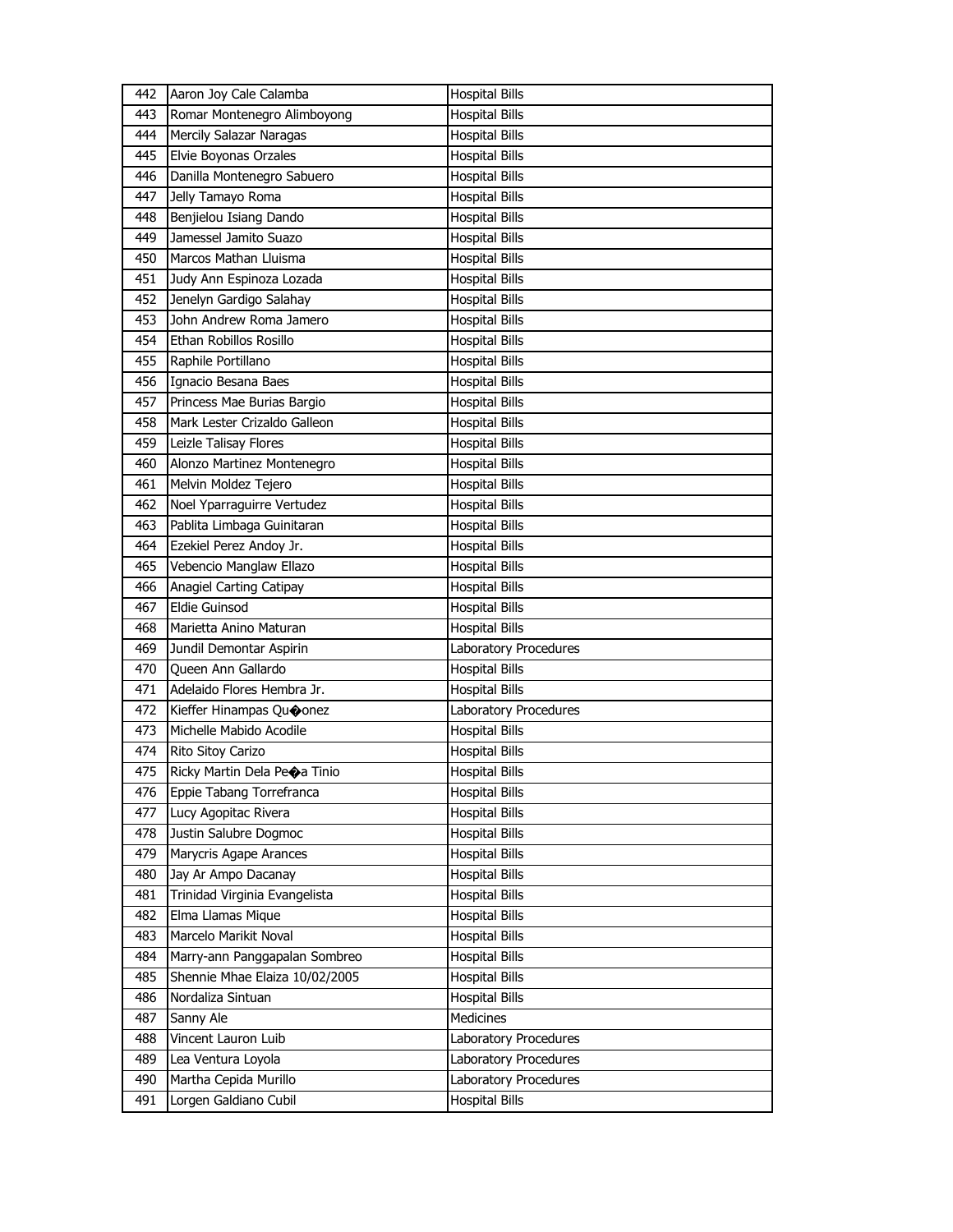| 442 | Aaron Joy Cale Calamba         | <b>Hospital Bills</b> |
|-----|--------------------------------|-----------------------|
| 443 | Romar Montenegro Alimboyong    | <b>Hospital Bills</b> |
| 444 | Mercily Salazar Naragas        | <b>Hospital Bills</b> |
| 445 | Elvie Boyonas Orzales          | <b>Hospital Bills</b> |
| 446 | Danilla Montenegro Sabuero     | <b>Hospital Bills</b> |
| 447 | Jelly Tamayo Roma              | <b>Hospital Bills</b> |
| 448 | Benjielou Isiang Dando         | <b>Hospital Bills</b> |
| 449 | Jamessel Jamito Suazo          | <b>Hospital Bills</b> |
| 450 | Marcos Mathan Lluisma          | <b>Hospital Bills</b> |
| 451 | Judy Ann Espinoza Lozada       | <b>Hospital Bills</b> |
| 452 | Jenelyn Gardigo Salahay        | <b>Hospital Bills</b> |
| 453 | John Andrew Roma Jamero        | <b>Hospital Bills</b> |
| 454 | Ethan Robillos Rosillo         | <b>Hospital Bills</b> |
| 455 | Raphile Portillano             | <b>Hospital Bills</b> |
| 456 | Ignacio Besana Baes            | <b>Hospital Bills</b> |
| 457 | Princess Mae Burias Bargio     | <b>Hospital Bills</b> |
| 458 | Mark Lester Crizaldo Galleon   | <b>Hospital Bills</b> |
| 459 | Leizle Talisay Flores          | <b>Hospital Bills</b> |
| 460 | Alonzo Martinez Montenegro     | <b>Hospital Bills</b> |
| 461 | Melvin Moldez Tejero           | <b>Hospital Bills</b> |
| 462 | Noel Yparraguirre Vertudez     | <b>Hospital Bills</b> |
| 463 | Pablita Limbaga Guinitaran     | <b>Hospital Bills</b> |
| 464 | Ezekiel Perez Andoy Jr.        | <b>Hospital Bills</b> |
| 465 | Vebencio Manglaw Ellazo        | <b>Hospital Bills</b> |
| 466 | Anagiel Carting Catipay        | <b>Hospital Bills</b> |
| 467 | Eldie Guinsod                  | <b>Hospital Bills</b> |
| 468 | Marietta Anino Maturan         | <b>Hospital Bills</b> |
| 469 | Jundil Demontar Aspirin        | Laboratory Procedures |
| 470 | Queen Ann Gallardo             | <b>Hospital Bills</b> |
| 471 | Adelaido Flores Hembra Jr.     | <b>Hospital Bills</b> |
| 472 | Kieffer Hinampas Qu�onez       | Laboratory Procedures |
| 473 | Michelle Mabido Acodile        | <b>Hospital Bills</b> |
| 474 | Rito Sitoy Carizo              | <b>Hospital Bills</b> |
| 475 | Ricky Martin Dela Peoa Tinio   | <b>Hospital Bills</b> |
| 476 | Eppie Tabang Torrefranca       | <b>Hospital Bills</b> |
| 477 | Lucy Agopitac Rivera           | <b>Hospital Bills</b> |
| 478 | Justin Salubre Dogmoc          | <b>Hospital Bills</b> |
| 479 | Marycris Agape Arances         | <b>Hospital Bills</b> |
| 480 | Jay Ar Ampo Dacanay            | <b>Hospital Bills</b> |
| 481 | Trinidad Virginia Evangelista  | <b>Hospital Bills</b> |
| 482 | Elma Llamas Mique              | <b>Hospital Bills</b> |
| 483 | Marcelo Marikit Noval          | <b>Hospital Bills</b> |
| 484 | Marry-ann Panggapalan Sombreo  | <b>Hospital Bills</b> |
| 485 | Shennie Mhae Elaiza 10/02/2005 | <b>Hospital Bills</b> |
| 486 | Nordaliza Sintuan              | <b>Hospital Bills</b> |
| 487 | Sanny Ale                      | Medicines             |
| 488 | Vincent Lauron Luib            | Laboratory Procedures |
| 489 | Lea Ventura Loyola             | Laboratory Procedures |
| 490 | Martha Cepida Murillo          | Laboratory Procedures |
| 491 | Lorgen Galdiano Cubil          | <b>Hospital Bills</b> |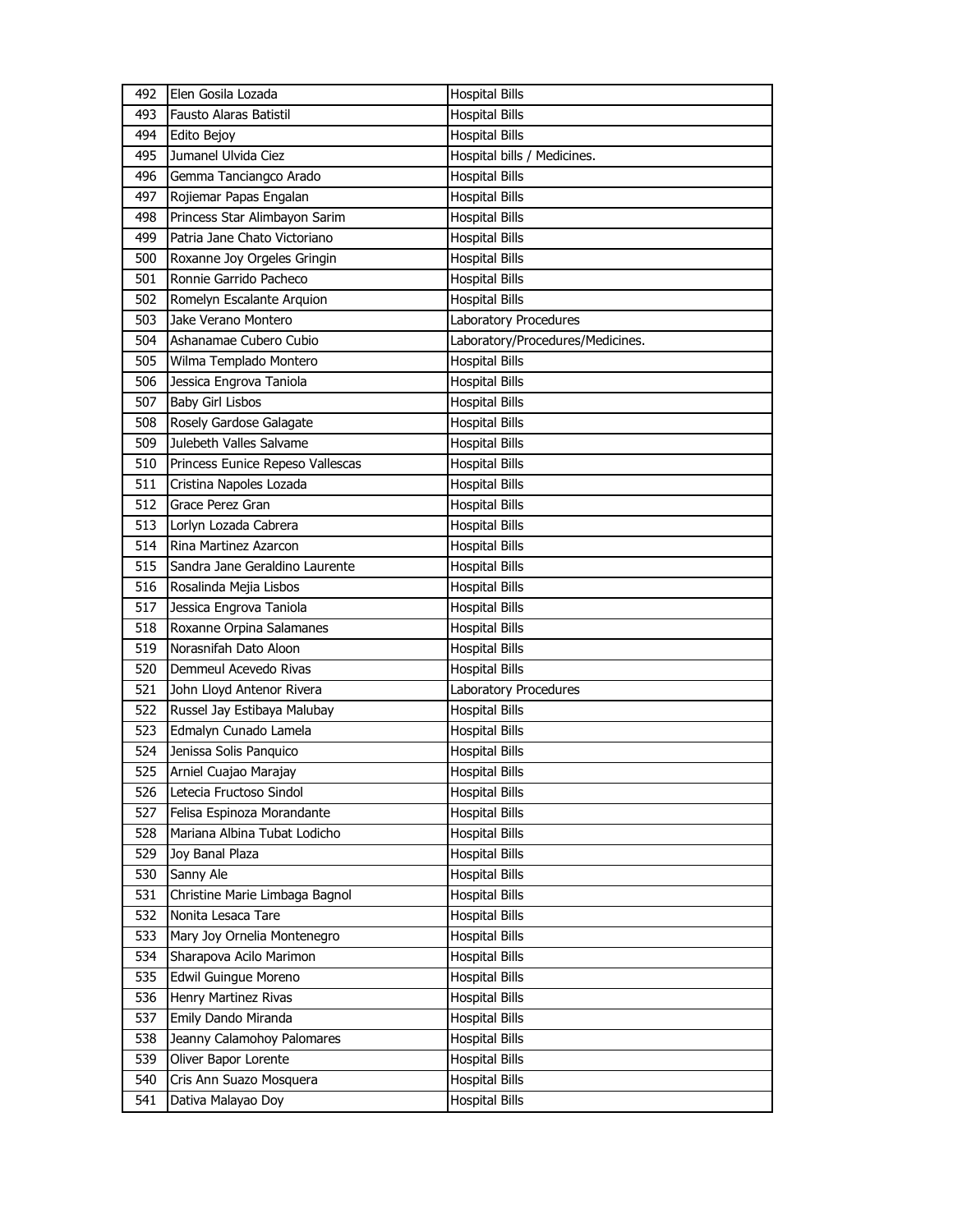| 492 | Elen Gosila Lozada               | <b>Hospital Bills</b>            |
|-----|----------------------------------|----------------------------------|
| 493 | Fausto Alaras Batistil           | <b>Hospital Bills</b>            |
| 494 | Edito Bejoy                      | <b>Hospital Bills</b>            |
| 495 | Jumanel Ulvida Ciez              | Hospital bills / Medicines.      |
| 496 | Gemma Tanciangco Arado           | <b>Hospital Bills</b>            |
| 497 | Rojiemar Papas Engalan           | <b>Hospital Bills</b>            |
| 498 | Princess Star Alimbayon Sarim    | <b>Hospital Bills</b>            |
| 499 | Patria Jane Chato Victoriano     | <b>Hospital Bills</b>            |
| 500 | Roxanne Joy Orgeles Gringin      | <b>Hospital Bills</b>            |
| 501 | Ronnie Garrido Pacheco           | <b>Hospital Bills</b>            |
| 502 | Romelyn Escalante Arquion        | <b>Hospital Bills</b>            |
| 503 | Jake Verano Montero              | Laboratory Procedures            |
| 504 | Ashanamae Cubero Cubio           | Laboratory/Procedures/Medicines. |
| 505 | Wilma Templado Montero           | <b>Hospital Bills</b>            |
| 506 | Jessica Engrova Taniola          | <b>Hospital Bills</b>            |
| 507 | <b>Baby Girl Lisbos</b>          | <b>Hospital Bills</b>            |
| 508 | Rosely Gardose Galagate          | <b>Hospital Bills</b>            |
| 509 | Julebeth Valles Salvame          | <b>Hospital Bills</b>            |
| 510 | Princess Eunice Repeso Vallescas | <b>Hospital Bills</b>            |
| 511 | Cristina Napoles Lozada          | <b>Hospital Bills</b>            |
| 512 | Grace Perez Gran                 | <b>Hospital Bills</b>            |
| 513 | Lorlyn Lozada Cabrera            | <b>Hospital Bills</b>            |
| 514 | Rina Martinez Azarcon            | <b>Hospital Bills</b>            |
| 515 | Sandra Jane Geraldino Laurente   | <b>Hospital Bills</b>            |
| 516 | Rosalinda Mejia Lisbos           | <b>Hospital Bills</b>            |
| 517 | Jessica Engrova Taniola          | <b>Hospital Bills</b>            |
| 518 | Roxanne Orpina Salamanes         | Hospital Bills                   |
| 519 | Norasnifah Dato Aloon            | <b>Hospital Bills</b>            |
| 520 | Demmeul Acevedo Rivas            | <b>Hospital Bills</b>            |
| 521 | John Lloyd Antenor Rivera        | Laboratory Procedures            |
| 522 | Russel Jay Estibaya Malubay      | <b>Hospital Bills</b>            |
| 523 | Edmalyn Cunado Lamela            | <b>Hospital Bills</b>            |
| 524 | Jenissa Solis Panquico           | <b>Hospital Bills</b>            |
| 525 | Arniel Cuajao Marajay            | <b>Hospital Bills</b>            |
| 526 | Letecia Fructoso Sindol          | <b>Hospital Bills</b>            |
| 527 | Felisa Espinoza Morandante       | <b>Hospital Bills</b>            |
| 528 | Mariana Albina Tubat Lodicho     | <b>Hospital Bills</b>            |
| 529 | Joy Banal Plaza                  | <b>Hospital Bills</b>            |
| 530 | Sanny Ale                        | <b>Hospital Bills</b>            |
| 531 | Christine Marie Limbaga Bagnol   | <b>Hospital Bills</b>            |
| 532 | Nonita Lesaca Tare               | <b>Hospital Bills</b>            |
| 533 | Mary Joy Ornelia Montenegro      | <b>Hospital Bills</b>            |
| 534 | Sharapova Acilo Marimon          | <b>Hospital Bills</b>            |
| 535 | Edwil Guingue Moreno             | <b>Hospital Bills</b>            |
| 536 | Henry Martinez Rivas             | <b>Hospital Bills</b>            |
| 537 | Emily Dando Miranda              | <b>Hospital Bills</b>            |
| 538 | Jeanny Calamohoy Palomares       | <b>Hospital Bills</b>            |
| 539 | Oliver Bapor Lorente             | <b>Hospital Bills</b>            |
| 540 | Cris Ann Suazo Mosquera          | <b>Hospital Bills</b>            |
| 541 | Dativa Malayao Doy               | <b>Hospital Bills</b>            |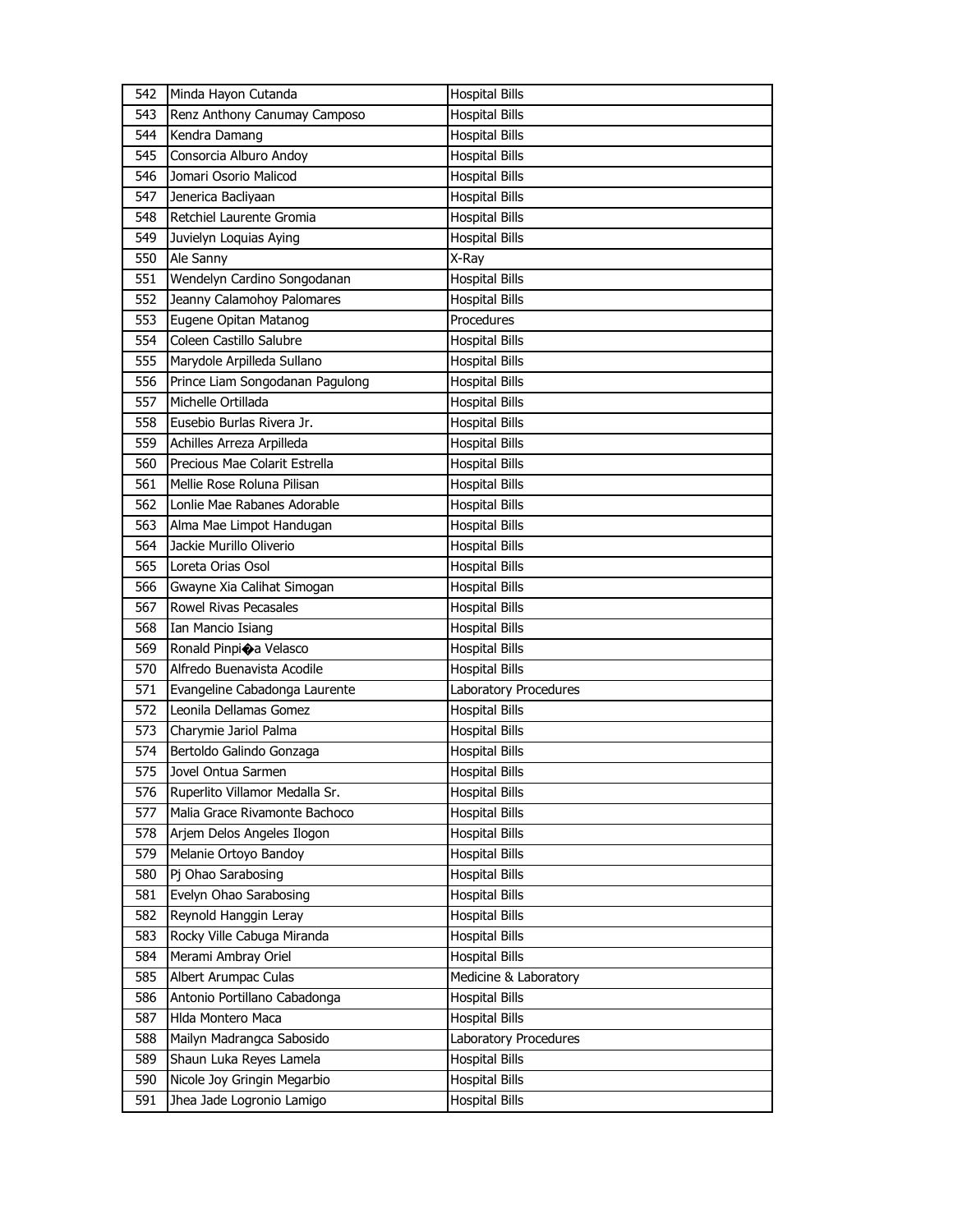|     | Minda Hayon Cutanda             | <b>Hospital Bills</b> |
|-----|---------------------------------|-----------------------|
| 543 | Renz Anthony Canumay Camposo    | <b>Hospital Bills</b> |
| 544 | Kendra Damang                   | <b>Hospital Bills</b> |
| 545 | Consorcia Alburo Andoy          | <b>Hospital Bills</b> |
| 546 | Jomari Osorio Malicod           | <b>Hospital Bills</b> |
| 547 | Jenerica Bacliyaan              | <b>Hospital Bills</b> |
| 548 | Retchiel Laurente Gromia        | <b>Hospital Bills</b> |
| 549 | Juvielyn Loquias Aying          | <b>Hospital Bills</b> |
| 550 | Ale Sanny                       | X-Ray                 |
| 551 | Wendelyn Cardino Songodanan     | <b>Hospital Bills</b> |
| 552 | Jeanny Calamohoy Palomares      | <b>Hospital Bills</b> |
| 553 | Eugene Opitan Matanog           | Procedures            |
| 554 | Coleen Castillo Salubre         | <b>Hospital Bills</b> |
| 555 | Marydole Arpilleda Sullano      | <b>Hospital Bills</b> |
| 556 | Prince Liam Songodanan Pagulong | <b>Hospital Bills</b> |
| 557 | Michelle Ortillada              | <b>Hospital Bills</b> |
| 558 | Eusebio Burlas Rivera Jr.       | <b>Hospital Bills</b> |
| 559 | Achilles Arreza Arpilleda       | <b>Hospital Bills</b> |
| 560 | Precious Mae Colarit Estrella   | <b>Hospital Bills</b> |
| 561 | Mellie Rose Roluna Pilisan      | <b>Hospital Bills</b> |
| 562 | Lonlie Mae Rabanes Adorable     | <b>Hospital Bills</b> |
| 563 | Alma Mae Limpot Handugan        | <b>Hospital Bills</b> |
| 564 | Jackie Murillo Oliverio         | <b>Hospital Bills</b> |
| 565 | Loreta Orias Osol               | <b>Hospital Bills</b> |
| 566 | Gwayne Xia Calihat Simogan      | <b>Hospital Bills</b> |
| 567 | Rowel Rivas Pecasales           | <b>Hospital Bills</b> |
| 568 | Ian Mancio Isiang               | <b>Hospital Bills</b> |
| 569 | Ronald Pinpioa Velasco          | <b>Hospital Bills</b> |
| 570 | Alfredo Buenavista Acodile      | <b>Hospital Bills</b> |
| 571 |                                 |                       |
|     | Evangeline Cabadonga Laurente   | Laboratory Procedures |
| 572 | Leonila Dellamas Gomez          | <b>Hospital Bills</b> |
| 573 | Charymie Jariol Palma           | <b>Hospital Bills</b> |
| 574 | Bertoldo Galindo Gonzaga        | <b>Hospital Bills</b> |
| 575 | Jovel Ontua Sarmen              | <b>Hospital Bills</b> |
| 576 | Ruperlito Villamor Medalla Sr.  | <b>Hospital Bills</b> |
| 577 | Malia Grace Rivamonte Bachoco   | <b>Hospital Bills</b> |
| 578 | Arjem Delos Angeles Ilogon      | <b>Hospital Bills</b> |
| 579 | Melanie Ortoyo Bandoy           | <b>Hospital Bills</b> |
| 580 | Pj Ohao Sarabosing              | <b>Hospital Bills</b> |
| 581 | Evelyn Ohao Sarabosing          | <b>Hospital Bills</b> |
| 582 | Reynold Hanggin Leray           | <b>Hospital Bills</b> |
| 583 | Rocky Ville Cabuga Miranda      | Hospital Bills        |
| 584 | Merami Ambray Oriel             | <b>Hospital Bills</b> |
| 585 | Albert Arumpac Culas            | Medicine & Laboratory |
| 586 | Antonio Portillano Cabadonga    | <b>Hospital Bills</b> |
| 587 | HIda Montero Maca               | <b>Hospital Bills</b> |
| 588 | Mailyn Madrangca Sabosido       | Laboratory Procedures |
| 589 | Shaun Luka Reyes Lamela         | <b>Hospital Bills</b> |
| 590 | Nicole Joy Gringin Megarbio     | <b>Hospital Bills</b> |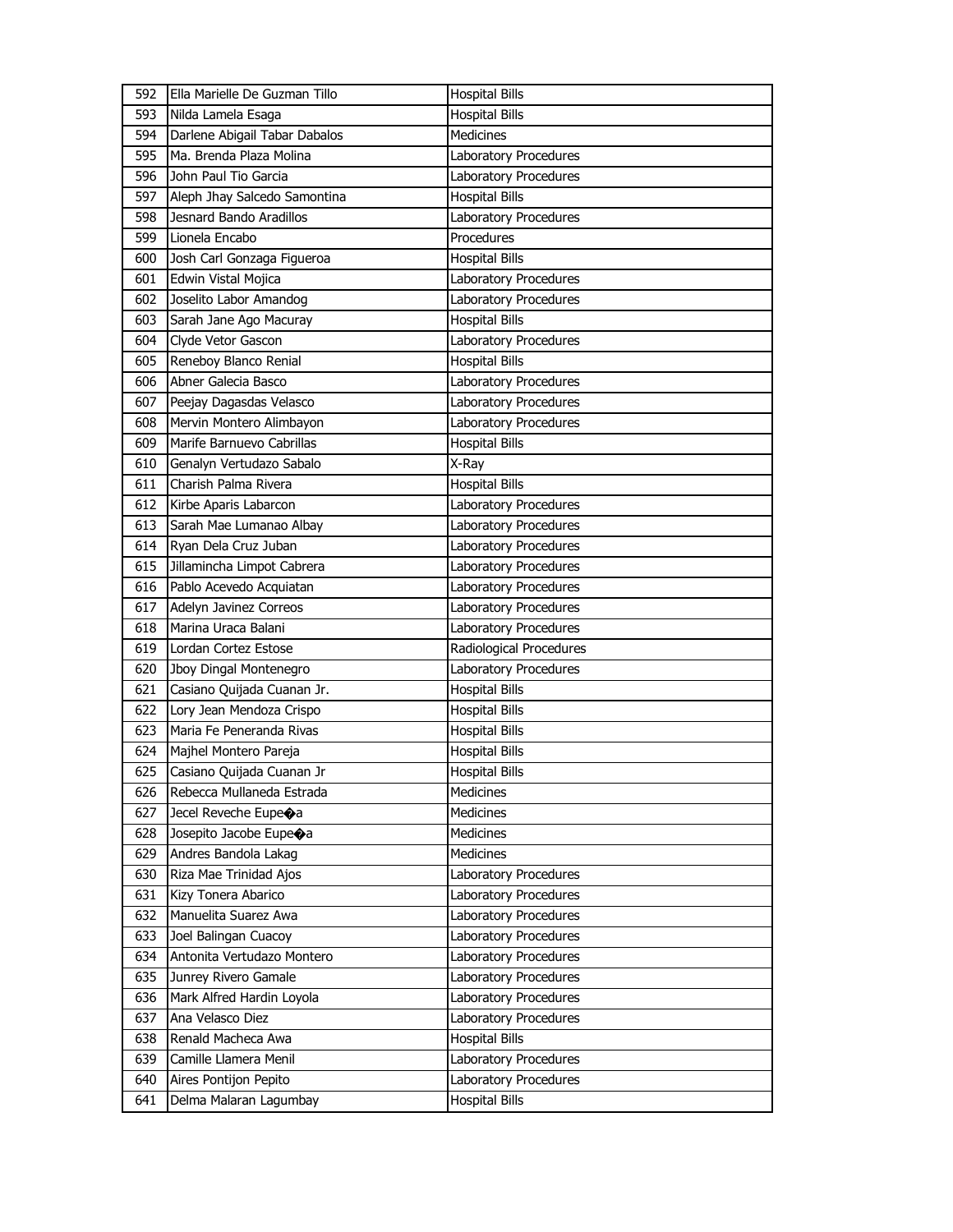| 592 | Ella Marielle De Guzman Tillo     | <b>Hospital Bills</b>        |
|-----|-----------------------------------|------------------------------|
| 593 | Nilda Lamela Esaga                | <b>Hospital Bills</b>        |
| 594 | Darlene Abigail Tabar Dabalos     | Medicines                    |
| 595 | Ma. Brenda Plaza Molina           | Laboratory Procedures        |
| 596 | John Paul Tio Garcia              | Laboratory Procedures        |
| 597 | Aleph Jhay Salcedo Samontina      | <b>Hospital Bills</b>        |
| 598 | Jesnard Bando Aradillos           | Laboratory Procedures        |
| 599 | Lionela Encabo                    | Procedures                   |
| 600 | Josh Carl Gonzaga Figueroa        | <b>Hospital Bills</b>        |
| 601 | Edwin Vistal Mojica               | Laboratory Procedures        |
| 602 | Joselito Labor Amandog            | Laboratory Procedures        |
| 603 | Sarah Jane Ago Macuray            | <b>Hospital Bills</b>        |
| 604 | Clyde Vetor Gascon                | Laboratory Procedures        |
| 605 | Reneboy Blanco Renial             | <b>Hospital Bills</b>        |
| 606 | Abner Galecia Basco               | Laboratory Procedures        |
| 607 | Peejay Dagasdas Velasco           | <b>Laboratory Procedures</b> |
| 608 | Mervin Montero Alimbayon          | Laboratory Procedures        |
| 609 | Marife Barnuevo Cabrillas         | <b>Hospital Bills</b>        |
| 610 | Genalyn Vertudazo Sabalo          | X-Ray                        |
| 611 | Charish Palma Rivera              | <b>Hospital Bills</b>        |
| 612 | Kirbe Aparis Labarcon             | Laboratory Procedures        |
| 613 | Sarah Mae Lumanao Albay           | Laboratory Procedures        |
| 614 | Ryan Dela Cruz Juban              | Laboratory Procedures        |
| 615 | Jillamincha Limpot Cabrera        | Laboratory Procedures        |
| 616 | Pablo Acevedo Acquiatan           | Laboratory Procedures        |
| 617 | Adelyn Javinez Correos            | Laboratory Procedures        |
| 618 | Marina Uraca Balani               | Laboratory Procedures        |
| 619 | Lordan Cortez Estose              | Radiological Procedures      |
| 620 | Jboy Dingal Montenegro            | Laboratory Procedures        |
| 621 | Casiano Quijada Cuanan Jr.        | <b>Hospital Bills</b>        |
| 622 | Lory Jean Mendoza Crispo          | <b>Hospital Bills</b>        |
| 623 | Maria Fe Peneranda Rivas          | <b>Hospital Bills</b>        |
| 624 | Majhel Montero Pareja             | <b>Hospital Bills</b>        |
| 625 | Casiano Quijada Cuanan Jr         | <b>Hospital Bills</b>        |
| 626 | Rebecca Mullaneda Estrada         | Medicines                    |
| 627 | Jecel Reveche Eupe $\bigcirc$ a   | Medicines                    |
| 628 | Josepito Jacobe Eupe $\bigcirc$ a | Medicines                    |
| 629 | Andres Bandola Lakag              | Medicines                    |
| 630 | Riza Mae Trinidad Ajos            | Laboratory Procedures        |
| 631 | Kizy Tonera Abarico               | Laboratory Procedures        |
| 632 | Manuelita Suarez Awa              | Laboratory Procedures        |
| 633 | Joel Balingan Cuacoy              | Laboratory Procedures        |
| 634 | Antonita Vertudazo Montero        | Laboratory Procedures        |
| 635 | Junrey Rivero Gamale              | Laboratory Procedures        |
| 636 | Mark Alfred Hardin Loyola         | Laboratory Procedures        |
| 637 | Ana Velasco Diez                  | Laboratory Procedures        |
| 638 | Renald Macheca Awa                | <b>Hospital Bills</b>        |
| 639 | Camille Llamera Menil             | Laboratory Procedures        |
| 640 | Aires Pontijon Pepito             | Laboratory Procedures        |
| 641 | Delma Malaran Lagumbay            | <b>Hospital Bills</b>        |
|     |                                   |                              |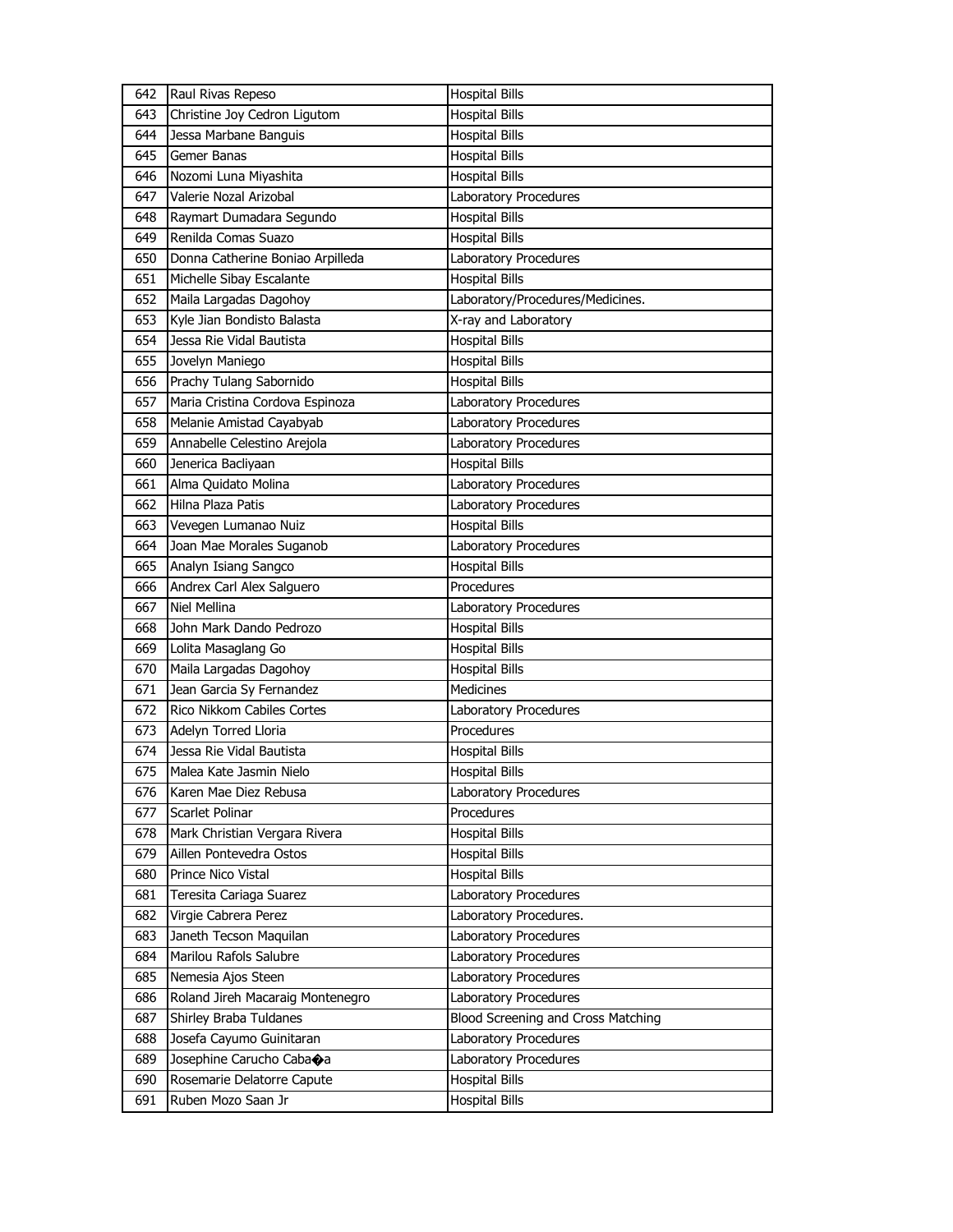| 642 | Raul Rivas Repeso                | <b>Hospital Bills</b>              |
|-----|----------------------------------|------------------------------------|
| 643 | Christine Joy Cedron Ligutom     | <b>Hospital Bills</b>              |
| 644 | Jessa Marbane Banguis            | <b>Hospital Bills</b>              |
| 645 | Gemer Banas                      | <b>Hospital Bills</b>              |
| 646 | Nozomi Luna Miyashita            | <b>Hospital Bills</b>              |
| 647 | Valerie Nozal Arizobal           | Laboratory Procedures              |
| 648 | Raymart Dumadara Segundo         | <b>Hospital Bills</b>              |
| 649 | Renilda Comas Suazo              | <b>Hospital Bills</b>              |
| 650 | Donna Catherine Boniao Arpilleda | Laboratory Procedures              |
| 651 | Michelle Sibay Escalante         | <b>Hospital Bills</b>              |
| 652 | Maila Largadas Dagohoy           | Laboratory/Procedures/Medicines.   |
| 653 | Kyle Jian Bondisto Balasta       | X-ray and Laboratory               |
| 654 | Jessa Rie Vidal Bautista         | <b>Hospital Bills</b>              |
| 655 | Jovelyn Maniego                  | <b>Hospital Bills</b>              |
| 656 | Prachy Tulang Sabornido          | <b>Hospital Bills</b>              |
| 657 | Maria Cristina Cordova Espinoza  | Laboratory Procedures              |
| 658 | Melanie Amistad Cayabyab         | Laboratory Procedures              |
| 659 | Annabelle Celestino Arejola      | Laboratory Procedures              |
| 660 | Jenerica Bacliyaan               | <b>Hospital Bills</b>              |
| 661 | Alma Quidato Molina              | Laboratory Procedures              |
| 662 | Hilna Plaza Patis                | Laboratory Procedures              |
| 663 | Vevegen Lumanao Nuiz             | <b>Hospital Bills</b>              |
| 664 | Joan Mae Morales Suganob         | Laboratory Procedures              |
| 665 | Analyn Isiang Sangco             | <b>Hospital Bills</b>              |
| 666 | Andrex Carl Alex Salguero        | Procedures                         |
| 667 | <b>Niel Mellina</b>              | Laboratory Procedures              |
|     |                                  |                                    |
| 668 | John Mark Dando Pedrozo          | <b>Hospital Bills</b>              |
| 669 | Lolita Masaglang Go              | <b>Hospital Bills</b>              |
| 670 | Maila Largadas Dagohoy           | <b>Hospital Bills</b>              |
| 671 | Jean Garcia Sy Fernandez         | <b>Medicines</b>                   |
| 672 | Rico Nikkom Cabiles Cortes       | Laboratory Procedures              |
| 673 | Adelyn Torred Lloria             | Procedures                         |
| 674 | Jessa Rie Vidal Bautista         | <b>Hospital Bills</b>              |
| 675 | Malea Kate Jasmin Nielo          | <b>Hospital Bills</b>              |
| 676 | Karen Mae Diez Rebusa            | Laboratory Procedures              |
| 677 | Scarlet Polinar                  | Procedures                         |
| 678 | Mark Christian Vergara Rivera    | <b>Hospital Bills</b>              |
| 679 | Aillen Pontevedra Ostos          | <b>Hospital Bills</b>              |
| 680 | Prince Nico Vistal               | <b>Hospital Bills</b>              |
| 681 | Teresita Cariaga Suarez          | Laboratory Procedures              |
| 682 | Virgie Cabrera Perez             | Laboratory Procedures.             |
| 683 | Janeth Tecson Maquilan           | Laboratory Procedures              |
| 684 | Marilou Rafols Salubre           | Laboratory Procedures              |
| 685 | Nemesia Ajos Steen               | Laboratory Procedures              |
| 686 | Roland Jireh Macaraig Montenegro | Laboratory Procedures              |
| 687 | Shirley Braba Tuldanes           | Blood Screening and Cross Matching |
| 688 | Josefa Cayumo Guinitaran         | Laboratory Procedures              |
| 689 | Josephine Carucho Cabaoa         | Laboratory Procedures              |
| 690 | Rosemarie Delatorre Capute       | <b>Hospital Bills</b>              |
| 691 | Ruben Mozo Saan Jr               | <b>Hospital Bills</b>              |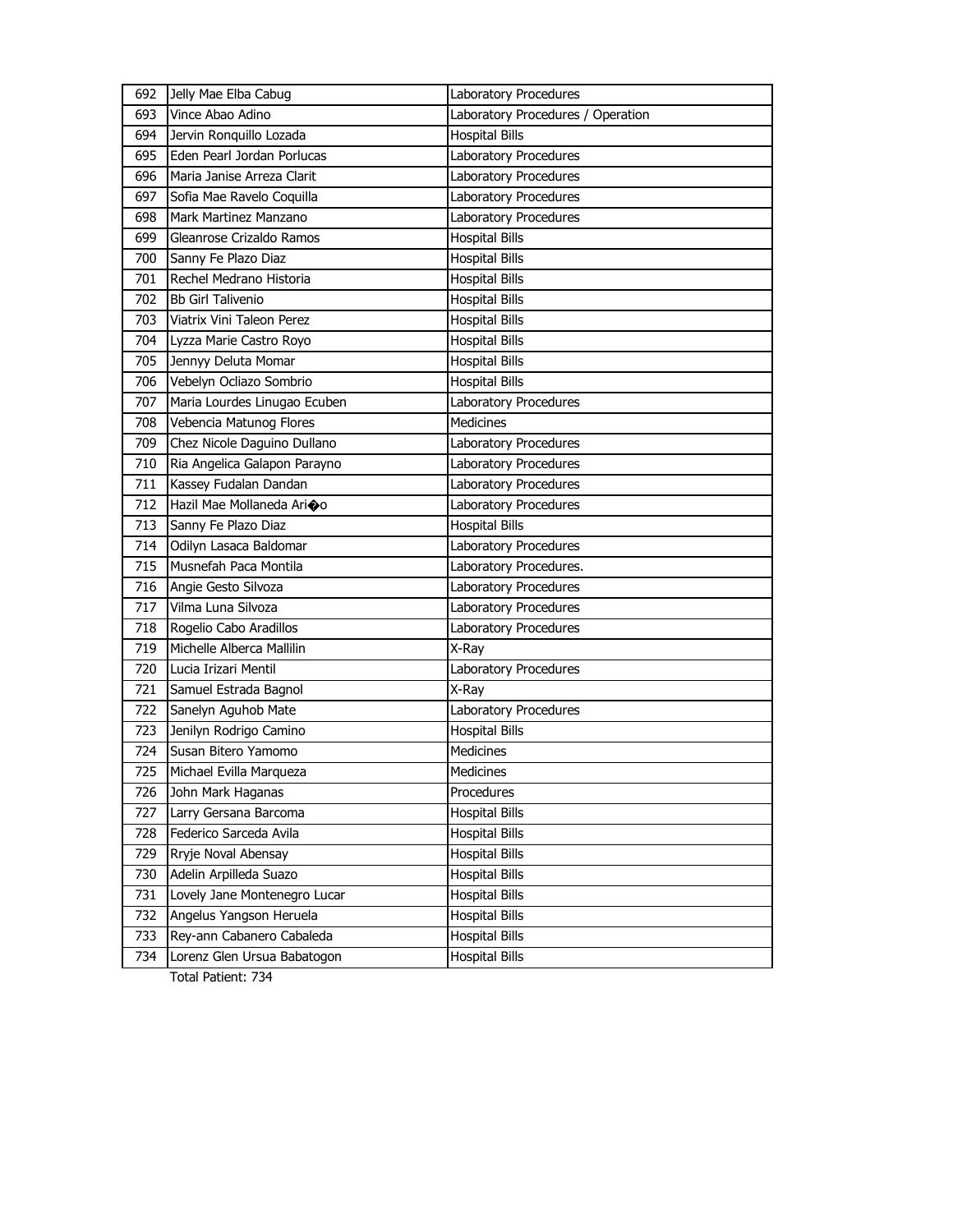| 692 | Jelly Mae Elba Cabug         | Laboratory Procedures             |
|-----|------------------------------|-----------------------------------|
| 693 | Vince Abao Adino             | Laboratory Procedures / Operation |
| 694 | Jervin Ronquillo Lozada      | <b>Hospital Bills</b>             |
| 695 | Eden Pearl Jordan Porlucas   | Laboratory Procedures             |
| 696 | Maria Janise Arreza Clarit   | Laboratory Procedures             |
| 697 | Sofia Mae Ravelo Coquilla    | Laboratory Procedures             |
| 698 | Mark Martinez Manzano        | Laboratory Procedures             |
| 699 | Gleanrose Crizaldo Ramos     | <b>Hospital Bills</b>             |
| 700 | Sanny Fe Plazo Diaz          | <b>Hospital Bills</b>             |
| 701 | Rechel Medrano Historia      | <b>Hospital Bills</b>             |
| 702 | <b>Bb Girl Talivenio</b>     | <b>Hospital Bills</b>             |
| 703 | Viatrix Vini Taleon Perez    | <b>Hospital Bills</b>             |
| 704 | Lyzza Marie Castro Royo      | <b>Hospital Bills</b>             |
| 705 | Jennyy Deluta Momar          | <b>Hospital Bills</b>             |
| 706 | Vebelyn Ocliazo Sombrio      | <b>Hospital Bills</b>             |
| 707 | Maria Lourdes Linugao Ecuben | Laboratory Procedures             |
| 708 | Vebencia Matunog Flores      | <b>Medicines</b>                  |
| 709 | Chez Nicole Daguino Dullano  | Laboratory Procedures             |
| 710 | Ria Angelica Galapon Parayno | Laboratory Procedures             |
| 711 | Kassey Fudalan Dandan        | Laboratory Procedures             |
| 712 | Hazil Mae Mollaneda Arioo    | Laboratory Procedures             |
| 713 | Sanny Fe Plazo Diaz          | <b>Hospital Bills</b>             |
| 714 | Odilyn Lasaca Baldomar       | Laboratory Procedures             |
| 715 | Musnefah Paca Montila        | Laboratory Procedures.            |
| 716 | Angie Gesto Silvoza          | Laboratory Procedures             |
| 717 | Vilma Luna Silvoza           | Laboratory Procedures             |
| 718 | Rogelio Cabo Aradillos       | Laboratory Procedures             |
| 719 | Michelle Alberca Mallilin    | X-Ray                             |
| 720 | Lucia Irizari Mentil         | Laboratory Procedures             |
| 721 | Samuel Estrada Bagnol        | X-Ray                             |
| 722 | Sanelyn Aguhob Mate          | Laboratory Procedures             |
| 723 | Jenilyn Rodrigo Camino       | Hospital Bills                    |
| 724 | Susan Bitero Yamomo          | Medicines                         |
| 725 | Michael Evilla Marqueza      | Medicines                         |
| 726 | John Mark Haganas            | Procedures                        |
| 727 | Larry Gersana Barcoma        | <b>Hospital Bills</b>             |
| 728 | Federico Sarceda Avila       | <b>Hospital Bills</b>             |
| 729 | Rryje Noval Abensay          | <b>Hospital Bills</b>             |
| 730 | Adelin Arpilleda Suazo       | <b>Hospital Bills</b>             |
| 731 | Lovely Jane Montenegro Lucar | <b>Hospital Bills</b>             |
| 732 | Angelus Yangson Heruela      | <b>Hospital Bills</b>             |
| 733 | Rey-ann Cabanero Cabaleda    | <b>Hospital Bills</b>             |
| 734 | Lorenz Glen Ursua Babatogon  | <b>Hospital Bills</b>             |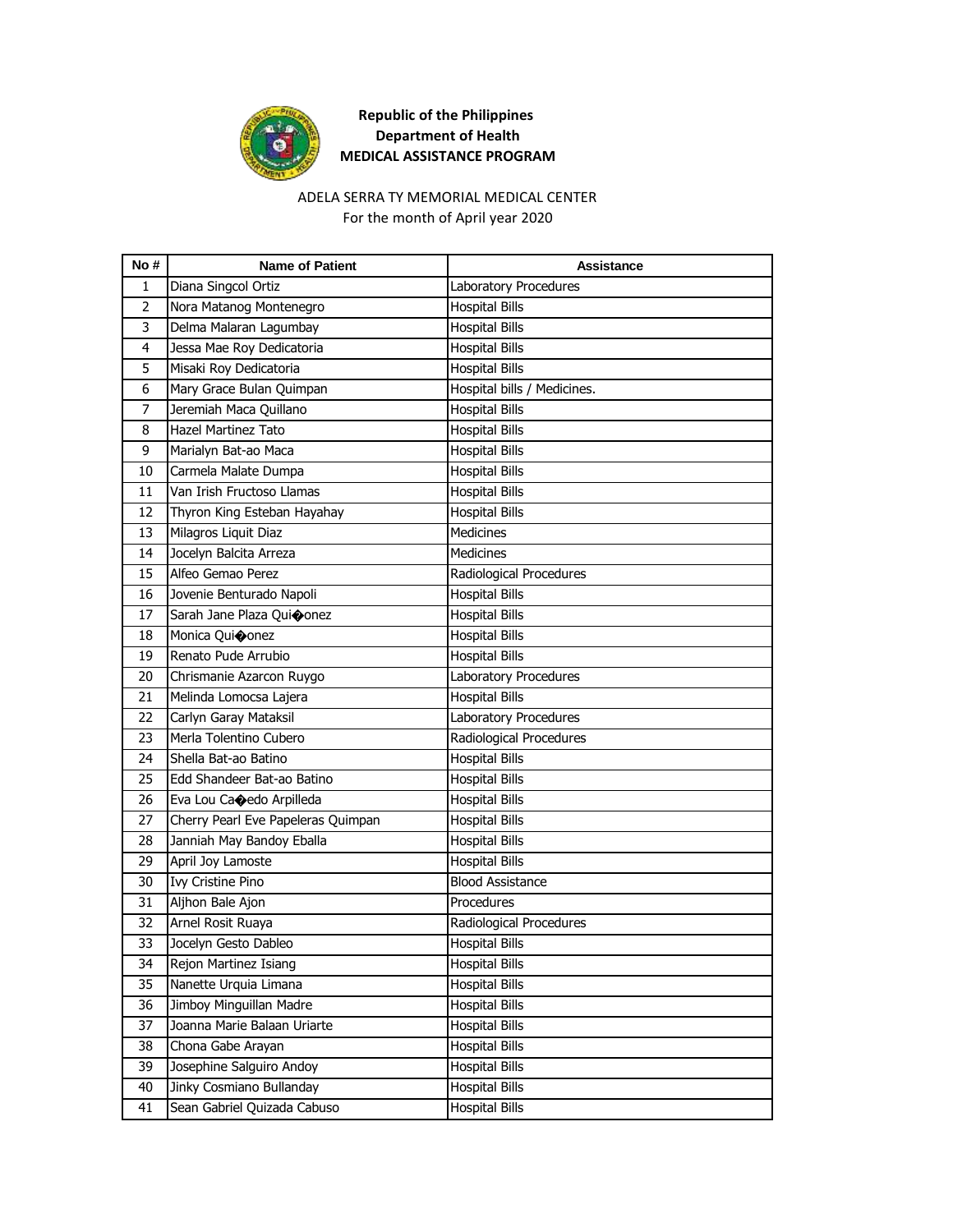

#### ADELA SERRA TY MEMORIAL MEDICAL CENTER For the month of April year 2020

| No#            | <b>Name of Patient</b>             | <b>Assistance</b>           |
|----------------|------------------------------------|-----------------------------|
| 1              | Diana Singcol Ortiz                | Laboratory Procedures       |
| $\overline{2}$ | Nora Matanog Montenegro            | <b>Hospital Bills</b>       |
| 3              | Delma Malaran Lagumbay             | <b>Hospital Bills</b>       |
| 4              | Jessa Mae Roy Dedicatoria          | <b>Hospital Bills</b>       |
| 5              | Misaki Roy Dedicatoria             | <b>Hospital Bills</b>       |
| 6              | Mary Grace Bulan Quimpan           | Hospital bills / Medicines. |
| $\overline{7}$ | Jeremiah Maca Quillano             | <b>Hospital Bills</b>       |
| 8              | <b>Hazel Martinez Tato</b>         | <b>Hospital Bills</b>       |
| 9              | Marialyn Bat-ao Maca               | <b>Hospital Bills</b>       |
| 10             | Carmela Malate Dumpa               | <b>Hospital Bills</b>       |
| 11             | Van Irish Fructoso Llamas          | <b>Hospital Bills</b>       |
| 12             | Thyron King Esteban Hayahay        | <b>Hospital Bills</b>       |
| 13             | Milagros Liquit Diaz               | <b>Medicines</b>            |
| 14             | Jocelyn Balcita Arreza             | <b>Medicines</b>            |
| 15             | Alfeo Gemao Perez                  | Radiological Procedures     |
| 16             | Jovenie Benturado Napoli           | <b>Hospital Bills</b>       |
| 17             | Sarah Jane Plaza Quioonez          | <b>Hospital Bills</b>       |
| 18             | Monica Qui�onez                    | <b>Hospital Bills</b>       |
| 19             | Renato Pude Arrubio                | <b>Hospital Bills</b>       |
| 20             | Chrismanie Azarcon Ruygo           | Laboratory Procedures       |
| 21             | Melinda Lomocsa Lajera             | <b>Hospital Bills</b>       |
| 22             | Carlyn Garay Mataksil              | Laboratory Procedures       |
| 23             | Merla Tolentino Cubero             | Radiological Procedures     |
| 24             | Shella Bat-ao Batino               | <b>Hospital Bills</b>       |
| 25             | Edd Shandeer Bat-ao Batino         | <b>Hospital Bills</b>       |
| 26             | Eva Lou Ca�edo Arpilleda           | <b>Hospital Bills</b>       |
| 27             | Cherry Pearl Eve Papeleras Quimpan | <b>Hospital Bills</b>       |
| 28             | Janniah May Bandoy Eballa          | <b>Hospital Bills</b>       |
| 29             | April Joy Lamoste                  | <b>Hospital Bills</b>       |
| 30             | Ivy Cristine Pino                  | <b>Blood Assistance</b>     |
| 31             | Aljhon Bale Ajon                   | Procedures                  |
| 32             | Arnel Rosit Ruaya                  | Radiological Procedures     |
| 33             | Jocelyn Gesto Dableo               | <b>Hospital Bills</b>       |
| 34             | Rejon Martinez Isiang              | <b>Hospital Bills</b>       |
| 35             | Nanette Urquia Limana              | <b>Hospital Bills</b>       |
| 36             | Jimboy Minguillan Madre            | <b>Hospital Bills</b>       |
| 37             | Joanna Marie Balaan Uriarte        | <b>Hospital Bills</b>       |
| 38             | Chona Gabe Arayan                  | <b>Hospital Bills</b>       |
| 39             | Josephine Salguiro Andoy           | <b>Hospital Bills</b>       |
| 40             | Jinky Cosmiano Bullanday           | <b>Hospital Bills</b>       |
| 41             | Sean Gabriel Quizada Cabuso        | <b>Hospital Bills</b>       |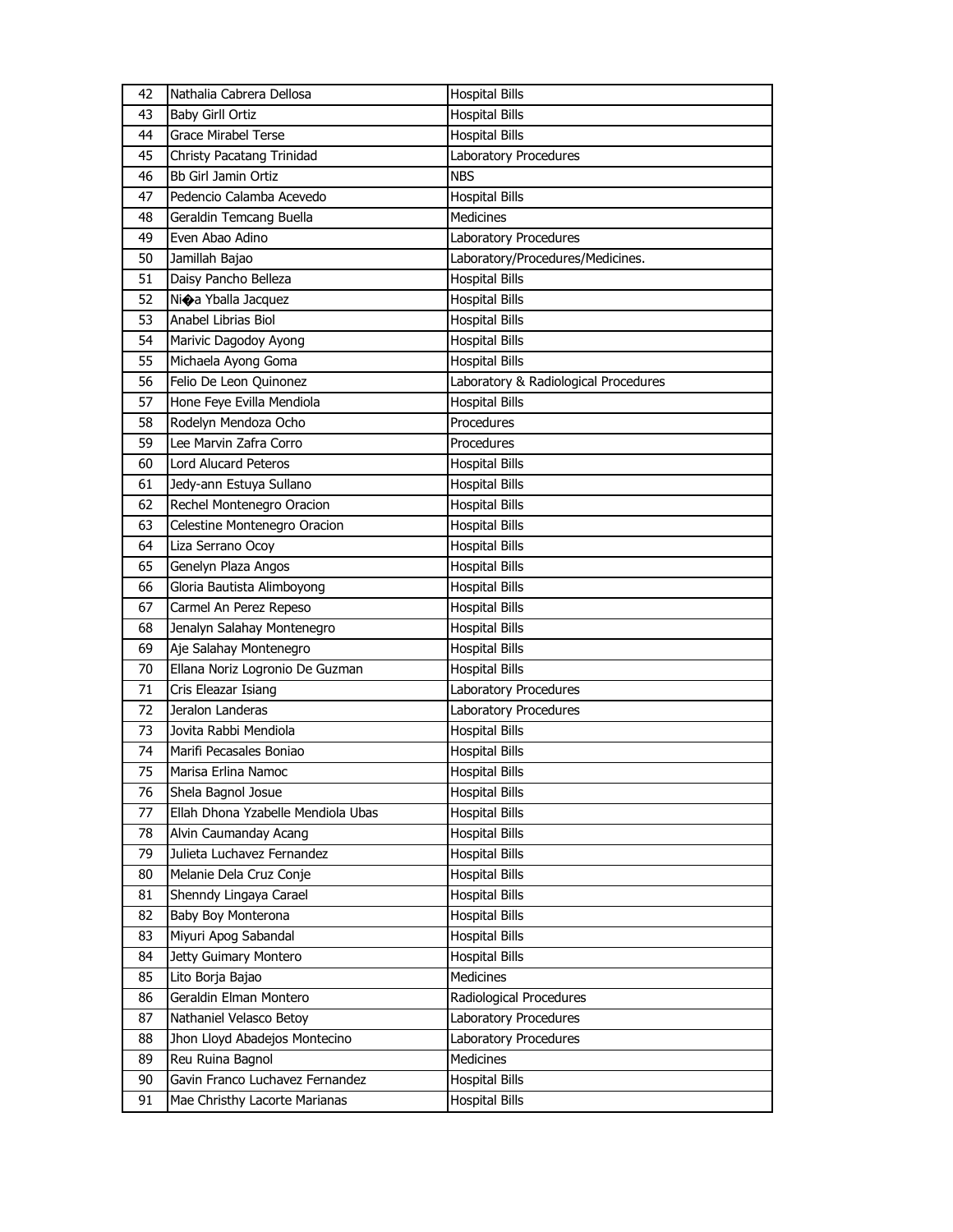| 42 | Nathalia Cabrera Dellosa           | <b>Hospital Bills</b>                |
|----|------------------------------------|--------------------------------------|
| 43 | <b>Baby Girll Ortiz</b>            | <b>Hospital Bills</b>                |
| 44 | Grace Mirabel Terse                | <b>Hospital Bills</b>                |
| 45 | Christy Pacatang Trinidad          | Laboratory Procedures                |
| 46 | Bb Girl Jamin Ortiz                | <b>NBS</b>                           |
| 47 | Pedencio Calamba Acevedo           | <b>Hospital Bills</b>                |
| 48 | Geraldin Temcang Buella            | Medicines                            |
| 49 | Even Abao Adino                    | Laboratory Procedures                |
| 50 | Jamillah Bajao                     | Laboratory/Procedures/Medicines.     |
| 51 | Daisy Pancho Belleza               | <b>Hospital Bills</b>                |
| 52 | Ni $\bigcirc$ a Yballa Jacquez     | <b>Hospital Bills</b>                |
| 53 | Anabel Librias Biol                | <b>Hospital Bills</b>                |
| 54 | Marivic Dagodoy Ayong              | <b>Hospital Bills</b>                |
| 55 | Michaela Ayong Goma                | <b>Hospital Bills</b>                |
| 56 | Felio De Leon Quinonez             | Laboratory & Radiological Procedures |
| 57 | Hone Feye Evilla Mendiola          | <b>Hospital Bills</b>                |
| 58 | Rodelyn Mendoza Ocho               | Procedures                           |
| 59 | Lee Marvin Zafra Corro             | Procedures                           |
| 60 | <b>Lord Alucard Peteros</b>        | <b>Hospital Bills</b>                |
| 61 | Jedy-ann Estuya Sullano            | <b>Hospital Bills</b>                |
| 62 | Rechel Montenegro Oracion          | <b>Hospital Bills</b>                |
| 63 | Celestine Montenegro Oracion       | <b>Hospital Bills</b>                |
| 64 | Liza Serrano Ocoy                  | <b>Hospital Bills</b>                |
| 65 | Genelyn Plaza Angos                | <b>Hospital Bills</b>                |
| 66 | Gloria Bautista Alimboyong         | <b>Hospital Bills</b>                |
| 67 | Carmel An Perez Repeso             | <b>Hospital Bills</b>                |
| 68 | Jenalyn Salahay Montenegro         | <b>Hospital Bills</b>                |
| 69 | Aje Salahay Montenegro             | <b>Hospital Bills</b>                |
| 70 | Ellana Noriz Logronio De Guzman    | <b>Hospital Bills</b>                |
| 71 | Cris Eleazar Isiang                | Laboratory Procedures                |
| 72 | Jeralon Landeras                   | Laboratory Procedures                |
| 73 | Jovita Rabbi Mendiola              | <b>Hospital Bills</b>                |
| 74 | Marifi Pecasales Boniao            | <b>Hospital Bills</b>                |
| 75 | Marisa Erlina Namoc                | <b>Hospital Bills</b>                |
| 76 | Shela Bagnol Josue                 | <b>Hospital Bills</b>                |
| 77 | Ellah Dhona Yzabelle Mendiola Ubas | <b>Hospital Bills</b>                |
| 78 | Alvin Caumanday Acang              | <b>Hospital Bills</b>                |
| 79 | Julieta Luchavez Fernandez         | <b>Hospital Bills</b>                |
| 80 | Melanie Dela Cruz Conje            | <b>Hospital Bills</b>                |
| 81 | Shenndy Lingaya Carael             | <b>Hospital Bills</b>                |
| 82 | Baby Boy Monterona                 | <b>Hospital Bills</b>                |
| 83 | Miyuri Apog Sabandal               | <b>Hospital Bills</b>                |
| 84 | Jetty Guimary Montero              | <b>Hospital Bills</b>                |
| 85 | Lito Borja Bajao                   | Medicines                            |
| 86 | Geraldin Elman Montero             | Radiological Procedures              |
| 87 | Nathaniel Velasco Betoy            | Laboratory Procedures                |
| 88 | Jhon Lloyd Abadejos Montecino      | Laboratory Procedures                |
| 89 | Reu Ruina Bagnol                   | Medicines                            |
| 90 | Gavin Franco Luchavez Fernandez    | <b>Hospital Bills</b>                |
| 91 | Mae Christhy Lacorte Marianas      | <b>Hospital Bills</b>                |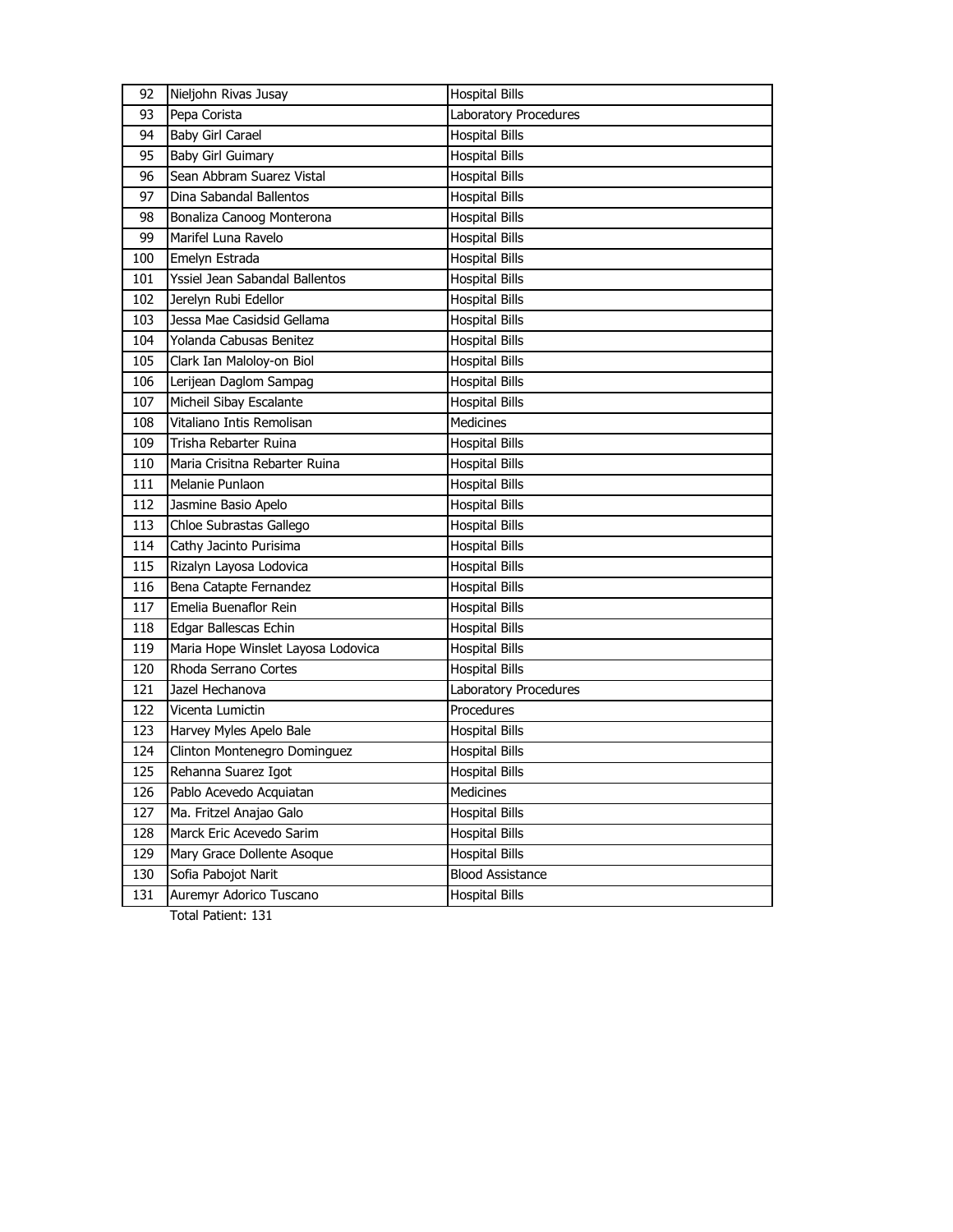| 92  | Nieljohn Rivas Jusay               | <b>Hospital Bills</b>   |
|-----|------------------------------------|-------------------------|
| 93  | Pepa Corista                       | Laboratory Procedures   |
| 94  | <b>Baby Girl Carael</b>            | <b>Hospital Bills</b>   |
| 95  | <b>Baby Girl Guimary</b>           | <b>Hospital Bills</b>   |
| 96  | Sean Abbram Suarez Vistal          | <b>Hospital Bills</b>   |
| 97  | Dina Sabandal Ballentos            | <b>Hospital Bills</b>   |
| 98  | Bonaliza Canoog Monterona          | <b>Hospital Bills</b>   |
| 99  | Marifel Luna Ravelo                | <b>Hospital Bills</b>   |
| 100 | Emelyn Estrada                     | <b>Hospital Bills</b>   |
| 101 | Yssiel Jean Sabandal Ballentos     | <b>Hospital Bills</b>   |
| 102 | Jerelyn Rubi Edellor               | <b>Hospital Bills</b>   |
| 103 | Jessa Mae Casidsid Gellama         | <b>Hospital Bills</b>   |
| 104 | Yolanda Cabusas Benitez            | <b>Hospital Bills</b>   |
| 105 | Clark Ian Maloloy-on Biol          | <b>Hospital Bills</b>   |
| 106 | Lerijean Daglom Sampag             | <b>Hospital Bills</b>   |
| 107 | Micheil Sibay Escalante            | <b>Hospital Bills</b>   |
| 108 | Vitaliano Intis Remolisan          | Medicines               |
| 109 | Trisha Rebarter Ruina              | <b>Hospital Bills</b>   |
| 110 | Maria Crisitna Rebarter Ruina      | <b>Hospital Bills</b>   |
| 111 | Melanie Punlaon                    | <b>Hospital Bills</b>   |
| 112 | Jasmine Basio Apelo                | <b>Hospital Bills</b>   |
| 113 | Chloe Subrastas Gallego            | <b>Hospital Bills</b>   |
| 114 | Cathy Jacinto Purisima             | <b>Hospital Bills</b>   |
| 115 | Rizalyn Layosa Lodovica            | <b>Hospital Bills</b>   |
| 116 | Bena Catapte Fernandez             | <b>Hospital Bills</b>   |
| 117 | Emelia Buenaflor Rein              | Hospital Bills          |
| 118 | Edgar Ballescas Echin              | <b>Hospital Bills</b>   |
| 119 | Maria Hope Winslet Layosa Lodovica | <b>Hospital Bills</b>   |
| 120 | Rhoda Serrano Cortes               | <b>Hospital Bills</b>   |
| 121 | Jazel Hechanova                    | Laboratory Procedures   |
| 122 | Vicenta Lumictin                   | Procedures              |
| 123 | Harvey Myles Apelo Bale            | Hospital Bills          |
| 124 | Clinton Montenegro Dominguez       | <b>Hospital Bills</b>   |
| 125 | Rehanna Suarez Igot                | <b>Hospital Bills</b>   |
| 126 | Pablo Acevedo Acquiatan            | Medicines               |
| 127 | Ma. Fritzel Anajao Galo            | <b>Hospital Bills</b>   |
| 128 | Marck Eric Acevedo Sarim           | <b>Hospital Bills</b>   |
| 129 | Mary Grace Dollente Asoque         | <b>Hospital Bills</b>   |
| 130 | Sofia Pabojot Narit                | <b>Blood Assistance</b> |
| 131 | Auremyr Adorico Tuscano            | <b>Hospital Bills</b>   |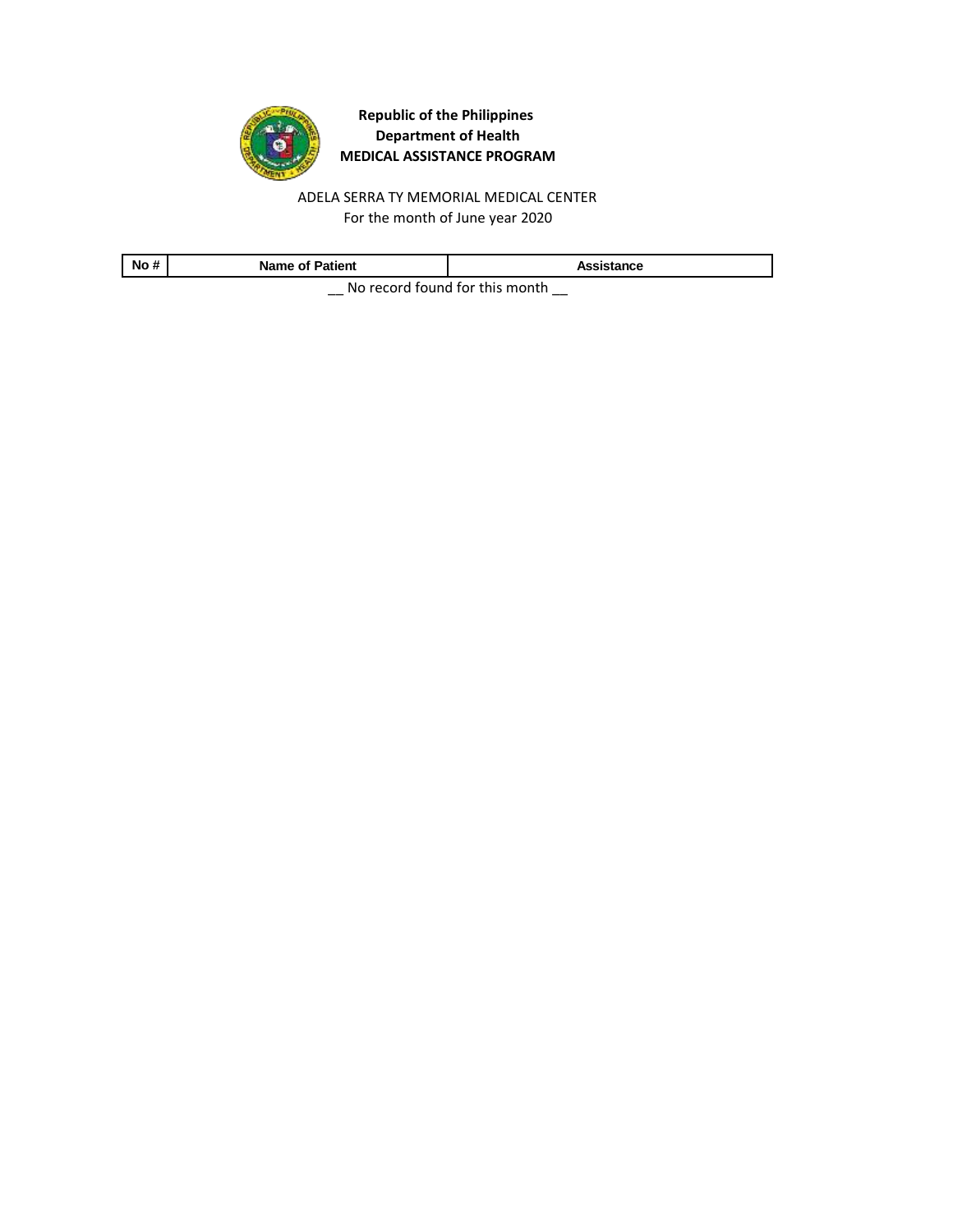

ADELA SERRA TY MEMORIAL MEDICAL CENTER For the month of June year 2020

| No#                                                | <b>Name of Patient</b> | Assistance |
|----------------------------------------------------|------------------------|------------|
| . March 2014 and Contract Contract Library and the |                        |            |

\_\_ No record found for this month \_\_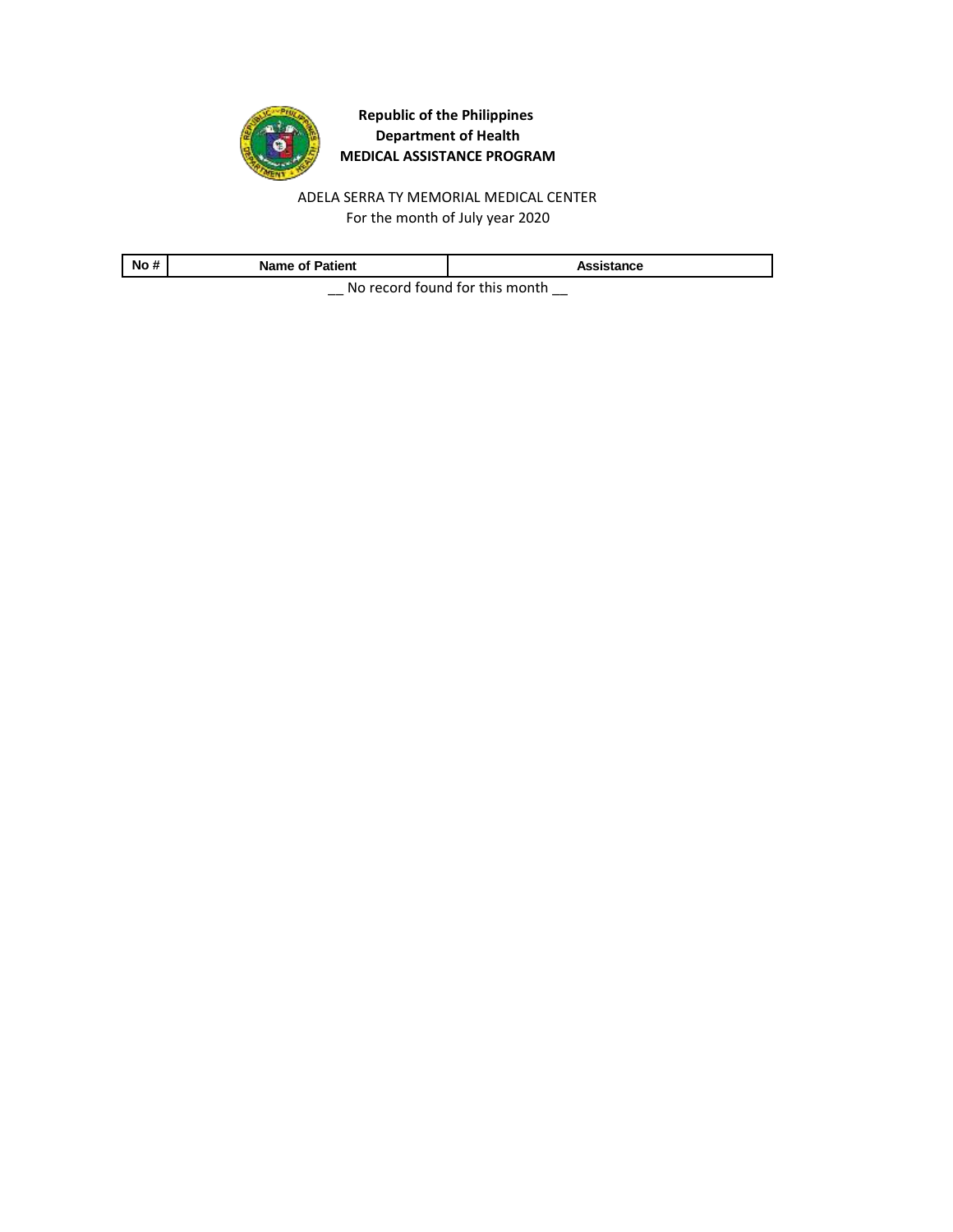

ADELA SERRA TY MEMORIAL MEDICAL CENTER For the month of July year 2020

| No#                               | Name of Patient | Assistance |
|-----------------------------------|-----------------|------------|
| No no cond found for this meanth. |                 |            |

 $\equiv$  No record found for this month  $\equiv$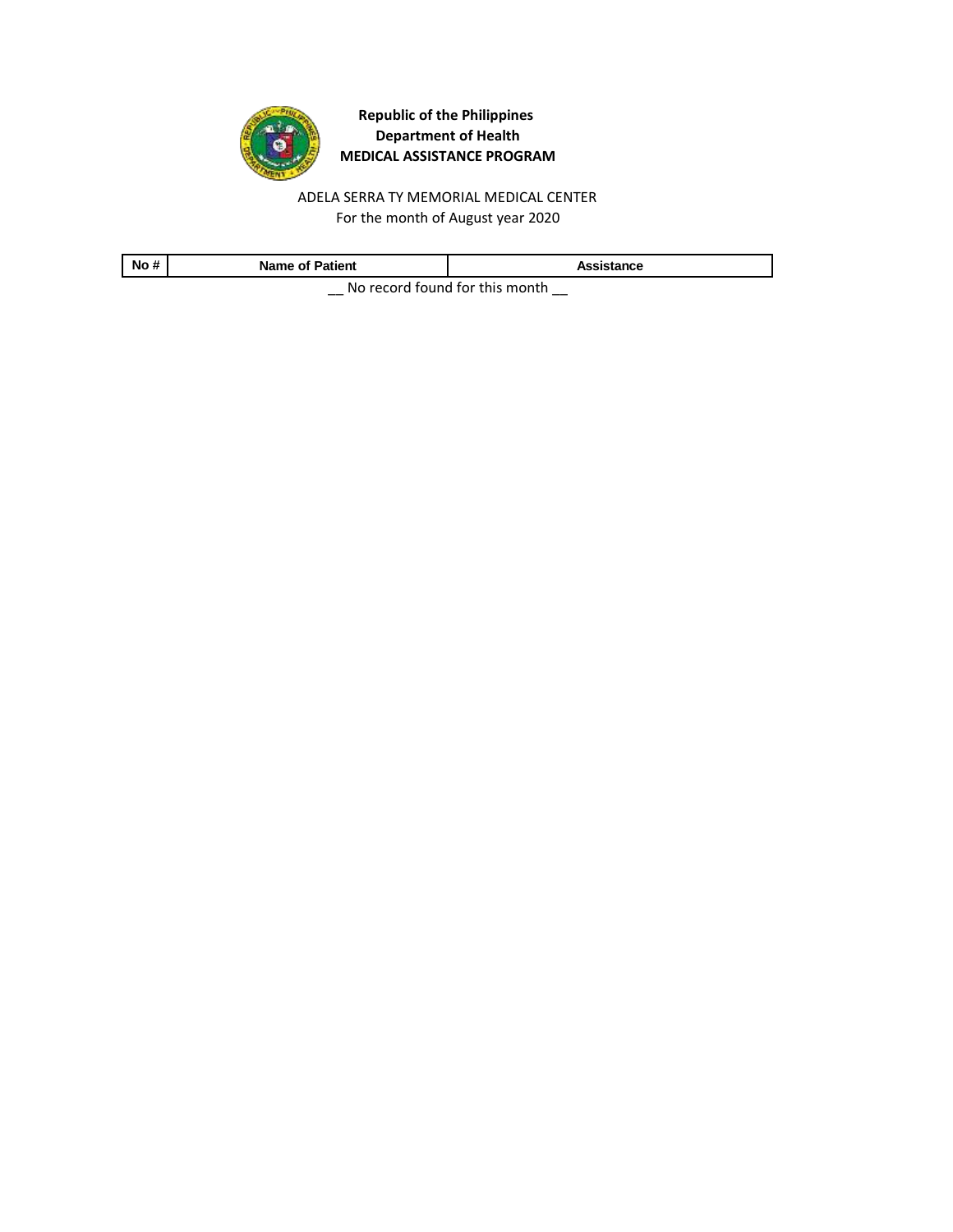

ADELA SERRA TY MEMORIAL MEDICAL CENTER For the month of August year 2020

|                                                    | No # | <b>Name of Patient</b> | Assistance |
|----------------------------------------------------|------|------------------------|------------|
| . March 2014 and Contract Contract Library and the |      |                        |            |

 $\equiv$  No record found for this month  $\equiv$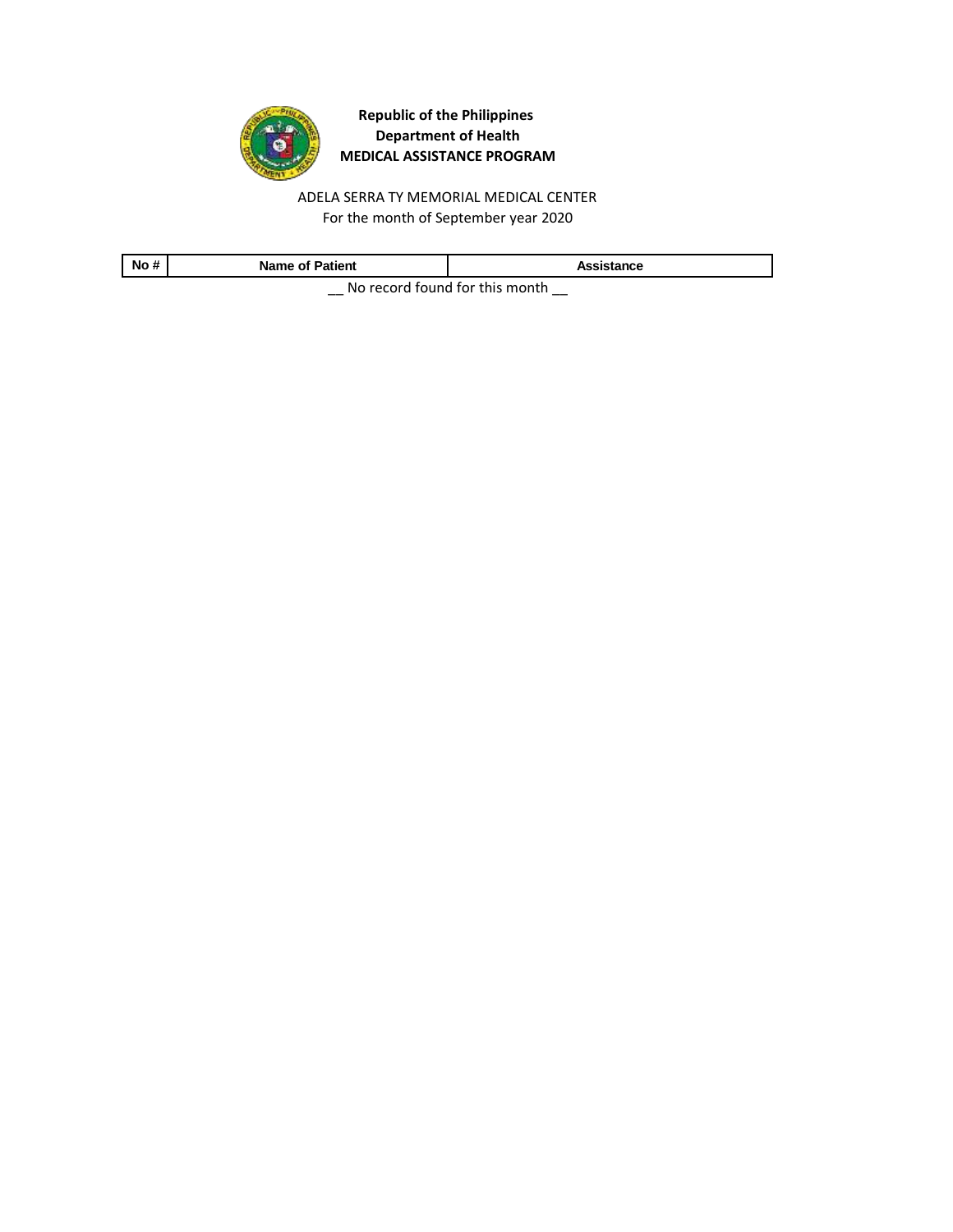

ADELA SERRA TY MEMORIAL MEDICAL CENTER For the month of September year 2020

| No #                                                | <b>Name of Patient</b> | Assistance |
|-----------------------------------------------------|------------------------|------------|
| Alle a construit for the different biology consider |                        |            |

 $\equiv$  No record found for this month  $\equiv$